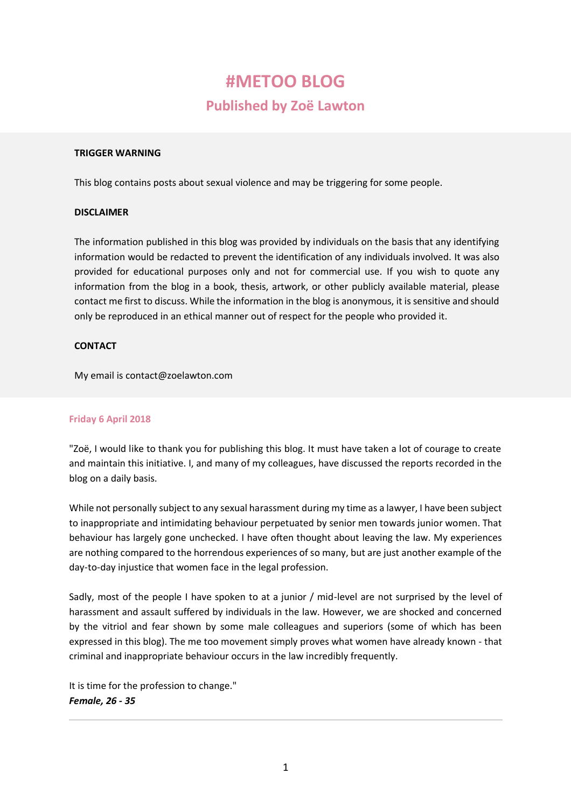# **#METOO BLOG**

# **Published by Zoë Lawton**

#### **TRIGGER WARNING**

This blog contains posts about sexual violence and may be triggering for some people.

#### **DISCLAIMER**

The information published in this blog was provided by individuals on the basis that any identifying information would be redacted to prevent the identification of any individuals involved. It was also provided for educational purposes only and not for commercial use. If you wish to quote any information from the blog in a book, thesis, artwork, or other publicly available material, please contact me first to discuss. While the information in the blog is anonymous, it is sensitive and should only be reproduced in an ethical manner out of respect for the people who provided it.

#### **CONTACT**

My email is [contact@zoelawton.com](mailto:contact@zoelawton.com)

#### **Friday 6 April 2018**

"Zoë, I would like to thank you for publishing this blog. It must have taken a lot of courage to create and maintain this initiative. I, and many of my colleagues, have discussed the reports recorded in the blog on a daily basis.

While not personally subject to any sexual harassment during my time as a lawyer, I have been subject to inappropriate and intimidating behaviour perpetuated by senior men towards junior women. That behaviour has largely gone unchecked. I have often thought about leaving the law. My experiences are nothing compared to the horrendous experiences of so many, but are just another example of the day-to-day injustice that women face in the legal profession.

Sadly, most of the people I have spoken to at a junior / mid-level are not surprised by the level of harassment and assault suffered by individuals in the law. However, we are shocked and concerned by the vitriol and fear shown by some male colleagues and superiors (some of which has been expressed in this blog). The me too movement simply proves what women have already known - that criminal and inappropriate behaviour occurs in the law incredibly frequently.

It is time for the profession to change." *Female, 26 - 35*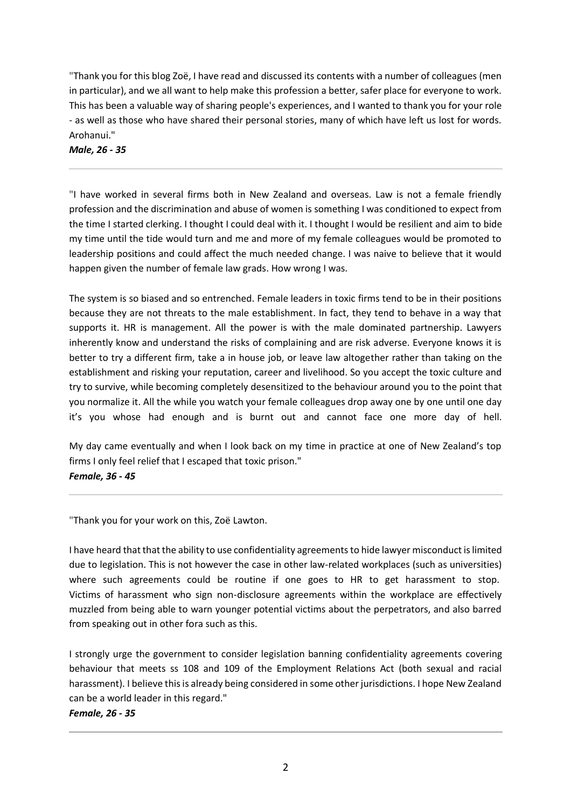"Thank you for this blog Zoë, I have read and discussed its contents with a number of colleagues (men in particular), and we all want to help make this profession a better, safer place for everyone to work. This has been a valuable way of sharing people's experiences, and I wanted to thank you for your role - as well as those who have shared their personal stories, many of which have left us lost for words. Arohanui."

*Male, 26 - 35*

"I have worked in several firms both in New Zealand and overseas. Law is not a female friendly profession and the discrimination and abuse of women is something I was conditioned to expect from the time I started clerking. I thought I could deal with it. I thought I would be resilient and aim to bide my time until the tide would turn and me and more of my female colleagues would be promoted to leadership positions and could affect the much needed change. I was naive to believe that it would happen given the number of female law grads. How wrong I was.

The system is so biased and so entrenched. Female leaders in toxic firms tend to be in their positions because they are not threats to the male establishment. In fact, they tend to behave in a way that supports it. HR is management. All the power is with the male dominated partnership. Lawyers inherently know and understand the risks of complaining and are risk adverse. Everyone knows it is better to try a different firm, take a in house job, or leave law altogether rather than taking on the establishment and risking your reputation, career and livelihood. So you accept the toxic culture and try to survive, while becoming completely desensitized to the behaviour around you to the point that you normalize it. All the while you watch your female colleagues drop away one by one until one day it's you whose had enough and is burnt out and cannot face one more day of hell.

My day came eventually and when I look back on my time in practice at one of New Zealand's top firms I only feel relief that I escaped that toxic prison." *Female, 36 - 45*

"Thank you for your work on this, Zoë Lawton.

I have heard that that the ability to use confidentiality agreements to hide lawyer misconduct is limited due to legislation. This is not however the case in other law-related workplaces (such as universities) where such agreements could be routine if one goes to HR to get harassment to stop. Victims of harassment who sign non-disclosure agreements within the workplace are effectively muzzled from being able to warn younger potential victims about the perpetrators, and also barred from speaking out in other fora such as this.

I strongly urge the government to consider legislation banning confidentiality agreements covering behaviour that meets ss 108 and 109 of the Employment Relations Act (both sexual and racial harassment). I believe this is already being considered in some other jurisdictions. I hope New Zealand can be a world leader in this regard."

*Female, 26 - 35*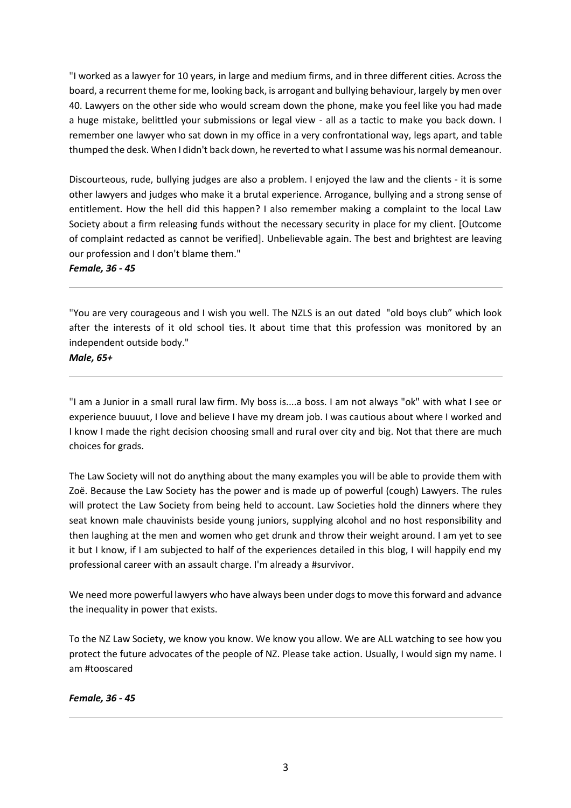"I worked as a lawyer for 10 years, in large and medium firms, and in three different cities. Across the board, a recurrent theme for me, looking back, is arrogant and bullying behaviour, largely by men over 40. Lawyers on the other side who would scream down the phone, make you feel like you had made a huge mistake, belittled your submissions or legal view - all as a tactic to make you back down. I remember one lawyer who sat down in my office in a very confrontational way, legs apart, and table thumped the desk. When I didn't back down, he reverted to what I assume was his normal demeanour.

Discourteous, rude, bullying judges are also a problem. I enjoyed the law and the clients - it is some other lawyers and judges who make it a brutal experience. Arrogance, bullying and a strong sense of entitlement. How the hell did this happen? I also remember making a complaint to the local Law Society about a firm releasing funds without the necessary security in place for my client. [Outcome of complaint redacted as cannot be verified]. Unbelievable again. The best and brightest are leaving our profession and I don't blame them."

*Female, 36 - 45*

"You are very courageous and I wish you well. The NZLS is an out dated "old boys club" which look after the interests of it old school ties. It about time that this profession was monitored by an independent outside body."

*Male, 65+*

"I am a Junior in a small rural law firm. My boss is....a boss. I am not always "ok" with what I see or experience buuuut, I love and believe I have my dream job. I was cautious about where I worked and I know I made the right decision choosing small and rural over city and big. Not that there are much choices for grads.

The Law Society will not do anything about the many examples you will be able to provide them with Zoë. Because the Law Society has the power and is made up of powerful (cough) Lawyers. The rules will protect the Law Society from being held to account. Law Societies hold the dinners where they seat known male chauvinists beside young juniors, supplying alcohol and no host responsibility and then laughing at the men and women who get drunk and throw their weight around. I am yet to see it but I know, if I am subjected to half of the experiences detailed in this blog, I will happily end my professional career with an assault charge. I'm already a #survivor.

We need more powerful lawyers who have always been under dogs to move this forward and advance the inequality in power that exists.

To the NZ Law Society, we know you know. We know you allow. We are ALL watching to see how you protect the future advocates of the people of NZ. Please take action. Usually, I would sign my name. I am #tooscared

*Female, 36 - 45*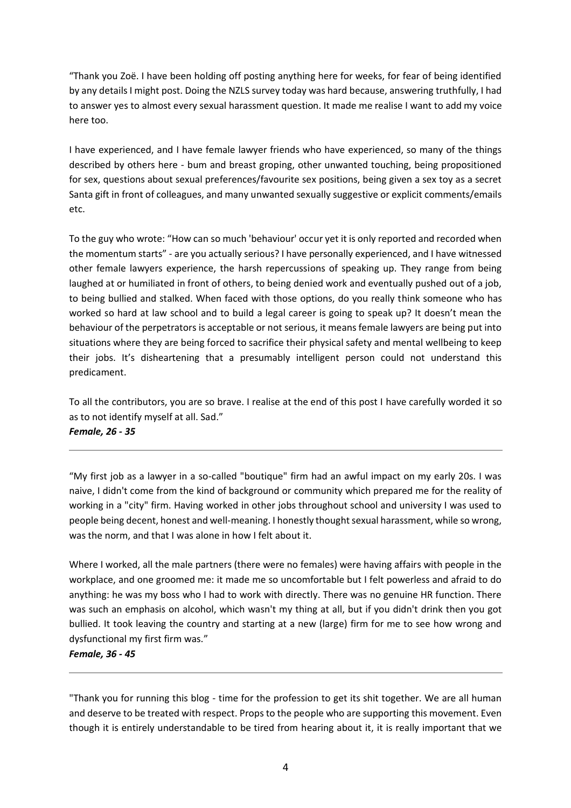"Thank you Zoë. I have been holding off posting anything here for weeks, for fear of being identified by any details I might post. Doing the NZLS survey today was hard because, answering truthfully, I had to answer yes to almost every sexual harassment question. It made me realise I want to add my voice here too.

I have experienced, and I have female lawyer friends who have experienced, so many of the things described by others here - bum and breast groping, other unwanted touching, being propositioned for sex, questions about sexual preferences/favourite sex positions, being given a sex toy as a secret Santa gift in front of colleagues, and many unwanted sexually suggestive or explicit comments/emails etc.

To the guy who wrote: "How can so much 'behaviour' occur yet it is only reported and recorded when the momentum starts" - are you actually serious? I have personally experienced, and I have witnessed other female lawyers experience, the harsh repercussions of speaking up. They range from being laughed at or humiliated in front of others, to being denied work and eventually pushed out of a job, to being bullied and stalked. When faced with those options, do you really think someone who has worked so hard at law school and to build a legal career is going to speak up? It doesn't mean the behaviour of the perpetrators is acceptable or not serious, it means female lawyers are being put into situations where they are being forced to sacrifice their physical safety and mental wellbeing to keep their jobs. It's disheartening that a presumably intelligent person could not understand this predicament.

To all the contributors, you are so brave. I realise at the end of this post I have carefully worded it so as to not identify myself at all. Sad." *Female, 26 - 35*

"My first job as a lawyer in a so-called "boutique" firm had an awful impact on my early 20s. I was naive, I didn't come from the kind of background or community which prepared me for the reality of working in a "city" firm. Having worked in other jobs throughout school and university I was used to people being decent, honest and well-meaning. I honestly thought sexual harassment, while so wrong, was the norm, and that I was alone in how I felt about it.

Where I worked, all the male partners (there were no females) were having affairs with people in the workplace, and one groomed me: it made me so uncomfortable but I felt powerless and afraid to do anything: he was my boss who I had to work with directly. There was no genuine HR function. There was such an emphasis on alcohol, which wasn't my thing at all, but if you didn't drink then you got bullied. It took leaving the country and starting at a new (large) firm for me to see how wrong and dysfunctional my first firm was."

#### *Female, 36 - 45*

"Thank you for running this blog - time for the profession to get its shit together. We are all human and deserve to be treated with respect. Props to the people who are supporting this movement. Even though it is entirely understandable to be tired from hearing about it, it is really important that we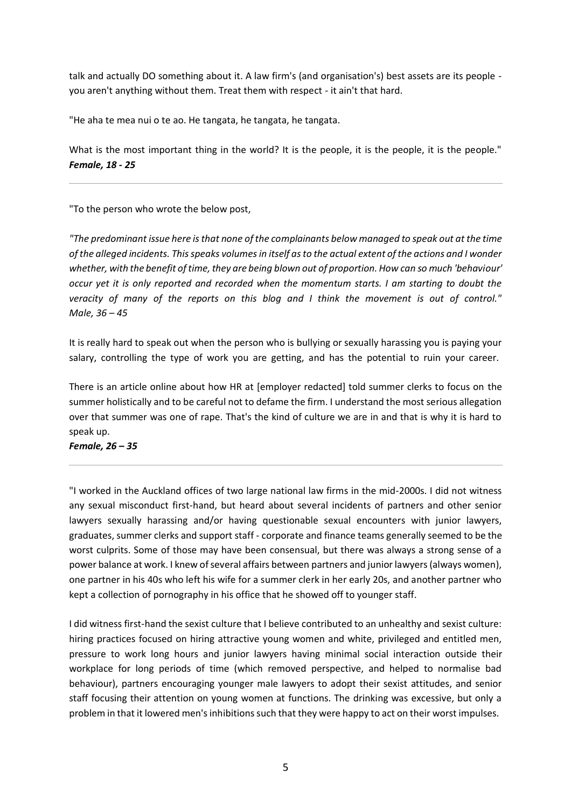talk and actually DO something about it. A law firm's (and organisation's) best assets are its people you aren't anything without them. Treat them with respect - it ain't that hard.

"He aha te mea nui o te ao. He tangata, he tangata, he tangata.

What is the most important thing in the world? It is the people, it is the people, it is the people." *Female, 18 - 25*

"To the person who wrote the below post,

*"The predominant issue here is that none of the complainants below managed to speak out at the time of the alleged incidents. This speaks volumes in itself as to the actual extent of the actions and I wonder whether, with the benefit of time, they are being blown out of proportion. How can so much 'behaviour' occur yet it is only reported and recorded when the momentum starts. I am starting to doubt the veracity of many of the reports on this blog and I think the movement is out of control." Male, 36 – 45*

It is really hard to speak out when the person who is bullying or sexually harassing you is paying your salary, controlling the type of work you are getting, and has the potential to ruin your career.

There is an article online about how HR at [employer redacted] told summer clerks to focus on the summer holistically and to be careful not to defame the firm. I understand the most serious allegation over that summer was one of rape. That's the kind of culture we are in and that is why it is hard to speak up.

*Female, 26 – 35*

"I worked in the Auckland offices of two large national law firms in the mid-2000s. I did not witness any sexual misconduct first-hand, but heard about several incidents of partners and other senior lawyers sexually harassing and/or having questionable sexual encounters with junior lawyers, graduates, summer clerks and support staff - corporate and finance teams generally seemed to be the worst culprits. Some of those may have been consensual, but there was always a strong sense of a power balance at work. I knew of several affairs between partners and junior lawyers (always women), one partner in his 40s who left his wife for a summer clerk in her early 20s, and another partner who kept a collection of pornography in his office that he showed off to younger staff.

I did witness first-hand the sexist culture that I believe contributed to an unhealthy and sexist culture: hiring practices focused on hiring attractive young women and white, privileged and entitled men, pressure to work long hours and junior lawyers having minimal social interaction outside their workplace for long periods of time (which removed perspective, and helped to normalise bad behaviour), partners encouraging younger male lawyers to adopt their sexist attitudes, and senior staff focusing their attention on young women at functions. The drinking was excessive, but only a problem in that it lowered men's inhibitions such that they were happy to act on their worst impulses.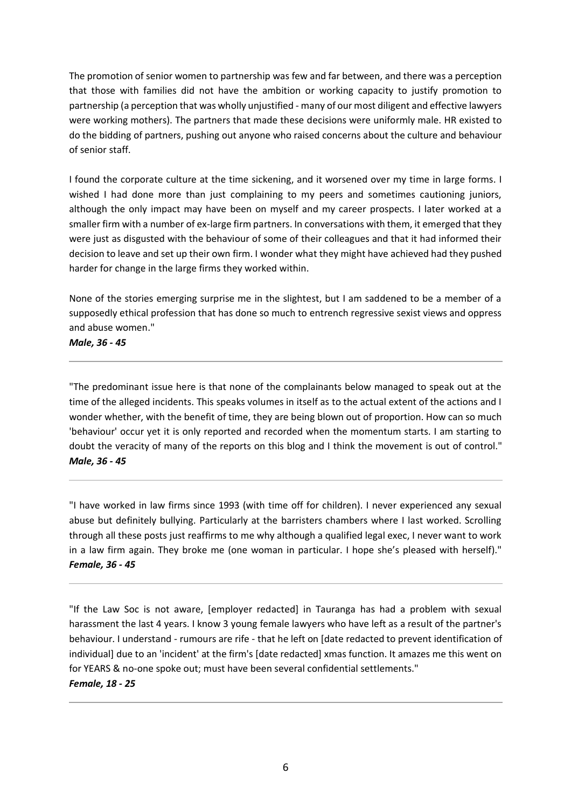The promotion of senior women to partnership was few and far between, and there was a perception that those with families did not have the ambition or working capacity to justify promotion to partnership (a perception that was wholly unjustified - many of our most diligent and effective lawyers were working mothers). The partners that made these decisions were uniformly male. HR existed to do the bidding of partners, pushing out anyone who raised concerns about the culture and behaviour of senior staff.

I found the corporate culture at the time sickening, and it worsened over my time in large forms. I wished I had done more than just complaining to my peers and sometimes cautioning juniors, although the only impact may have been on myself and my career prospects. I later worked at a smaller firm with a number of ex-large firm partners. In conversations with them, it emerged that they were just as disgusted with the behaviour of some of their colleagues and that it had informed their decision to leave and set up their own firm. I wonder what they might have achieved had they pushed harder for change in the large firms they worked within.

None of the stories emerging surprise me in the slightest, but I am saddened to be a member of a supposedly ethical profession that has done so much to entrench regressive sexist views and oppress and abuse women."

*Male, 36 - 45*

"The predominant issue here is that none of the complainants below managed to speak out at the time of the alleged incidents. This speaks volumes in itself as to the actual extent of the actions and I wonder whether, with the benefit of time, they are being blown out of proportion. How can so much 'behaviour' occur yet it is only reported and recorded when the momentum starts. I am starting to doubt the veracity of many of the reports on this blog and I think the movement is out of control." *Male, 36 - 45*

"I have worked in law firms since 1993 (with time off for children). I never experienced any sexual abuse but definitely bullying. Particularly at the barristers chambers where I last worked. Scrolling through all these posts just reaffirms to me why although a qualified legal exec, I never want to work in a law firm again. They broke me (one woman in particular. I hope she's pleased with herself)." *Female, 36 - 45*

"If the Law Soc is not aware, [employer redacted] in Tauranga has had a problem with sexual harassment the last 4 years. I know 3 young female lawyers who have left as a result of the partner's behaviour. I understand - rumours are rife - that he left on [date redacted to prevent identification of individual] due to an 'incident' at the firm's [date redacted] xmas function. It amazes me this went on for YEARS & no-one spoke out; must have been several confidential settlements."

# *Female, 18 - 25*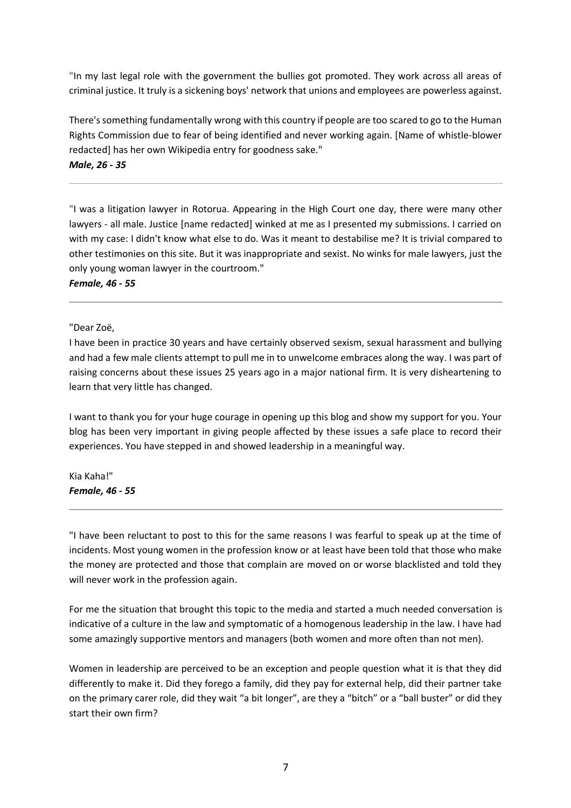"In my last legal role with the government the bullies got promoted. They work across all areas of criminal justice. It truly is a sickening boys' network that unions and employees are powerless against.

There's something fundamentally wrong with this country if people are too scared to go to the Human Rights Commission due to fear of being identified and never working again. [Name of whistle-blower redacted] has her own Wikipedia entry for goodness sake." *Male, 26 - 35*

"I was a litigation lawyer in Rotorua. Appearing in the High Court one day, there were many other lawyers - all male. Justice [name redacted] winked at me as I presented my submissions. I carried on with my case: I didn't know what else to do. Was it meant to destabilise me? It is trivial compared to other testimonies on this site. But it was inappropriate and sexist. No winks for male lawyers, just the only young woman lawyer in the courtroom."

*Female, 46 - 55*

"Dear Zoë,

I have been in practice 30 years and have certainly observed sexism, sexual harassment and bullying and had a few male clients attempt to pull me in to unwelcome embraces along the way. I was part of raising concerns about these issues 25 years ago in a major national firm. It is very disheartening to learn that very little has changed.

I want to thank you for your huge courage in opening up this blog and show my support for you. Your blog has been very important in giving people affected by these issues a safe place to record their experiences. You have stepped in and showed leadership in a meaningful way.

Kia Kaha!" *Female, 46 - 55*

"I have been reluctant to post to this for the same reasons I was fearful to speak up at the time of incidents. Most young women in the profession know or at least have been told that those who make the money are protected and those that complain are moved on or worse blacklisted and told they will never work in the profession again.

For me the situation that brought this topic to the media and started a much needed conversation is indicative of a culture in the law and symptomatic of a homogenous leadership in the law. I have had some amazingly supportive mentors and managers (both women and more often than not men).

Women in leadership are perceived to be an exception and people question what it is that they did differently to make it. Did they forego a family, did they pay for external help, did their partner take on the primary carer role, did they wait "a bit longer", are they a "bitch" or a "ball buster" or did they start their own firm?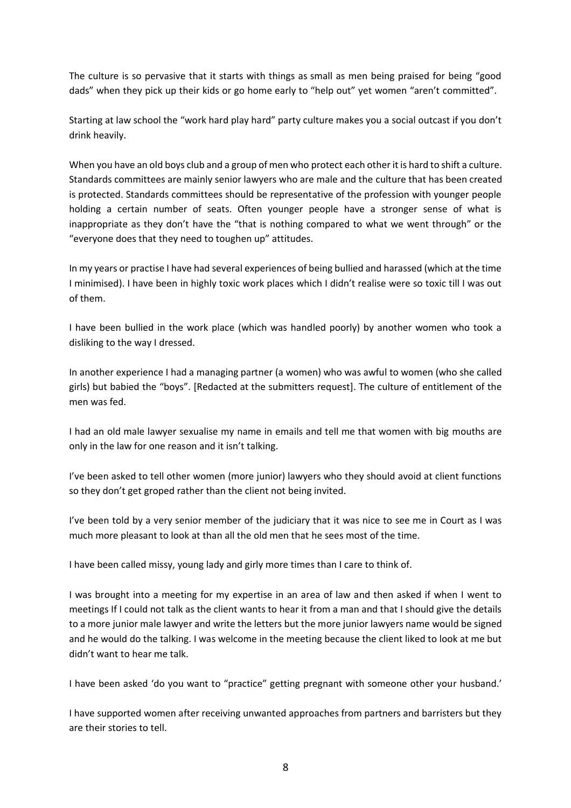The culture is so pervasive that it starts with things as small as men being praised for being "good dads" when they pick up their kids or go home early to "help out" yet women "aren't committed".

Starting at law school the "work hard play hard" party culture makes you a social outcast if you don't drink heavily.

When you have an old boys club and a group of men who protect each other it is hard to shift a culture. Standards committees are mainly senior lawyers who are male and the culture that has been created is protected. Standards committees should be representative of the profession with younger people holding a certain number of seats. Often younger people have a stronger sense of what is inappropriate as they don't have the "that is nothing compared to what we went through" or the "everyone does that they need to toughen up" attitudes.

In my years or practise I have had several experiences of being bullied and harassed (which at the time I minimised). I have been in highly toxic work places which I didn't realise were so toxic till I was out of them.

I have been bullied in the work place (which was handled poorly) by another women who took a disliking to the way I dressed.

In another experience I had a managing partner (a women) who was awful to women (who she called girls) but babied the "boys". [Redacted at the submitters request]. The culture of entitlement of the men was fed.

I had an old male lawyer sexualise my name in emails and tell me that women with big mouths are only in the law for one reason and it isn't talking.

I've been asked to tell other women (more junior) lawyers who they should avoid at client functions so they don't get groped rather than the client not being invited.

I've been told by a very senior member of the judiciary that it was nice to see me in Court as I was much more pleasant to look at than all the old men that he sees most of the time.

I have been called missy, young lady and girly more times than I care to think of.

I was brought into a meeting for my expertise in an area of law and then asked if when I went to meetings If I could not talk as the client wants to hear it from a man and that I should give the details to a more junior male lawyer and write the letters but the more junior lawyers name would be signed and he would do the talking. I was welcome in the meeting because the client liked to look at me but didn't want to hear me talk.

I have been asked 'do you want to "practice" getting pregnant with someone other your husband.'

I have supported women after receiving unwanted approaches from partners and barristers but they are their stories to tell.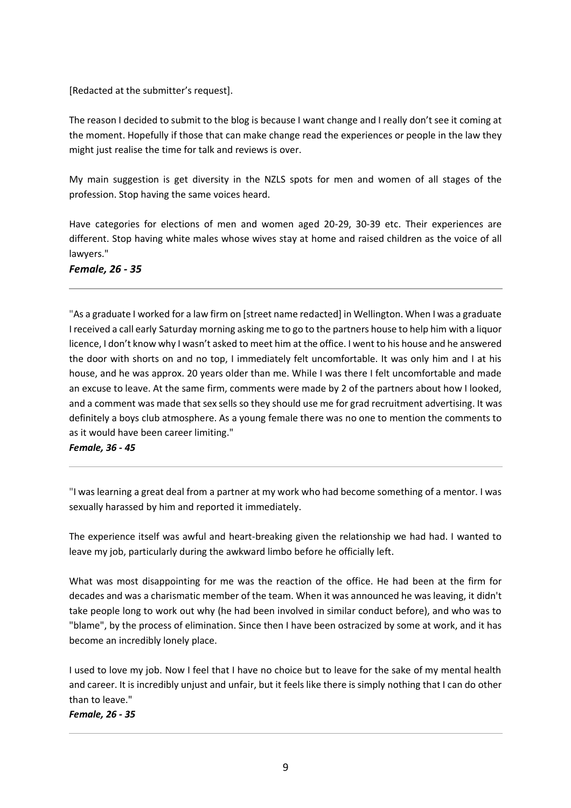# [Redacted at the submitter's request].

The reason I decided to submit to the blog is because I want change and I really don't see it coming at the moment. Hopefully if those that can make change read the experiences or people in the law they might just realise the time for talk and reviews is over.

My main suggestion is get diversity in the NZLS spots for men and women of all stages of the profession. Stop having the same voices heard.

Have categories for elections of men and women aged 20-29, 30-39 etc. Their experiences are different. Stop having white males whose wives stay at home and raised children as the voice of all lawyers."

*Female, 26 - 35*

"As a graduate I worked for a law firm on [street name redacted] in Wellington. When I was a graduate I received a call early Saturday morning asking me to go to the partners house to help him with a liquor licence, I don't know why I wasn't asked to meet him at the office. I went to his house and he answered the door with shorts on and no top, I immediately felt uncomfortable. It was only him and I at his house, and he was approx. 20 years older than me. While I was there I felt uncomfortable and made an excuse to leave. At the same firm, comments were made by 2 of the partners about how I looked, and a comment was made that sex sells so they should use me for grad recruitment advertising. It was definitely a boys club atmosphere. As a young female there was no one to mention the comments to as it would have been career limiting."

*Female, 36 - 45*

"I was learning a great deal from a partner at my work who had become something of a mentor. I was sexually harassed by him and reported it immediately.

The experience itself was awful and heart-breaking given the relationship we had had. I wanted to leave my job, particularly during the awkward limbo before he officially left.

What was most disappointing for me was the reaction of the office. He had been at the firm for decades and was a charismatic member of the team. When it was announced he was leaving, it didn't take people long to work out why (he had been involved in similar conduct before), and who was to "blame", by the process of elimination. Since then I have been ostracized by some at work, and it has become an incredibly lonely place.

I used to love my job. Now I feel that I have no choice but to leave for the sake of my mental health and career. It is incredibly unjust and unfair, but it feels like there is simply nothing that I can do other than to leave."

*Female, 26 - 35*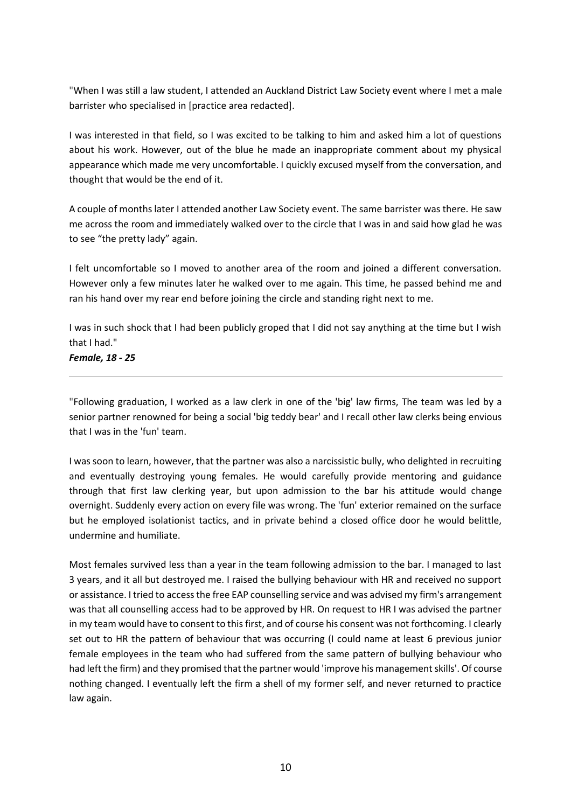"When I was still a law student, I attended an Auckland District Law Society event where I met a male barrister who specialised in [practice area redacted].

I was interested in that field, so I was excited to be talking to him and asked him a lot of questions about his work. However, out of the blue he made an inappropriate comment about my physical appearance which made me very uncomfortable. I quickly excused myself from the conversation, and thought that would be the end of it.

A couple of months later I attended another Law Society event. The same barrister was there. He saw me across the room and immediately walked over to the circle that I was in and said how glad he was to see "the pretty lady" again.

I felt uncomfortable so I moved to another area of the room and joined a different conversation. However only a few minutes later he walked over to me again. This time, he passed behind me and ran his hand over my rear end before joining the circle and standing right next to me.

I was in such shock that I had been publicly groped that I did not say anything at the time but I wish that I had."

*Female, 18 - 25*

"Following graduation, I worked as a law clerk in one of the 'big' law firms, The team was led by a senior partner renowned for being a social 'big teddy bear' and I recall other law clerks being envious that I was in the 'fun' team.

I was soon to learn, however, that the partner was also a narcissistic bully, who delighted in recruiting and eventually destroying young females. He would carefully provide mentoring and guidance through that first law clerking year, but upon admission to the bar his attitude would change overnight. Suddenly every action on every file was wrong. The 'fun' exterior remained on the surface but he employed isolationist tactics, and in private behind a closed office door he would belittle, undermine and humiliate.

Most females survived less than a year in the team following admission to the bar. I managed to last 3 years, and it all but destroyed me. I raised the bullying behaviour with HR and received no support or assistance. I tried to access the free EAP counselling service and was advised my firm's arrangement was that all counselling access had to be approved by HR. On request to HR I was advised the partner in my team would have to consent to this first, and of course his consent was not forthcoming. I clearly set out to HR the pattern of behaviour that was occurring (I could name at least 6 previous junior female employees in the team who had suffered from the same pattern of bullying behaviour who had left the firm) and they promised that the partner would 'improve his management skills'. Of course nothing changed. I eventually left the firm a shell of my former self, and never returned to practice law again.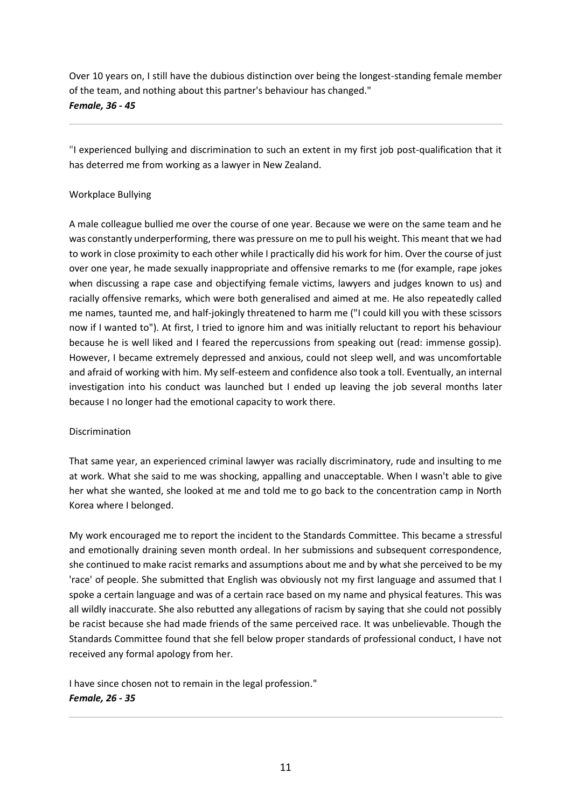Over 10 years on, I still have the dubious distinction over being the longest-standing female member of the team, and nothing about this partner's behaviour has changed." *Female, 36 - 45*

"I experienced bullying and discrimination to such an extent in my first job post-qualification that it has deterred me from working as a lawyer in New Zealand.

# Workplace Bullying

A male colleague bullied me over the course of one year. Because we were on the same team and he was constantly underperforming, there was pressure on me to pull his weight. This meant that we had to work in close proximity to each other while I practically did his work for him. Over the course of just over one year, he made sexually inappropriate and offensive remarks to me (for example, rape jokes when discussing a rape case and objectifying female victims, lawyers and judges known to us) and racially offensive remarks, which were both generalised and aimed at me. He also repeatedly called me names, taunted me, and half-jokingly threatened to harm me ("I could kill you with these scissors now if I wanted to"). At first, I tried to ignore him and was initially reluctant to report his behaviour because he is well liked and I feared the repercussions from speaking out (read: immense gossip). However, I became extremely depressed and anxious, could not sleep well, and was uncomfortable and afraid of working with him. My self-esteem and confidence also took a toll. Eventually, an internal investigation into his conduct was launched but I ended up leaving the job several months later because I no longer had the emotional capacity to work there.

#### Discrimination

That same year, an experienced criminal lawyer was racially discriminatory, rude and insulting to me at work. What she said to me was shocking, appalling and unacceptable. When I wasn't able to give her what she wanted, she looked at me and told me to go back to the concentration camp in North Korea where I belonged.

My work encouraged me to report the incident to the Standards Committee. This became a stressful and emotionally draining seven month ordeal. In her submissions and subsequent correspondence, she continued to make racist remarks and assumptions about me and by what she perceived to be my 'race' of people. She submitted that English was obviously not my first language and assumed that I spoke a certain language and was of a certain race based on my name and physical features. This was all wildly inaccurate. She also rebutted any allegations of racism by saying that she could not possibly be racist because she had made friends of the same perceived race. It was unbelievable. Though the Standards Committee found that she fell below proper standards of professional conduct, I have not received any formal apology from her.

I have since chosen not to remain in the legal profession." *Female, 26 - 35*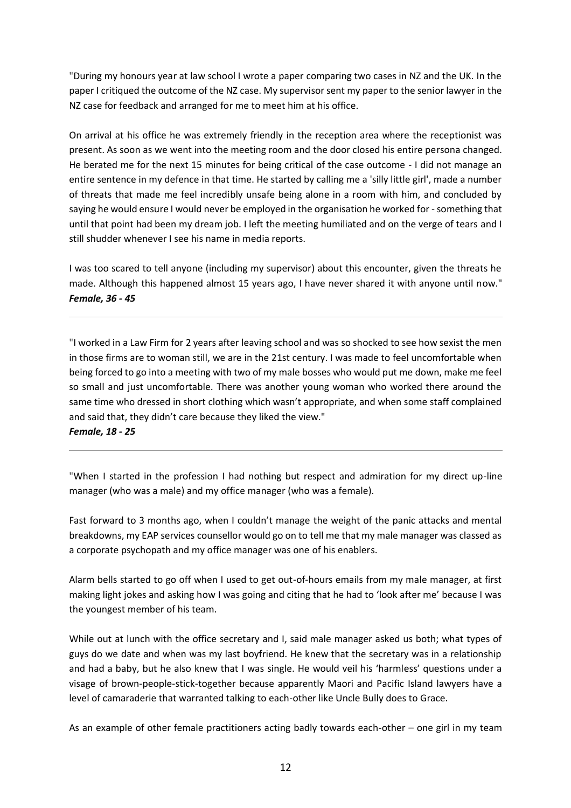"During my honours year at law school I wrote a paper comparing two cases in NZ and the UK. In the paper I critiqued the outcome of the NZ case. My supervisor sent my paper to the senior lawyer in the NZ case for feedback and arranged for me to meet him at his office.

On arrival at his office he was extremely friendly in the reception area where the receptionist was present. As soon as we went into the meeting room and the door closed his entire persona changed. He berated me for the next 15 minutes for being critical of the case outcome - I did not manage an entire sentence in my defence in that time. He started by calling me a 'silly little girl', made a number of threats that made me feel incredibly unsafe being alone in a room with him, and concluded by saying he would ensure I would never be employed in the organisation he worked for - something that until that point had been my dream job. I left the meeting humiliated and on the verge of tears and I still shudder whenever I see his name in media reports.

I was too scared to tell anyone (including my supervisor) about this encounter, given the threats he made. Although this happened almost 15 years ago, I have never shared it with anyone until now." *Female, 36 - 45*

"I worked in a Law Firm for 2 years after leaving school and was so shocked to see how sexist the men in those firms are to woman still, we are in the 21st century. I was made to feel uncomfortable when being forced to go into a meeting with two of my male bosses who would put me down, make me feel so small and just uncomfortable. There was another young woman who worked there around the same time who dressed in short clothing which wasn't appropriate, and when some staff complained and said that, they didn't care because they liked the view."

# *Female, 18 - 25*

"When I started in the profession I had nothing but respect and admiration for my direct up-line manager (who was a male) and my office manager (who was a female).

Fast forward to 3 months ago, when I couldn't manage the weight of the panic attacks and mental breakdowns, my EAP services counsellor would go on to tell me that my male manager was classed as a corporate psychopath and my office manager was one of his enablers.

Alarm bells started to go off when I used to get out-of-hours emails from my male manager, at first making light jokes and asking how I was going and citing that he had to 'look after me' because I was the youngest member of his team.

While out at lunch with the office secretary and I, said male manager asked us both; what types of guys do we date and when was my last boyfriend. He knew that the secretary was in a relationship and had a baby, but he also knew that I was single. He would veil his 'harmless' questions under a visage of brown-people-stick-together because apparently Maori and Pacific Island lawyers have a level of camaraderie that warranted talking to each-other like Uncle Bully does to Grace.

As an example of other female practitioners acting badly towards each-other – one girl in my team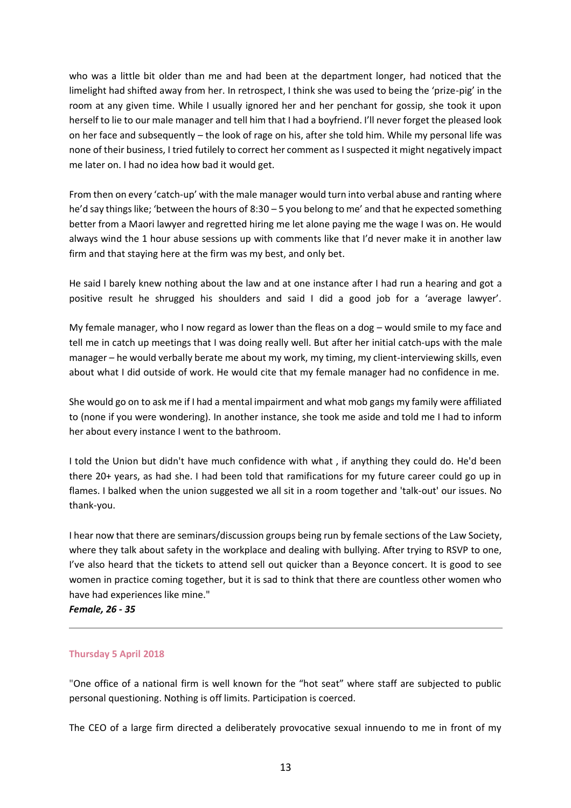who was a little bit older than me and had been at the department longer, had noticed that the limelight had shifted away from her. In retrospect, I think she was used to being the 'prize-pig' in the room at any given time. While I usually ignored her and her penchant for gossip, she took it upon herself to lie to our male manager and tell him that I had a boyfriend. I'll never forget the pleased look on her face and subsequently – the look of rage on his, after she told him. While my personal life was none of their business, I tried futilely to correct her comment as I suspected it might negatively impact me later on. I had no idea how bad it would get.

From then on every 'catch-up' with the male manager would turn into verbal abuse and ranting where he'd say things like; 'between the hours of 8:30 – 5 you belong to me' and that he expected something better from a Maori lawyer and regretted hiring me let alone paying me the wage I was on. He would always wind the 1 hour abuse sessions up with comments like that I'd never make it in another law firm and that staying here at the firm was my best, and only bet.

He said I barely knew nothing about the law and at one instance after I had run a hearing and got a positive result he shrugged his shoulders and said I did a good job for a 'average lawyer'.

My female manager, who I now regard as lower than the fleas on a dog – would smile to my face and tell me in catch up meetings that I was doing really well. But after her initial catch-ups with the male manager – he would verbally berate me about my work, my timing, my client-interviewing skills, even about what I did outside of work. He would cite that my female manager had no confidence in me.

She would go on to ask me if I had a mental impairment and what mob gangs my family were affiliated to (none if you were wondering). In another instance, she took me aside and told me I had to inform her about every instance I went to the bathroom.

I told the Union but didn't have much confidence with what , if anything they could do. He'd been there 20+ years, as had she. I had been told that ramifications for my future career could go up in flames. I balked when the union suggested we all sit in a room together and 'talk-out' our issues. No thank-you.

I hear now that there are seminars/discussion groups being run by female sections of the Law Society, where they talk about safety in the workplace and dealing with bullying. After trying to RSVP to one, I've also heard that the tickets to attend sell out quicker than a Beyonce concert. It is good to see women in practice coming together, but it is sad to think that there are countless other women who have had experiences like mine."

*Female, 26 - 35*

#### **Thursday 5 April 2018**

"One office of a national firm is well known for the "hot seat" where staff are subjected to public personal questioning. Nothing is off limits. Participation is coerced.

The CEO of a large firm directed a deliberately provocative sexual innuendo to me in front of my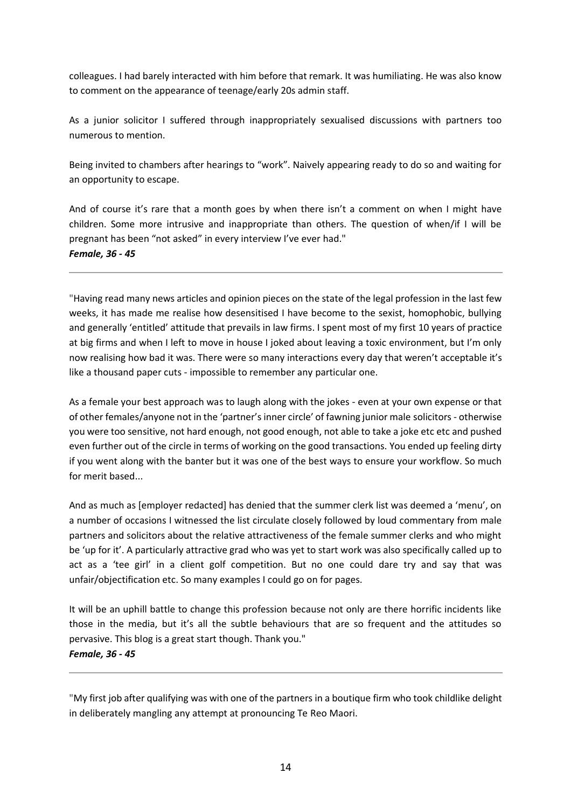colleagues. I had barely interacted with him before that remark. It was humiliating. He was also know to comment on the appearance of teenage/early 20s admin staff.

As a junior solicitor I suffered through inappropriately sexualised discussions with partners too numerous to mention.

Being invited to chambers after hearings to "work". Naively appearing ready to do so and waiting for an opportunity to escape.

And of course it's rare that a month goes by when there isn't a comment on when I might have children. Some more intrusive and inappropriate than others. The question of when/if I will be pregnant has been "not asked" in every interview I've ever had." *Female, 36 - 45*

"Having read many news articles and opinion pieces on the state of the legal profession in the last few weeks, it has made me realise how desensitised I have become to the sexist, homophobic, bullying and generally 'entitled' attitude that prevails in law firms. I spent most of my first 10 years of practice at big firms and when I left to move in house I joked about leaving a toxic environment, but I'm only now realising how bad it was. There were so many interactions every day that weren't acceptable it's like a thousand paper cuts - impossible to remember any particular one.

As a female your best approach was to laugh along with the jokes - even at your own expense or that of other females/anyone not in the 'partner's inner circle' of fawning junior male solicitors - otherwise you were too sensitive, not hard enough, not good enough, not able to take a joke etc etc and pushed even further out of the circle in terms of working on the good transactions. You ended up feeling dirty if you went along with the banter but it was one of the best ways to ensure your workflow. So much for merit based...

And as much as [employer redacted] has denied that the summer clerk list was deemed a 'menu', on a number of occasions I witnessed the list circulate closely followed by loud commentary from male partners and solicitors about the relative attractiveness of the female summer clerks and who might be 'up for it'. A particularly attractive grad who was yet to start work was also specifically called up to act as a 'tee girl' in a client golf competition. But no one could dare try and say that was unfair/objectification etc. So many examples I could go on for pages.

It will be an uphill battle to change this profession because not only are there horrific incidents like those in the media, but it's all the subtle behaviours that are so frequent and the attitudes so pervasive. This blog is a great start though. Thank you." *Female, 36 - 45*

"My first job after qualifying was with one of the partners in a boutique firm who took childlike delight in deliberately mangling any attempt at pronouncing Te Reo Maori.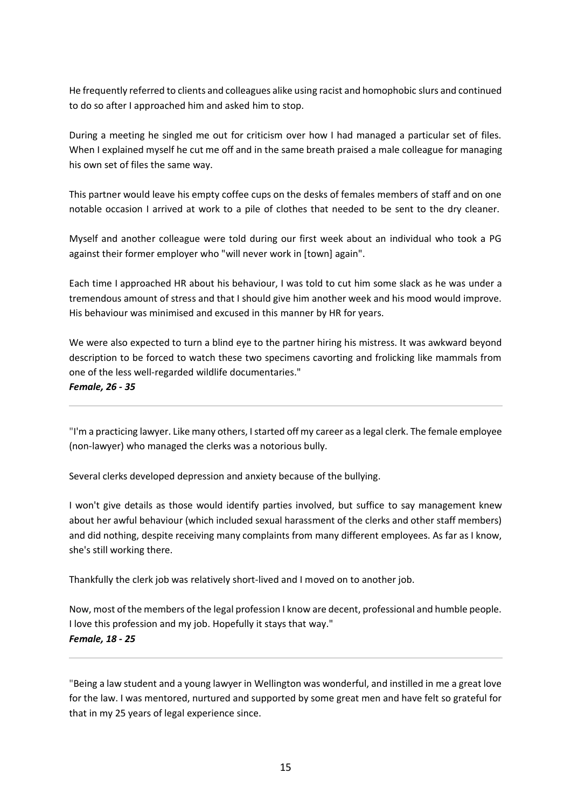He frequently referred to clients and colleagues alike using racist and homophobic slurs and continued to do so after I approached him and asked him to stop.

During a meeting he singled me out for criticism over how I had managed a particular set of files. When I explained myself he cut me off and in the same breath praised a male colleague for managing his own set of files the same way.

This partner would leave his empty coffee cups on the desks of females members of staff and on one notable occasion I arrived at work to a pile of clothes that needed to be sent to the dry cleaner.

Myself and another colleague were told during our first week about an individual who took a PG against their former employer who "will never work in [town] again".

Each time I approached HR about his behaviour, I was told to cut him some slack as he was under a tremendous amount of stress and that I should give him another week and his mood would improve. His behaviour was minimised and excused in this manner by HR for years.

We were also expected to turn a blind eye to the partner hiring his mistress. It was awkward beyond description to be forced to watch these two specimens cavorting and frolicking like mammals from one of the less well-regarded wildlife documentaries."

*Female, 26 - 35*

"I'm a practicing lawyer. Like many others, I started off my career as a legal clerk. The female employee (non-lawyer) who managed the clerks was a notorious bully.

Several clerks developed depression and anxiety because of the bullying.

I won't give details as those would identify parties involved, but suffice to say management knew about her awful behaviour (which included sexual harassment of the clerks and other staff members) and did nothing, despite receiving many complaints from many different employees. As far as I know, she's still working there.

Thankfully the clerk job was relatively short-lived and I moved on to another job.

Now, most of the members of the legal profession I know are decent, professional and humble people. I love this profession and my job. Hopefully it stays that way." *Female, 18 - 25*

"Being a law student and a young lawyer in Wellington was wonderful, and instilled in me a great love for the law. I was mentored, nurtured and supported by some great men and have felt so grateful for that in my 25 years of legal experience since.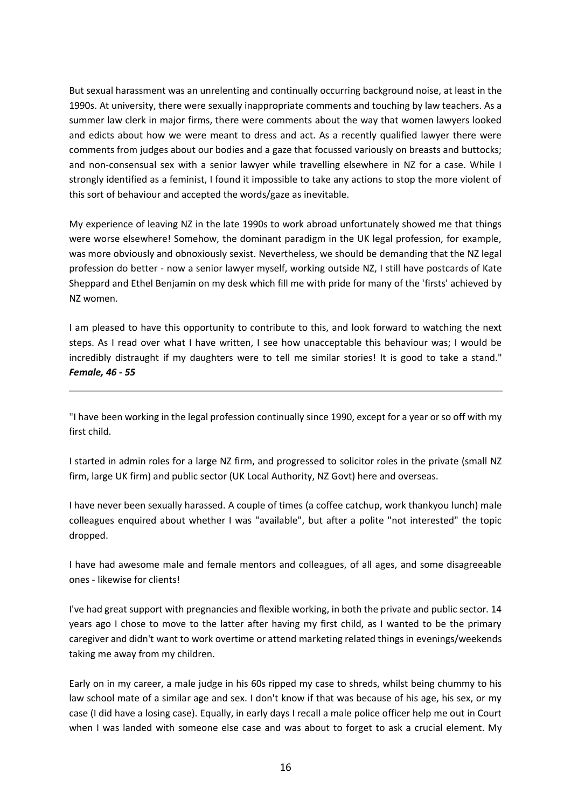But sexual harassment was an unrelenting and continually occurring background noise, at least in the 1990s. At university, there were sexually inappropriate comments and touching by law teachers. As a summer law clerk in major firms, there were comments about the way that women lawyers looked and edicts about how we were meant to dress and act. As a recently qualified lawyer there were comments from judges about our bodies and a gaze that focussed variously on breasts and buttocks; and non-consensual sex with a senior lawyer while travelling elsewhere in NZ for a case. While I strongly identified as a feminist, I found it impossible to take any actions to stop the more violent of this sort of behaviour and accepted the words/gaze as inevitable.

My experience of leaving NZ in the late 1990s to work abroad unfortunately showed me that things were worse elsewhere! Somehow, the dominant paradigm in the UK legal profession, for example, was more obviously and obnoxiously sexist. Nevertheless, we should be demanding that the NZ legal profession do better - now a senior lawyer myself, working outside NZ, I still have postcards of Kate Sheppard and Ethel Benjamin on my desk which fill me with pride for many of the 'firsts' achieved by NZ women.

I am pleased to have this opportunity to contribute to this, and look forward to watching the next steps. As I read over what I have written, I see how unacceptable this behaviour was; I would be incredibly distraught if my daughters were to tell me similar stories! It is good to take a stand." *Female, 46 - 55*

"I have been working in the legal profession continually since 1990, except for a year or so off with my first child.

I started in admin roles for a large NZ firm, and progressed to solicitor roles in the private (small NZ firm, large UK firm) and public sector (UK Local Authority, NZ Govt) here and overseas.

I have never been sexually harassed. A couple of times (a coffee catchup, work thankyou lunch) male colleagues enquired about whether I was "available", but after a polite "not interested" the topic dropped.

I have had awesome male and female mentors and colleagues, of all ages, and some disagreeable ones - likewise for clients!

I've had great support with pregnancies and flexible working, in both the private and public sector. 14 years ago I chose to move to the latter after having my first child, as I wanted to be the primary caregiver and didn't want to work overtime or attend marketing related things in evenings/weekends taking me away from my children.

Early on in my career, a male judge in his 60s ripped my case to shreds, whilst being chummy to his law school mate of a similar age and sex. I don't know if that was because of his age, his sex, or my case (I did have a losing case). Equally, in early days I recall a male police officer help me out in Court when I was landed with someone else case and was about to forget to ask a crucial element. My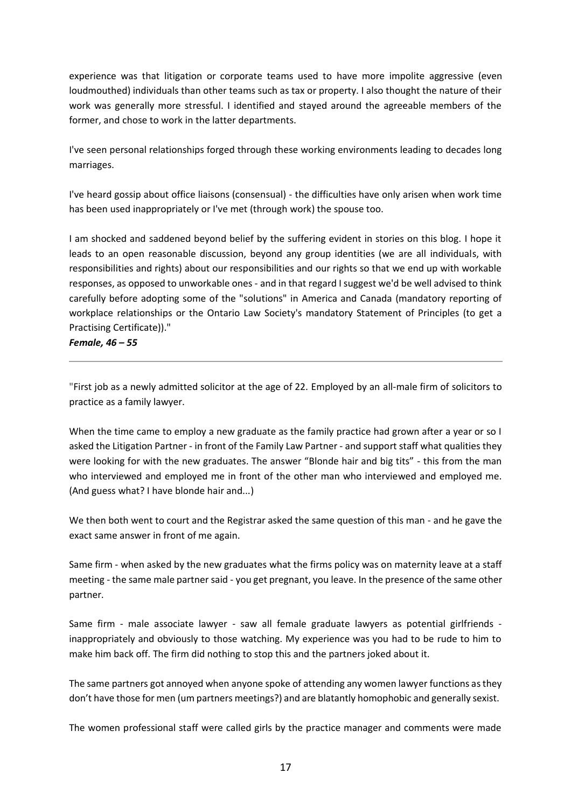experience was that litigation or corporate teams used to have more impolite aggressive (even loudmouthed) individuals than other teams such as tax or property. I also thought the nature of their work was generally more stressful. I identified and stayed around the agreeable members of the former, and chose to work in the latter departments.

I've seen personal relationships forged through these working environments leading to decades long marriages.

I've heard gossip about office liaisons (consensual) - the difficulties have only arisen when work time has been used inappropriately or I've met (through work) the spouse too.

I am shocked and saddened beyond belief by the suffering evident in stories on this blog. I hope it leads to an open reasonable discussion, beyond any group identities (we are all individuals, with responsibilities and rights) about our responsibilities and our rights so that we end up with workable responses, as opposed to unworkable ones - and in that regard I suggest we'd be well advised to think carefully before adopting some of the "solutions" in America and Canada (mandatory reporting of workplace relationships or the Ontario Law Society's mandatory Statement of Principles (to get a Practising Certificate))."

*Female, 46 – 55*

"First job as a newly admitted solicitor at the age of 22. Employed by an all-male firm of solicitors to practice as a family lawyer.

When the time came to employ a new graduate as the family practice had grown after a year or so I asked the Litigation Partner - in front of the Family Law Partner - and support staff what qualities they were looking for with the new graduates. The answer "Blonde hair and big tits" - this from the man who interviewed and employed me in front of the other man who interviewed and employed me. (And guess what? I have blonde hair and...)

We then both went to court and the Registrar asked the same question of this man - and he gave the exact same answer in front of me again.

Same firm - when asked by the new graduates what the firms policy was on maternity leave at a staff meeting - the same male partner said - you get pregnant, you leave. In the presence of the same other partner.

Same firm - male associate lawyer - saw all female graduate lawyers as potential girlfriends inappropriately and obviously to those watching. My experience was you had to be rude to him to make him back off. The firm did nothing to stop this and the partners joked about it.

The same partners got annoyed when anyone spoke of attending any women lawyer functions as they don't have those for men (um partners meetings?) and are blatantly homophobic and generally sexist.

The women professional staff were called girls by the practice manager and comments were made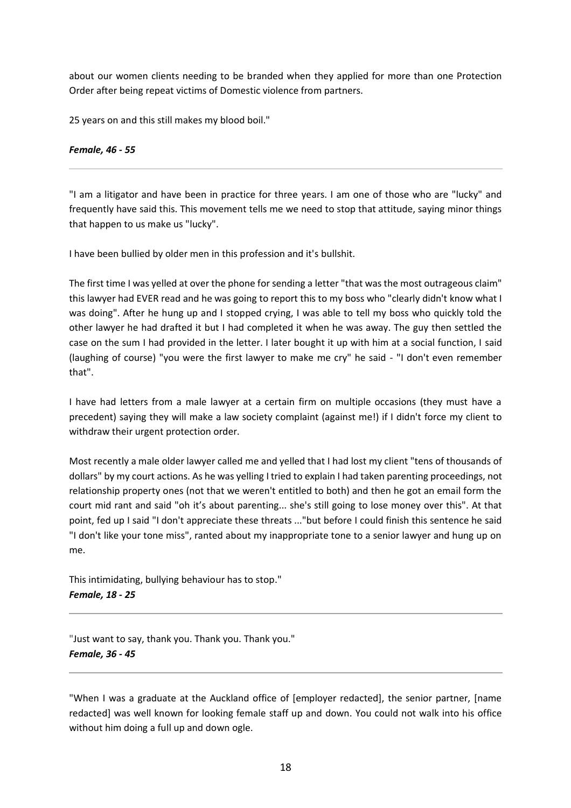about our women clients needing to be branded when they applied for more than one Protection Order after being repeat victims of Domestic violence from partners.

25 years on and this still makes my blood boil."

## *Female, 46 - 55*

"I am a litigator and have been in practice for three years. I am one of those who are "lucky" and frequently have said this. This movement tells me we need to stop that attitude, saying minor things that happen to us make us "lucky".

I have been bullied by older men in this profession and it's bullshit.

The first time I was yelled at over the phone for sending a letter "that was the most outrageous claim" this lawyer had EVER read and he was going to report this to my boss who "clearly didn't know what I was doing". After he hung up and I stopped crying, I was able to tell my boss who quickly told the other lawyer he had drafted it but I had completed it when he was away. The guy then settled the case on the sum I had provided in the letter. I later bought it up with him at a social function, I said (laughing of course) "you were the first lawyer to make me cry" he said - "I don't even remember that".

I have had letters from a male lawyer at a certain firm on multiple occasions (they must have a precedent) saying they will make a law society complaint (against me!) if I didn't force my client to withdraw their urgent protection order.

Most recently a male older lawyer called me and yelled that I had lost my client "tens of thousands of dollars" by my court actions. As he was yelling I tried to explain I had taken parenting proceedings, not relationship property ones (not that we weren't entitled to both) and then he got an email form the court mid rant and said "oh it's about parenting... she's still going to lose money over this". At that point, fed up I said "I don't appreciate these threats ..."but before I could finish this sentence he said "I don't like your tone miss", ranted about my inappropriate tone to a senior lawyer and hung up on me.

This intimidating, bullying behaviour has to stop." *Female, 18 - 25*

"Just want to say, thank you. Thank you. Thank you." *Female, 36 - 45*

"When I was a graduate at the Auckland office of [employer redacted], the senior partner, [name redacted] was well known for looking female staff up and down. You could not walk into his office without him doing a full up and down ogle.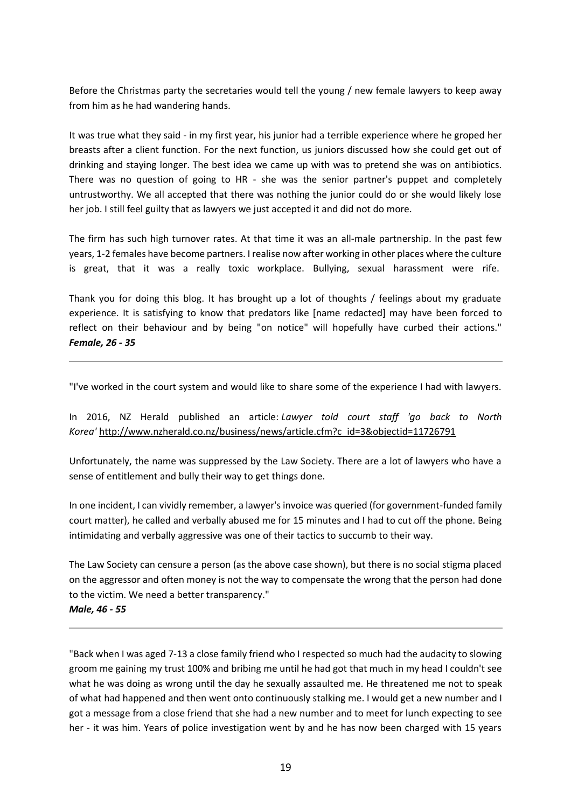Before the Christmas party the secretaries would tell the young / new female lawyers to keep away from him as he had wandering hands.

It was true what they said - in my first year, his junior had a terrible experience where he groped her breasts after a client function. For the next function, us juniors discussed how she could get out of drinking and staying longer. The best idea we came up with was to pretend she was on antibiotics. There was no question of going to HR - she was the senior partner's puppet and completely untrustworthy. We all accepted that there was nothing the junior could do or she would likely lose her job. I still feel guilty that as lawyers we just accepted it and did not do more.

The firm has such high turnover rates. At that time it was an all-male partnership. In the past few years, 1-2 females have become partners. I realise now after working in other places where the culture is great, that it was a really toxic workplace. Bullying, sexual harassment were rife.

Thank you for doing this blog. It has brought up a lot of thoughts / feelings about my graduate experience. It is satisfying to know that predators like [name redacted] may have been forced to reflect on their behaviour and by being "on notice" will hopefully have curbed their actions." *Female, 26 - 35*

"I've worked in the court system and would like to share some of the experience I had with lawyers.

In 2016, NZ Herald published an article: *Lawyer told court staff 'go back to North Korea'* http://www.nzherald.co.nz/business/news/article.cfm?c\_id=3&objectid=11726791

Unfortunately, the name was suppressed by the Law Society. There are a lot of lawyers who have a sense of entitlement and bully their way to get things done.

In one incident, I can vividly remember, a lawyer's invoice was queried (for government-funded family court matter), he called and verbally abused me for 15 minutes and I had to cut off the phone. Being intimidating and verbally aggressive was one of their tactics to succumb to their way.

The Law Society can censure a person (as the above case shown), but there is no social stigma placed on the aggressor and often money is not the way to compensate the wrong that the person had done to the victim. We need a better transparency."

#### *Male, 46 - 55*

"Back when I was aged 7-13 a close family friend who I respected so much had the audacity to slowing groom me gaining my trust 100% and bribing me until he had got that much in my head I couldn't see what he was doing as wrong until the day he sexually assaulted me. He threatened me not to speak of what had happened and then went onto continuously stalking me. I would get a new number and I got a message from a close friend that she had a new number and to meet for lunch expecting to see her - it was him. Years of police investigation went by and he has now been charged with 15 years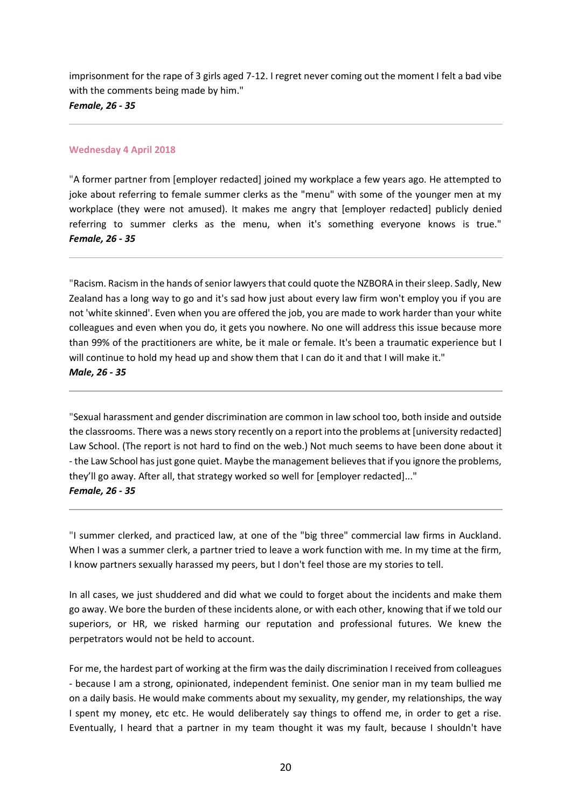imprisonment for the rape of 3 girls aged 7-12. I regret never coming out the moment I felt a bad vibe with the comments being made by him." *Female, 26 - 35*

#### **Wednesday 4 April 2018**

"A former partner from [employer redacted] joined my workplace a few years ago. He attempted to joke about referring to female summer clerks as the "menu" with some of the younger men at my workplace (they were not amused). It makes me angry that [employer redacted] publicly denied referring to summer clerks as the menu, when it's something everyone knows is true." *Female, 26 - 35*

"Racism. Racism in the hands of senior lawyers that could quote the NZBORA in their sleep. Sadly, New Zealand has a long way to go and it's sad how just about every law firm won't employ you if you are not 'white skinned'. Even when you are offered the job, you are made to work harder than your white colleagues and even when you do, it gets you nowhere. No one will address this issue because more than 99% of the practitioners are white, be it male or female. It's been a traumatic experience but I will continue to hold my head up and show them that I can do it and that I will make it." *Male, 26 - 35*

"Sexual harassment and gender discrimination are common in law school too, both inside and outside the classrooms. There was a news story recently on a report into the problems at [university redacted] Law School. (The report is not hard to find on the web.) Not much seems to have been done about it - the Law School has just gone quiet. Maybe the management believes that if you ignore the problems, they'll go away. After all, that strategy worked so well for [employer redacted]..." *Female, 26 - 35*

"I summer clerked, and practiced law, at one of the "big three" commercial law firms in Auckland. When I was a summer clerk, a partner tried to leave a work function with me. In my time at the firm, I know partners sexually harassed my peers, but I don't feel those are my stories to tell.

In all cases, we just shuddered and did what we could to forget about the incidents and make them go away. We bore the burden of these incidents alone, or with each other, knowing that if we told our superiors, or HR, we risked harming our reputation and professional futures. We knew the perpetrators would not be held to account.

For me, the hardest part of working at the firm was the daily discrimination I received from colleagues - because I am a strong, opinionated, independent feminist. One senior man in my team bullied me on a daily basis. He would make comments about my sexuality, my gender, my relationships, the way I spent my money, etc etc. He would deliberately say things to offend me, in order to get a rise. Eventually, I heard that a partner in my team thought it was my fault, because I shouldn't have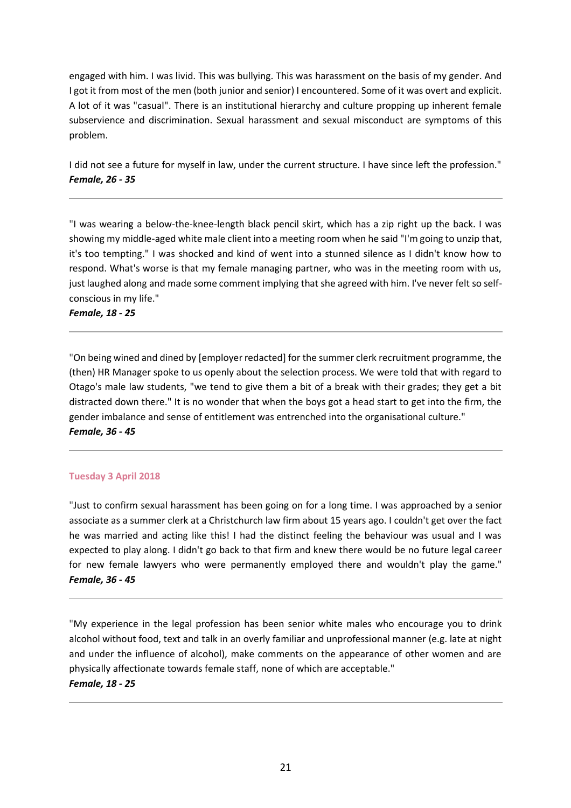engaged with him. I was livid. This was bullying. This was harassment on the basis of my gender. And I got it from most of the men (both junior and senior) I encountered. Some of it was overt and explicit. A lot of it was "casual". There is an institutional hierarchy and culture propping up inherent female subservience and discrimination. Sexual harassment and sexual misconduct are symptoms of this problem.

I did not see a future for myself in law, under the current structure. I have since left the profession." *Female, 26 - 35*

"I was wearing a below-the-knee-length black pencil skirt, which has a zip right up the back. I was showing my middle-aged white male client into a meeting room when he said "I'm going to unzip that, it's too tempting." I was shocked and kind of went into a stunned silence as I didn't know how to respond. What's worse is that my female managing partner, who was in the meeting room with us, just laughed along and made some comment implying that she agreed with him. I've never felt so selfconscious in my life."

*Female, 18 - 25*

"On being wined and dined by [employer redacted] for the summer clerk recruitment programme, the (then) HR Manager spoke to us openly about the selection process. We were told that with regard to Otago's male law students, "we tend to give them a bit of a break with their grades; they get a bit distracted down there." It is no wonder that when the boys got a head start to get into the firm, the gender imbalance and sense of entitlement was entrenched into the organisational culture." *Female, 36 - 45*

# **Tuesday 3 April 2018**

"Just to confirm sexual harassment has been going on for a long time. I was approached by a senior associate as a summer clerk at a Christchurch law firm about 15 years ago. I couldn't get over the fact he was married and acting like this! I had the distinct feeling the behaviour was usual and I was expected to play along. I didn't go back to that firm and knew there would be no future legal career for new female lawyers who were permanently employed there and wouldn't play the game." *Female, 36 - 45*

"My experience in the legal profession has been senior white males who encourage you to drink alcohol without food, text and talk in an overly familiar and unprofessional manner (e.g. late at night and under the influence of alcohol), make comments on the appearance of other women and are physically affectionate towards female staff, none of which are acceptable." *Female, 18 - 25*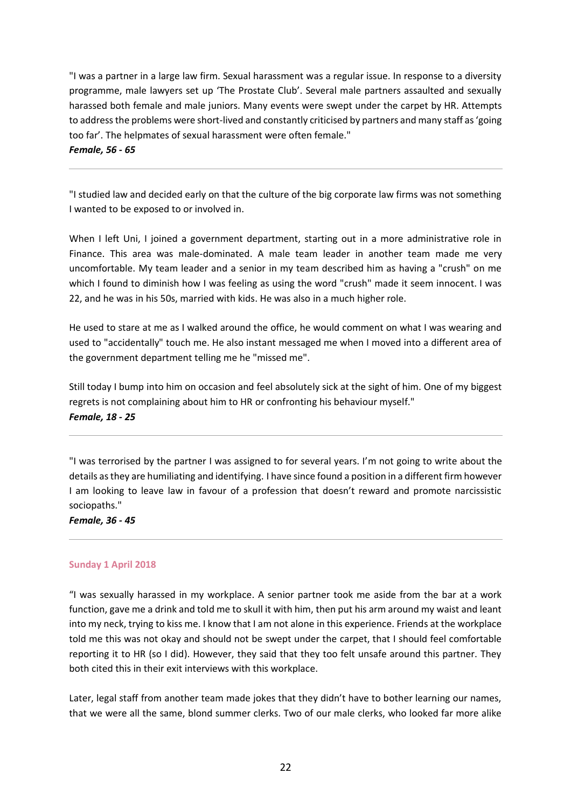"I was a partner in a large law firm. Sexual harassment was a regular issue. In response to a diversity programme, male lawyers set up 'The Prostate Club'. Several male partners assaulted and sexually harassed both female and male juniors. Many events were swept under the carpet by HR. Attempts to address the problems were short-lived and constantly criticised by partners and many staff as 'going too far'. The helpmates of sexual harassment were often female."

*Female, 56 - 65*

"I studied law and decided early on that the culture of the big corporate law firms was not something I wanted to be exposed to or involved in.

When I left Uni, I joined a government department, starting out in a more administrative role in Finance. This area was male-dominated. A male team leader in another team made me very uncomfortable. My team leader and a senior in my team described him as having a "crush" on me which I found to diminish how I was feeling as using the word "crush" made it seem innocent. I was 22, and he was in his 50s, married with kids. He was also in a much higher role.

He used to stare at me as I walked around the office, he would comment on what I was wearing and used to "accidentally" touch me. He also instant messaged me when I moved into a different area of the government department telling me he "missed me".

Still today I bump into him on occasion and feel absolutely sick at the sight of him. One of my biggest regrets is not complaining about him to HR or confronting his behaviour myself." *Female, 18 - 25*

"I was terrorised by the partner I was assigned to for several years. I'm not going to write about the details as they are humiliating and identifying. I have since found a position in a different firm however I am looking to leave law in favour of a profession that doesn't reward and promote narcissistic sociopaths."

*Female, 36 - 45*

#### **Sunday 1 April 2018**

"I was sexually harassed in my workplace. A senior partner took me aside from the bar at a work function, gave me a drink and told me to skull it with him, then put his arm around my waist and leant into my neck, trying to kiss me. I know that I am not alone in this experience. Friends at the workplace told me this was not okay and should not be swept under the carpet, that I should feel comfortable reporting it to HR (so I did). However, they said that they too felt unsafe around this partner. They both cited this in their exit interviews with this workplace.

Later, legal staff from another team made jokes that they didn't have to bother learning our names, that we were all the same, blond summer clerks. Two of our male clerks, who looked far more alike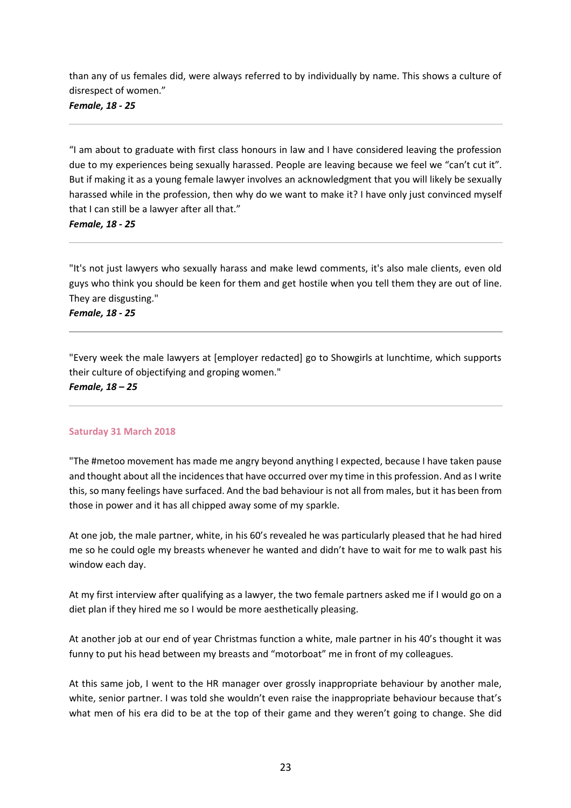than any of us females did, were always referred to by individually by name. This shows a culture of disrespect of women."

*Female, 18 - 25*

"I am about to graduate with first class honours in law and I have considered leaving the profession due to my experiences being sexually harassed. People are leaving because we feel we "can't cut it". But if making it as a young female lawyer involves an acknowledgment that you will likely be sexually harassed while in the profession, then why do we want to make it? I have only just convinced myself that I can still be a lawyer after all that."

*Female, 18 - 25*

"It's not just lawyers who sexually harass and make lewd comments, it's also male clients, even old guys who think you should be keen for them and get hostile when you tell them they are out of line. They are disgusting."

*Female, 18 - 25*

"Every week the male lawyers at [employer redacted] go to Showgirls at lunchtime, which supports their culture of objectifying and groping women." *Female, 18 – 25*

#### **Saturday 31 March 2018**

"The #metoo movement has made me angry beyond anything I expected, because I have taken pause and thought about all the incidences that have occurred over my time in this profession. And as I write this, so many feelings have surfaced. And the bad behaviour is not all from males, but it has been from those in power and it has all chipped away some of my sparkle.

At one job, the male partner, white, in his 60's revealed he was particularly pleased that he had hired me so he could ogle my breasts whenever he wanted and didn't have to wait for me to walk past his window each day.

At my first interview after qualifying as a lawyer, the two female partners asked me if I would go on a diet plan if they hired me so I would be more aesthetically pleasing.

At another job at our end of year Christmas function a white, male partner in his 40's thought it was funny to put his head between my breasts and "motorboat" me in front of my colleagues.

At this same job, I went to the HR manager over grossly inappropriate behaviour by another male, white, senior partner. I was told she wouldn't even raise the inappropriate behaviour because that's what men of his era did to be at the top of their game and they weren't going to change. She did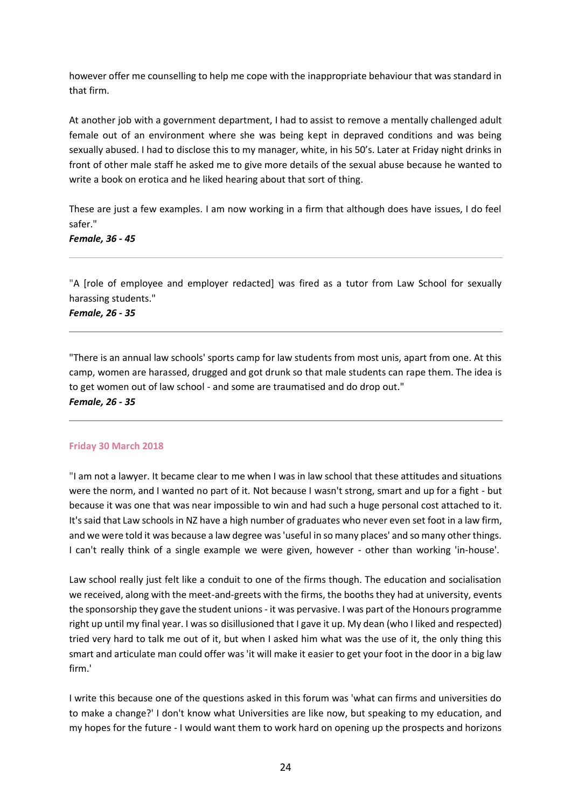however offer me counselling to help me cope with the inappropriate behaviour that was standard in that firm.

At another job with a government department, I had to assist to remove a mentally challenged adult female out of an environment where she was being kept in depraved conditions and was being sexually abused. I had to disclose this to my manager, white, in his 50's. Later at Friday night drinks in front of other male staff he asked me to give more details of the sexual abuse because he wanted to write a book on erotica and he liked hearing about that sort of thing.

These are just a few examples. I am now working in a firm that although does have issues, I do feel safer."

#### *Female, 36 - 45*

"A [role of employee and employer redacted] was fired as a tutor from Law School for sexually harassing students."

# *Female, 26 - 35*

"There is an annual law schools' sports camp for law students from most unis, apart from one. At this camp, women are harassed, drugged and got drunk so that male students can rape them. The idea is to get women out of law school - and some are traumatised and do drop out." *Female, 26 - 35*

#### **Friday 30 March 2018**

"I am not a lawyer. It became clear to me when I was in law school that these attitudes and situations were the norm, and I wanted no part of it. Not because I wasn't strong, smart and up for a fight - but because it was one that was near impossible to win and had such a huge personal cost attached to it. It's said that Law schools in NZ have a high number of graduates who never even set foot in a law firm, and we were told it was because a law degree was 'useful in so many places' and so many other things. I can't really think of a single example we were given, however - other than working 'in-house'.

Law school really just felt like a conduit to one of the firms though. The education and socialisation we received, along with the meet-and-greets with the firms, the booths they had at university, events the sponsorship they gave the student unions - it was pervasive. I was part of the Honours programme right up until my final year. I was so disillusioned that I gave it up. My dean (who I liked and respected) tried very hard to talk me out of it, but when I asked him what was the use of it, the only thing this smart and articulate man could offer was 'it will make it easier to get your foot in the door in a big law firm.'

I write this because one of the questions asked in this forum was 'what can firms and universities do to make a change?' I don't know what Universities are like now, but speaking to my education, and my hopes for the future - I would want them to work hard on opening up the prospects and horizons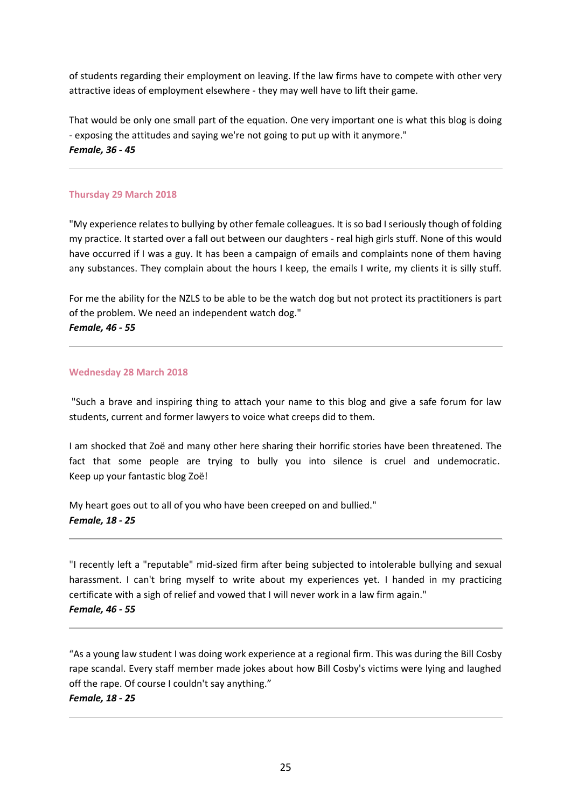of students regarding their employment on leaving. If the law firms have to compete with other very attractive ideas of employment elsewhere - they may well have to lift their game.

That would be only one small part of the equation. One very important one is what this blog is doing - exposing the attitudes and saying we're not going to put up with it anymore." *Female, 36 - 45*

#### **Thursday 29 March 2018**

"My experience relates to bullying by other female colleagues. It is so bad I seriously though of folding my practice. It started over a fall out between our daughters - real high girls stuff. None of this would have occurred if I was a guy. It has been a campaign of emails and complaints none of them having any substances. They complain about the hours I keep, the emails I write, my clients it is silly stuff.

For me the ability for the NZLS to be able to be the watch dog but not protect its practitioners is part of the problem. We need an independent watch dog." *Female, 46 - 55*

#### **Wednesday 28 March 2018**

"Such a brave and inspiring thing to attach your name to this blog and give a safe forum for law students, current and former lawyers to voice what creeps did to them.

I am shocked that Zoë and many other here sharing their horrific stories have been threatened. The fact that some people are trying to bully you into silence is cruel and undemocratic. Keep up your fantastic blog Zoë!

My heart goes out to all of you who have been creeped on and bullied." *Female, 18 - 25*

"I recently left a "reputable" mid-sized firm after being subjected to intolerable bullying and sexual harassment. I can't bring myself to write about my experiences yet. I handed in my practicing certificate with a sigh of relief and vowed that I will never work in a law firm again." *Female, 46 - 55*

"As a young law student I was doing work experience at a regional firm. This was during the Bill Cosby rape scandal. Every staff member made jokes about how Bill Cosby's victims were lying and laughed off the rape. Of course I couldn't say anything."

# *Female, 18 - 25*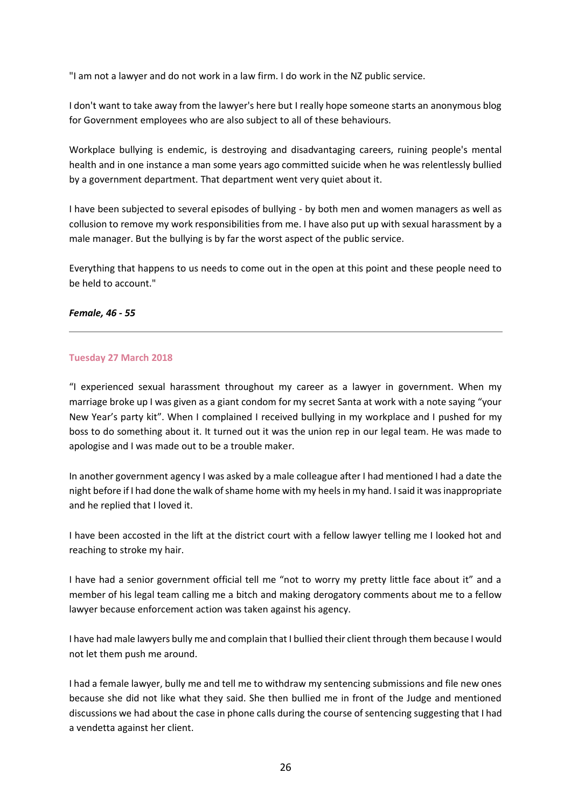"I am not a lawyer and do not work in a law firm. I do work in the NZ public service.

I don't want to take away from the lawyer's here but I really hope someone starts an anonymous blog for Government employees who are also subject to all of these behaviours.

Workplace bullying is endemic, is destroying and disadvantaging careers, ruining people's mental health and in one instance a man some years ago committed suicide when he was relentlessly bullied by a government department. That department went very quiet about it.

I have been subjected to several episodes of bullying - by both men and women managers as well as collusion to remove my work responsibilities from me. I have also put up with sexual harassment by a male manager. But the bullying is by far the worst aspect of the public service.

Everything that happens to us needs to come out in the open at this point and these people need to be held to account."

#### *Female, 46 - 55*

#### **Tuesday 27 March 2018**

"I experienced sexual harassment throughout my career as a lawyer in government. When my marriage broke up I was given as a giant condom for my secret Santa at work with a note saying "your New Year's party kit". When I complained I received bullying in my workplace and I pushed for my boss to do something about it. It turned out it was the union rep in our legal team. He was made to apologise and I was made out to be a trouble maker.

In another government agency I was asked by a male colleague after I had mentioned I had a date the night before if I had done the walk of shame home with my heels in my hand. I said it was inappropriate and he replied that I loved it.

I have been accosted in the lift at the district court with a fellow lawyer telling me I looked hot and reaching to stroke my hair.

I have had a senior government official tell me "not to worry my pretty little face about it" and a member of his legal team calling me a bitch and making derogatory comments about me to a fellow lawyer because enforcement action was taken against his agency.

I have had male lawyers bully me and complain that I bullied their client through them because I would not let them push me around.

I had a female lawyer, bully me and tell me to withdraw my sentencing submissions and file new ones because she did not like what they said. She then bullied me in front of the Judge and mentioned discussions we had about the case in phone calls during the course of sentencing suggesting that I had a vendetta against her client.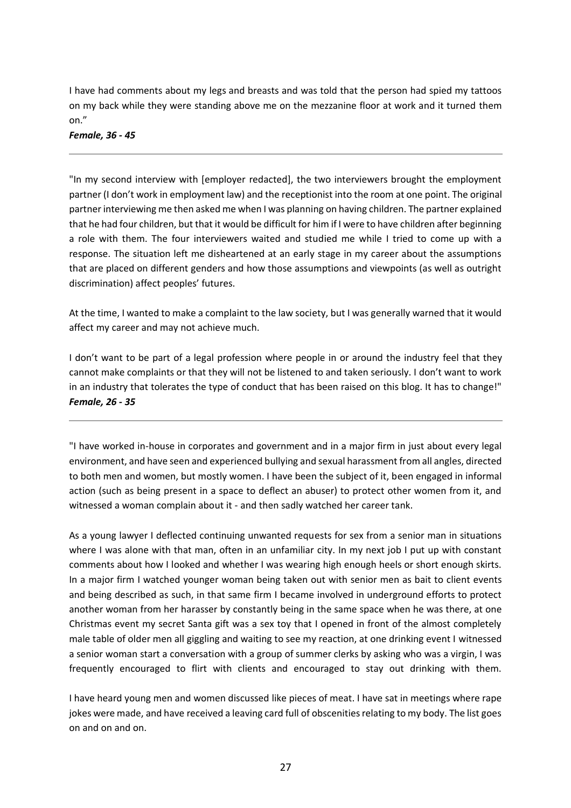I have had comments about my legs and breasts and was told that the person had spied my tattoos on my back while they were standing above me on the mezzanine floor at work and it turned them on."

*Female, 36 - 45*

"In my second interview with [employer redacted], the two interviewers brought the employment partner (I don't work in employment law) and the receptionist into the room at one point. The original partner interviewing me then asked me when I was planning on having children. The partner explained that he had four children, but that it would be difficult for him if I were to have children after beginning a role with them. The four interviewers waited and studied me while I tried to come up with a response. The situation left me disheartened at an early stage in my career about the assumptions that are placed on different genders and how those assumptions and viewpoints (as well as outright discrimination) affect peoples' futures.

At the time, I wanted to make a complaint to the law society, but I was generally warned that it would affect my career and may not achieve much.

I don't want to be part of a legal profession where people in or around the industry feel that they cannot make complaints or that they will not be listened to and taken seriously. I don't want to work in an industry that tolerates the type of conduct that has been raised on this blog. It has to change!" *Female, 26 - 35*

"I have worked in-house in corporates and government and in a major firm in just about every legal environment, and have seen and experienced bullying and sexual harassment from all angles, directed to both men and women, but mostly women. I have been the subject of it, been engaged in informal action (such as being present in a space to deflect an abuser) to protect other women from it, and witnessed a woman complain about it - and then sadly watched her career tank.

As a young lawyer I deflected continuing unwanted requests for sex from a senior man in situations where I was alone with that man, often in an unfamiliar city. In my next job I put up with constant comments about how I looked and whether I was wearing high enough heels or short enough skirts. In a major firm I watched younger woman being taken out with senior men as bait to client events and being described as such, in that same firm I became involved in underground efforts to protect another woman from her harasser by constantly being in the same space when he was there, at one Christmas event my secret Santa gift was a sex toy that I opened in front of the almost completely male table of older men all giggling and waiting to see my reaction, at one drinking event I witnessed a senior woman start a conversation with a group of summer clerks by asking who was a virgin, I was frequently encouraged to flirt with clients and encouraged to stay out drinking with them.

I have heard young men and women discussed like pieces of meat. I have sat in meetings where rape jokes were made, and have received a leaving card full of obscenities relating to my body. The list goes on and on and on.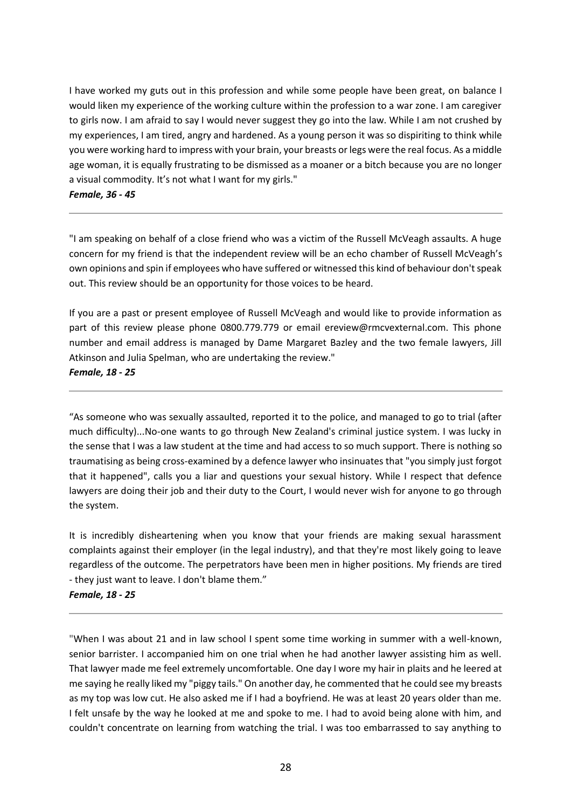I have worked my guts out in this profession and while some people have been great, on balance I would liken my experience of the working culture within the profession to a war zone. I am caregiver to girls now. I am afraid to say I would never suggest they go into the law. While I am not crushed by my experiences, I am tired, angry and hardened. As a young person it was so dispiriting to think while you were working hard to impress with your brain, your breasts or legs were the real focus. As a middle age woman, it is equally frustrating to be dismissed as a moaner or a bitch because you are no longer a visual commodity. It's not what I want for my girls."

#### *Female, 36 - 45*

"I am speaking on behalf of a close friend who was a victim of the Russell McVeagh assaults. A huge concern for my friend is that the independent review will be an echo chamber of Russell McVeagh's own opinions and spin if employees who have suffered or witnessed this kind of behaviour don't speak out. This review should be an opportunity for those voices to be heard.

If you are a past or present employee of Russell McVeagh and would like to provide information as part of this review please phone 0800.779.779 or email ereview@rmcvexternal.com. This phone number and email address is managed by Dame Margaret Bazley and the two female lawyers, Jill Atkinson and Julia Spelman, who are undertaking the review." *Female, 18 - 25*

"As someone who was sexually assaulted, reported it to the police, and managed to go to trial (after much difficulty)...No-one wants to go through New Zealand's criminal justice system. I was lucky in the sense that I was a law student at the time and had access to so much support. There is nothing so traumatising as being cross-examined by a defence lawyer who insinuates that "you simply just forgot that it happened", calls you a liar and questions your sexual history. While I respect that defence lawyers are doing their job and their duty to the Court, I would never wish for anyone to go through the system.

It is incredibly disheartening when you know that your friends are making sexual harassment complaints against their employer (in the legal industry), and that they're most likely going to leave regardless of the outcome. The perpetrators have been men in higher positions. My friends are tired - they just want to leave. I don't blame them."

#### *Female, 18 - 25*

"When I was about 21 and in law school I spent some time working in summer with a well-known, senior barrister. I accompanied him on one trial when he had another lawyer assisting him as well. That lawyer made me feel extremely uncomfortable. One day I wore my hair in plaits and he leered at me saying he really liked my "piggy tails." On another day, he commented that he could see my breasts as my top was low cut. He also asked me if I had a boyfriend. He was at least 20 years older than me. I felt unsafe by the way he looked at me and spoke to me. I had to avoid being alone with him, and couldn't concentrate on learning from watching the trial. I was too embarrassed to say anything to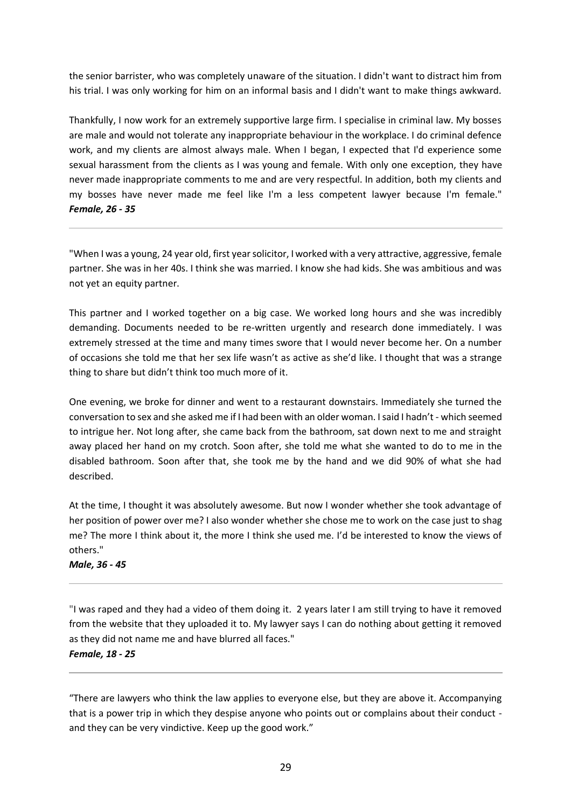the senior barrister, who was completely unaware of the situation. I didn't want to distract him from his trial. I was only working for him on an informal basis and I didn't want to make things awkward.

Thankfully, I now work for an extremely supportive large firm. I specialise in criminal law. My bosses are male and would not tolerate any inappropriate behaviour in the workplace. I do criminal defence work, and my clients are almost always male. When I began, I expected that I'd experience some sexual harassment from the clients as I was young and female. With only one exception, they have never made inappropriate comments to me and are very respectful. In addition, both my clients and my bosses have never made me feel like I'm a less competent lawyer because I'm female." *Female, 26 - 35*

"When I was a young, 24 year old, first year solicitor, I worked with a very attractive, aggressive, female partner. She was in her 40s. I think she was married. I know she had kids. She was ambitious and was not yet an equity partner.

This partner and I worked together on a big case. We worked long hours and she was incredibly demanding. Documents needed to be re-written urgently and research done immediately. I was extremely stressed at the time and many times swore that I would never become her. On a number of occasions she told me that her sex life wasn't as active as she'd like. I thought that was a strange thing to share but didn't think too much more of it.

One evening, we broke for dinner and went to a restaurant downstairs. Immediately she turned the conversation to sex and she asked me if I had been with an older woman. I said I hadn't - which seemed to intrigue her. Not long after, she came back from the bathroom, sat down next to me and straight away placed her hand on my crotch. Soon after, she told me what she wanted to do to me in the disabled bathroom. Soon after that, she took me by the hand and we did 90% of what she had described.

At the time, I thought it was absolutely awesome. But now I wonder whether she took advantage of her position of power over me? I also wonder whether she chose me to work on the case just to shag me? The more I think about it, the more I think she used me. I'd be interested to know the views of others."

*Male, 36 - 45*

"I was raped and they had a video of them doing it. 2 years later I am still trying to have it removed from the website that they uploaded it to. My lawyer says I can do nothing about getting it removed as they did not name me and have blurred all faces." *Female, 18 - 25*

"There are lawyers who think the law applies to everyone else, but they are above it. Accompanying that is a power trip in which they despise anyone who points out or complains about their conduct and they can be very vindictive. Keep up the good work."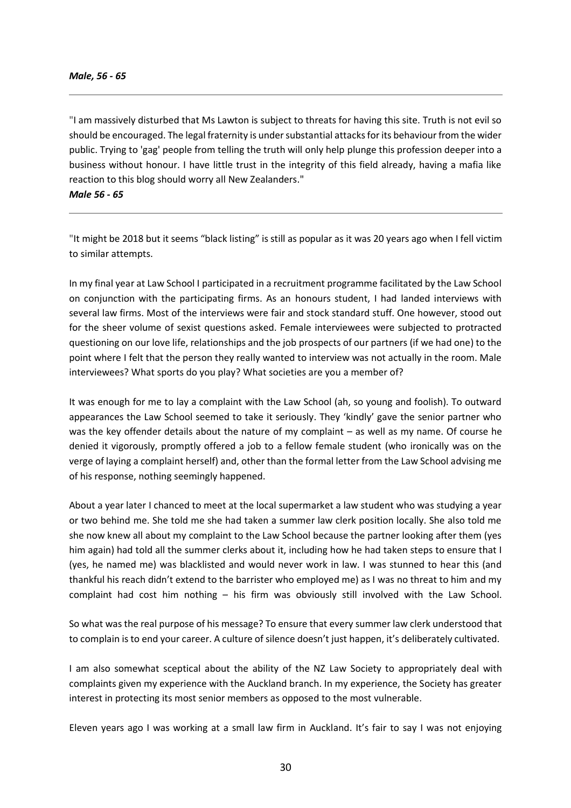"I am massively disturbed that Ms Lawton is subject to threats for having this site. Truth is not evil so should be encouraged. The legal fraternity is under substantial attacks for its behaviour from the wider public. Trying to 'gag' people from telling the truth will only help plunge this profession deeper into a business without honour. I have little trust in the integrity of this field already, having a mafia like reaction to this blog should worry all New Zealanders."

*Male 56 - 65*

"It might be 2018 but it seems "black listing" is still as popular as it was 20 years ago when I fell victim to similar attempts.

In my final year at Law School I participated in a recruitment programme facilitated by the Law School on conjunction with the participating firms. As an honours student, I had landed interviews with several law firms. Most of the interviews were fair and stock standard stuff. One however, stood out for the sheer volume of sexist questions asked. Female interviewees were subjected to protracted questioning on our love life, relationships and the job prospects of our partners (if we had one) to the point where I felt that the person they really wanted to interview was not actually in the room. Male interviewees? What sports do you play? What societies are you a member of?

It was enough for me to lay a complaint with the Law School (ah, so young and foolish). To outward appearances the Law School seemed to take it seriously. They 'kindly' gave the senior partner who was the key offender details about the nature of my complaint – as well as my name. Of course he denied it vigorously, promptly offered a job to a fellow female student (who ironically was on the verge of laying a complaint herself) and, other than the formal letter from the Law School advising me of his response, nothing seemingly happened.

About a year later I chanced to meet at the local supermarket a law student who was studying a year or two behind me. She told me she had taken a summer law clerk position locally. She also told me she now knew all about my complaint to the Law School because the partner looking after them (yes him again) had told all the summer clerks about it, including how he had taken steps to ensure that I (yes, he named me) was blacklisted and would never work in law. I was stunned to hear this (and thankful his reach didn't extend to the barrister who employed me) as I was no threat to him and my complaint had cost him nothing – his firm was obviously still involved with the Law School.

So what was the real purpose of his message? To ensure that every summer law clerk understood that to complain is to end your career. A culture of silence doesn't just happen, it's deliberately cultivated.

I am also somewhat sceptical about the ability of the NZ Law Society to appropriately deal with complaints given my experience with the Auckland branch. In my experience, the Society has greater interest in protecting its most senior members as opposed to the most vulnerable.

Eleven years ago I was working at a small law firm in Auckland. It's fair to say I was not enjoying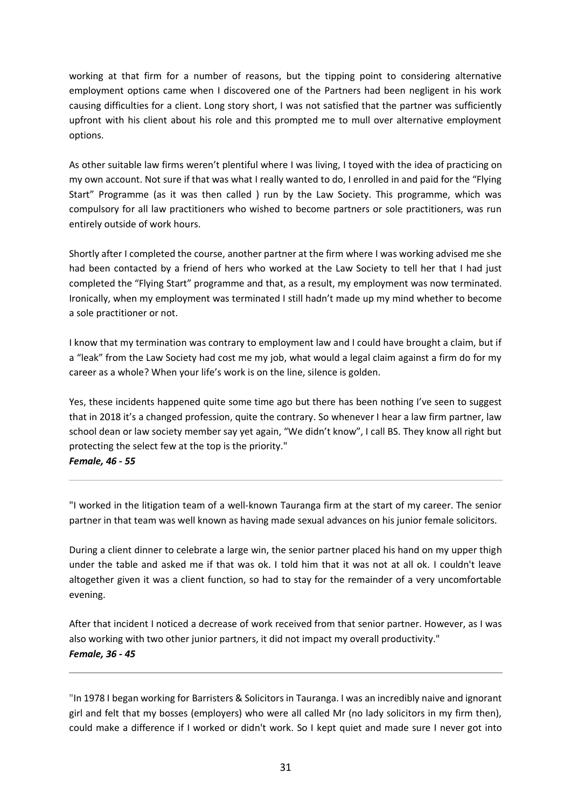working at that firm for a number of reasons, but the tipping point to considering alternative employment options came when I discovered one of the Partners had been negligent in his work causing difficulties for a client. Long story short, I was not satisfied that the partner was sufficiently upfront with his client about his role and this prompted me to mull over alternative employment options.

As other suitable law firms weren't plentiful where I was living, I toyed with the idea of practicing on my own account. Not sure if that was what I really wanted to do, I enrolled in and paid for the "Flying Start" Programme (as it was then called ) run by the Law Society. This programme, which was compulsory for all law practitioners who wished to become partners or sole practitioners, was run entirely outside of work hours.

Shortly after I completed the course, another partner at the firm where I was working advised me she had been contacted by a friend of hers who worked at the Law Society to tell her that I had just completed the "Flying Start" programme and that, as a result, my employment was now terminated. Ironically, when my employment was terminated I still hadn't made up my mind whether to become a sole practitioner or not.

I know that my termination was contrary to employment law and I could have brought a claim, but if a "leak" from the Law Society had cost me my job, what would a legal claim against a firm do for my career as a whole? When your life's work is on the line, silence is golden.

Yes, these incidents happened quite some time ago but there has been nothing I've seen to suggest that in 2018 it's a changed profession, quite the contrary. So whenever I hear a law firm partner, law school dean or law society member say yet again, "We didn't know", I call BS. They know all right but protecting the select few at the top is the priority."

*Female, 46 - 55*

"I worked in the litigation team of a well-known Tauranga firm at the start of my career. The senior partner in that team was well known as having made sexual advances on his junior female solicitors.

During a client dinner to celebrate a large win, the senior partner placed his hand on my upper thigh under the table and asked me if that was ok. I told him that it was not at all ok. I couldn't leave altogether given it was a client function, so had to stay for the remainder of a very uncomfortable evening.

After that incident I noticed a decrease of work received from that senior partner. However, as I was also working with two other junior partners, it did not impact my overall productivity." *Female, 36 - 45*

"In 1978 I began working for Barristers & Solicitors in Tauranga. I was an incredibly naive and ignorant girl and felt that my bosses (employers) who were all called Mr (no lady solicitors in my firm then), could make a difference if I worked or didn't work. So I kept quiet and made sure I never got into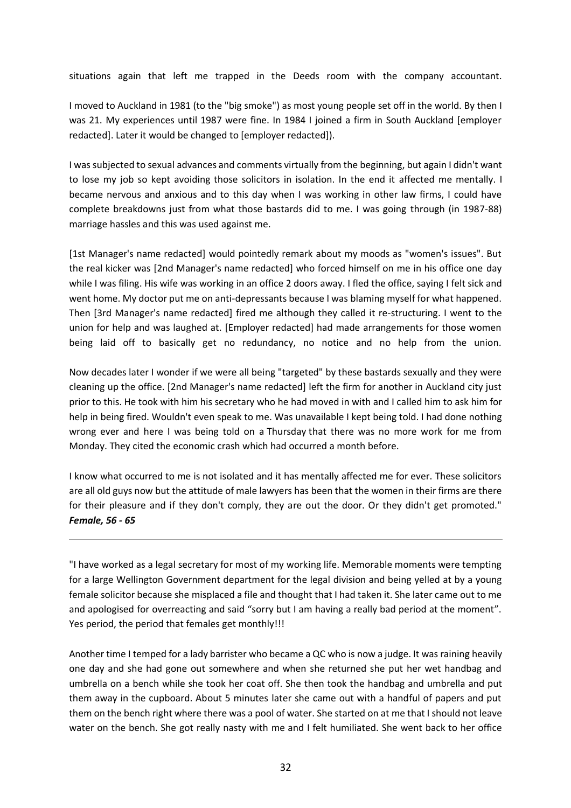situations again that left me trapped in the Deeds room with the company accountant.

I moved to Auckland in 1981 (to the "big smoke") as most young people set off in the world. By then I was 21. My experiences until 1987 were fine. In 1984 I joined a firm in South Auckland [employer redacted]. Later it would be changed to [employer redacted]).

I was subjected to sexual advances and comments virtually from the beginning, but again I didn't want to lose my job so kept avoiding those solicitors in isolation. In the end it affected me mentally. I became nervous and anxious and to this day when I was working in other law firms, I could have complete breakdowns just from what those bastards did to me. I was going through (in 1987-88) marriage hassles and this was used against me.

[1st Manager's name redacted] would pointedly remark about my moods as "women's issues". But the real kicker was [2nd Manager's name redacted] who forced himself on me in his office one day while I was filing. His wife was working in an office 2 doors away. I fled the office, saying I felt sick and went home. My doctor put me on anti-depressants because I was blaming myself for what happened. Then [3rd Manager's name redacted] fired me although they called it re-structuring. I went to the union for help and was laughed at. [Employer redacted] had made arrangements for those women being laid off to basically get no redundancy, no notice and no help from the union.

Now decades later I wonder if we were all being "targeted" by these bastards sexually and they were cleaning up the office. [2nd Manager's name redacted] left the firm for another in Auckland city just prior to this. He took with him his secretary who he had moved in with and I called him to ask him for help in being fired. Wouldn't even speak to me. Was unavailable I kept being told. I had done nothing wrong ever and here I was being told on a Thursday that there was no more work for me from Monday. They cited the economic crash which had occurred a month before.

I know what occurred to me is not isolated and it has mentally affected me for ever. These solicitors are all old guys now but the attitude of male lawyers has been that the women in their firms are there for their pleasure and if they don't comply, they are out the door. Or they didn't get promoted." *Female, 56 - 65*

"I have worked as a legal secretary for most of my working life. Memorable moments were tempting for a large Wellington Government department for the legal division and being yelled at by a young female solicitor because she misplaced a file and thought that I had taken it. She later came out to me and apologised for overreacting and said "sorry but I am having a really bad period at the moment". Yes period, the period that females get monthly!!!

Another time I temped for a lady barrister who became a QC who is now a judge. It was raining heavily one day and she had gone out somewhere and when she returned she put her wet handbag and umbrella on a bench while she took her coat off. She then took the handbag and umbrella and put them away in the cupboard. About 5 minutes later she came out with a handful of papers and put them on the bench right where there was a pool of water. She started on at me that I should not leave water on the bench. She got really nasty with me and I felt humiliated. She went back to her office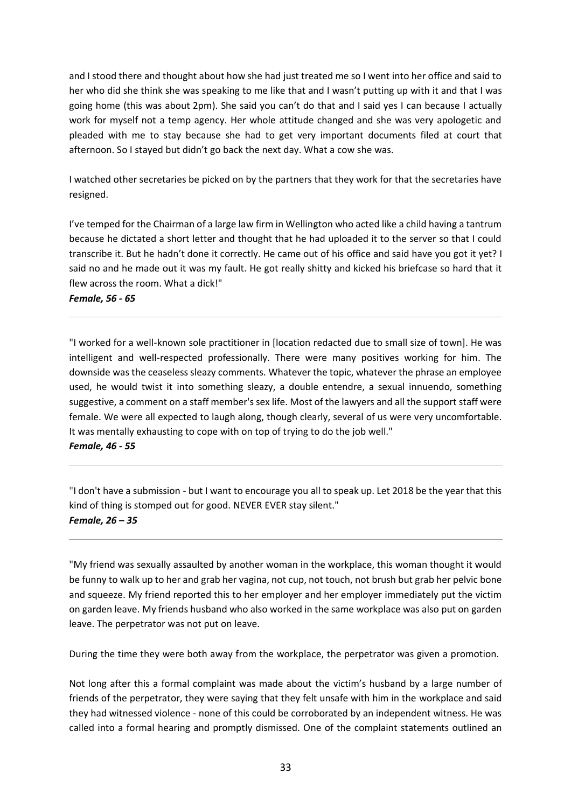and I stood there and thought about how she had just treated me so I went into her office and said to her who did she think she was speaking to me like that and I wasn't putting up with it and that I was going home (this was about 2pm). She said you can't do that and I said yes I can because I actually work for myself not a temp agency. Her whole attitude changed and she was very apologetic and pleaded with me to stay because she had to get very important documents filed at court that afternoon. So I stayed but didn't go back the next day. What a cow she was.

I watched other secretaries be picked on by the partners that they work for that the secretaries have resigned.

I've temped for the Chairman of a large law firm in Wellington who acted like a child having a tantrum because he dictated a short letter and thought that he had uploaded it to the server so that I could transcribe it. But he hadn't done it correctly. He came out of his office and said have you got it yet? I said no and he made out it was my fault. He got really shitty and kicked his briefcase so hard that it flew across the room. What a dick!"

*Female, 56 - 65*

"I worked for a well-known sole practitioner in [location redacted due to small size of town]. He was intelligent and well-respected professionally. There were many positives working for him. The downside was the ceaseless sleazy comments. Whatever the topic, whatever the phrase an employee used, he would twist it into something sleazy, a double entendre, a sexual innuendo, something suggestive, a comment on a staff member's sex life. Most of the lawyers and all the support staff were female. We were all expected to laugh along, though clearly, several of us were very uncomfortable. It was mentally exhausting to cope with on top of trying to do the job well." *Female, 46 - 55*

"I don't have a submission - but I want to encourage you all to speak up. Let 2018 be the year that this kind of thing is stomped out for good. NEVER EVER stay silent." *Female, 26 – 35*

"My friend was sexually assaulted by another woman in the workplace, this woman thought it would be funny to walk up to her and grab her vagina, not cup, not touch, not brush but grab her pelvic bone and squeeze. My friend reported this to her employer and her employer immediately put the victim on garden leave. My friends husband who also worked in the same workplace was also put on garden leave. The perpetrator was not put on leave.

During the time they were both away from the workplace, the perpetrator was given a promotion.

Not long after this a formal complaint was made about the victim's husband by a large number of friends of the perpetrator, they were saying that they felt unsafe with him in the workplace and said they had witnessed violence - none of this could be corroborated by an independent witness. He was called into a formal hearing and promptly dismissed. One of the complaint statements outlined an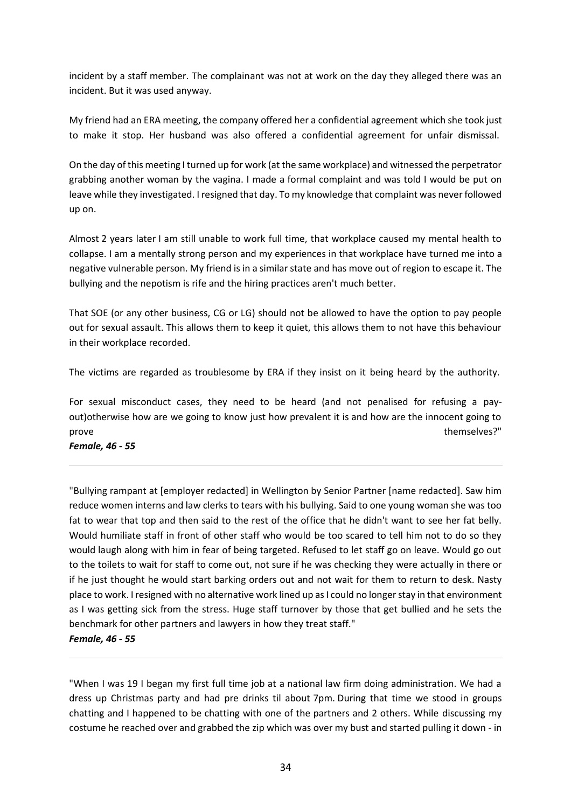incident by a staff member. The complainant was not at work on the day they alleged there was an incident. But it was used anyway.

My friend had an ERA meeting, the company offered her a confidential agreement which she took just to make it stop. Her husband was also offered a confidential agreement for unfair dismissal.

On the day of this meeting I turned up for work (at the same workplace) and witnessed the perpetrator grabbing another woman by the vagina. I made a formal complaint and was told I would be put on leave while they investigated. I resigned that day. To my knowledge that complaint was never followed up on.

Almost 2 years later I am still unable to work full time, that workplace caused my mental health to collapse. I am a mentally strong person and my experiences in that workplace have turned me into a negative vulnerable person. My friend is in a similar state and has move out of region to escape it. The bullying and the nepotism is rife and the hiring practices aren't much better.

That SOE (or any other business, CG or LG) should not be allowed to have the option to pay people out for sexual assault. This allows them to keep it quiet, this allows them to not have this behaviour in their workplace recorded.

The victims are regarded as troublesome by ERA if they insist on it being heard by the authority.

For sexual misconduct cases, they need to be heard (and not penalised for refusing a payout)otherwise how are we going to know just how prevalent it is and how are the innocent going to prove themselves?"

*Female, 46 - 55*

"Bullying rampant at [employer redacted] in Wellington by Senior Partner [name redacted]. Saw him reduce women interns and law clerks to tears with his bullying. Said to one young woman she was too fat to wear that top and then said to the rest of the office that he didn't want to see her fat belly. Would humiliate staff in front of other staff who would be too scared to tell him not to do so they would laugh along with him in fear of being targeted. Refused to let staff go on leave. Would go out to the toilets to wait for staff to come out, not sure if he was checking they were actually in there or if he just thought he would start barking orders out and not wait for them to return to desk. Nasty place to work. I resigned with no alternative work lined up as I could no longer stay in that environment as I was getting sick from the stress. Huge staff turnover by those that get bullied and he sets the benchmark for other partners and lawyers in how they treat staff."

#### *Female, 46 - 55*

"When I was 19 I began my first full time job at a national law firm doing administration. We had a dress up Christmas party and had pre drinks til about 7pm. During that time we stood in groups chatting and I happened to be chatting with one of the partners and 2 others. While discussing my costume he reached over and grabbed the zip which was over my bust and started pulling it down - in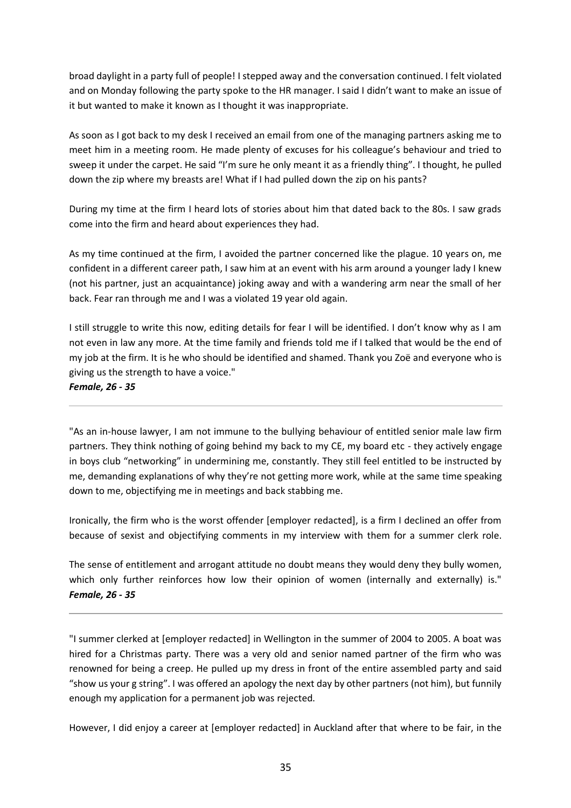broad daylight in a party full of people! I stepped away and the conversation continued. I felt violated and on Monday following the party spoke to the HR manager. I said I didn't want to make an issue of it but wanted to make it known as I thought it was inappropriate.

As soon as I got back to my desk I received an email from one of the managing partners asking me to meet him in a meeting room. He made plenty of excuses for his colleague's behaviour and tried to sweep it under the carpet. He said "I'm sure he only meant it as a friendly thing". I thought, he pulled down the zip where my breasts are! What if I had pulled down the zip on his pants?

During my time at the firm I heard lots of stories about him that dated back to the 80s. I saw grads come into the firm and heard about experiences they had.

As my time continued at the firm, I avoided the partner concerned like the plague. 10 years on, me confident in a different career path, I saw him at an event with his arm around a younger lady I knew (not his partner, just an acquaintance) joking away and with a wandering arm near the small of her back. Fear ran through me and I was a violated 19 year old again.

I still struggle to write this now, editing details for fear I will be identified. I don't know why as I am not even in law any more. At the time family and friends told me if I talked that would be the end of my job at the firm. It is he who should be identified and shamed. Thank you Zoë and everyone who is giving us the strength to have a voice."

#### *Female, 26 - 35*

"As an in-house lawyer, I am not immune to the bullying behaviour of entitled senior male law firm partners. They think nothing of going behind my back to my CE, my board etc - they actively engage in boys club "networking" in undermining me, constantly. They still feel entitled to be instructed by me, demanding explanations of why they're not getting more work, while at the same time speaking down to me, objectifying me in meetings and back stabbing me.

Ironically, the firm who is the worst offender [employer redacted], is a firm I declined an offer from because of sexist and objectifying comments in my interview with them for a summer clerk role.

The sense of entitlement and arrogant attitude no doubt means they would deny they bully women, which only further reinforces how low their opinion of women (internally and externally) is." *Female, 26 - 35*

"I summer clerked at [employer redacted] in Wellington in the summer of 2004 to 2005. A boat was hired for a Christmas party. There was a very old and senior named partner of the firm who was renowned for being a creep. He pulled up my dress in front of the entire assembled party and said "show us your g string". I was offered an apology the next day by other partners (not him), but funnily enough my application for a permanent job was rejected.

However, I did enjoy a career at [employer redacted] in Auckland after that where to be fair, in the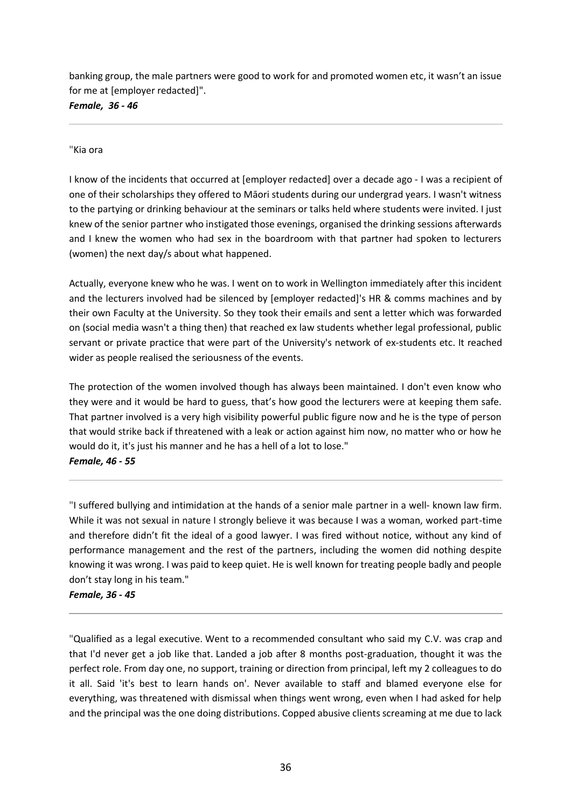banking group, the male partners were good to work for and promoted women etc, it wasn't an issue for me at [employer redacted]".

*Female, 36 - 46*

#### "Kia ora

I know of the incidents that occurred at [employer redacted] over a decade ago - I was a recipient of one of their scholarships they offered to Māori students during our undergrad years. I wasn't witness to the partying or drinking behaviour at the seminars or talks held where students were invited. I just knew of the senior partner who instigated those evenings, organised the drinking sessions afterwards and I knew the women who had sex in the boardroom with that partner had spoken to lecturers (women) the next day/s about what happened.

Actually, everyone knew who he was. I went on to work in Wellington immediately after this incident and the lecturers involved had be silenced by [employer redacted]'s HR & comms machines and by their own Faculty at the University. So they took their emails and sent a letter which was forwarded on (social media wasn't a thing then) that reached ex law students whether legal professional, public servant or private practice that were part of the University's network of ex-students etc. It reached wider as people realised the seriousness of the events.

The protection of the women involved though has always been maintained. I don't even know who they were and it would be hard to guess, that's how good the lecturers were at keeping them safe. That partner involved is a very high visibility powerful public figure now and he is the type of person that would strike back if threatened with a leak or action against him now, no matter who or how he would do it, it's just his manner and he has a hell of a lot to lose."

#### *Female, 46 - 55*

"I suffered bullying and intimidation at the hands of a senior male partner in a well- known law firm. While it was not sexual in nature I strongly believe it was because I was a woman, worked part-time and therefore didn't fit the ideal of a good lawyer. I was fired without notice, without any kind of performance management and the rest of the partners, including the women did nothing despite knowing it was wrong. I was paid to keep quiet. He is well known for treating people badly and people don't stay long in his team."

*Female, 36 - 45*

"Qualified as a legal executive. Went to a recommended consultant who said my C.V. was crap and that I'd never get a job like that. Landed a job after 8 months post-graduation, thought it was the perfect role. From day one, no support, training or direction from principal, left my 2 colleagues to do it all. Said 'it's best to learn hands on'. Never available to staff and blamed everyone else for everything, was threatened with dismissal when things went wrong, even when I had asked for help and the principal was the one doing distributions. Copped abusive clients screaming at me due to lack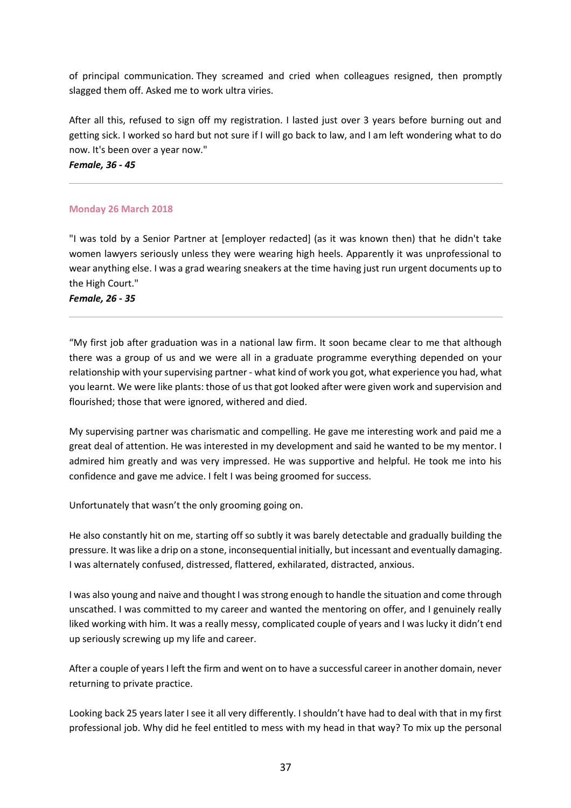of principal communication. They screamed and cried when colleagues resigned, then promptly slagged them off. Asked me to work ultra viries.

After all this, refused to sign off my registration. I lasted just over 3 years before burning out and getting sick. I worked so hard but not sure if I will go back to law, and I am left wondering what to do now. It's been over a year now."

*Female, 36 - 45*

# **Monday 26 March 2018**

"I was told by a Senior Partner at [employer redacted] (as it was known then) that he didn't take women lawyers seriously unless they were wearing high heels. Apparently it was unprofessional to wear anything else. I was a grad wearing sneakers at the time having just run urgent documents up to the High Court."

*Female, 26 - 35*

"My first job after graduation was in a national law firm. It soon became clear to me that although there was a group of us and we were all in a graduate programme everything depended on your relationship with your supervising partner - what kind of work you got, what experience you had, what you learnt. We were like plants: those of us that got looked after were given work and supervision and flourished; those that were ignored, withered and died.

My supervising partner was charismatic and compelling. He gave me interesting work and paid me a great deal of attention. He was interested in my development and said he wanted to be my mentor. I admired him greatly and was very impressed. He was supportive and helpful. He took me into his confidence and gave me advice. I felt I was being groomed for success.

Unfortunately that wasn't the only grooming going on.

He also constantly hit on me, starting off so subtly it was barely detectable and gradually building the pressure. It was like a drip on a stone, inconsequential initially, but incessant and eventually damaging. I was alternately confused, distressed, flattered, exhilarated, distracted, anxious.

I was also young and naive and thought I was strong enough to handle the situation and come through unscathed. I was committed to my career and wanted the mentoring on offer, and I genuinely really liked working with him. It was a really messy, complicated couple of years and I was lucky it didn't end up seriously screwing up my life and career.

After a couple of years I left the firm and went on to have a successful career in another domain, never returning to private practice.

Looking back 25 years later I see it all very differently. I shouldn't have had to deal with that in my first professional job. Why did he feel entitled to mess with my head in that way? To mix up the personal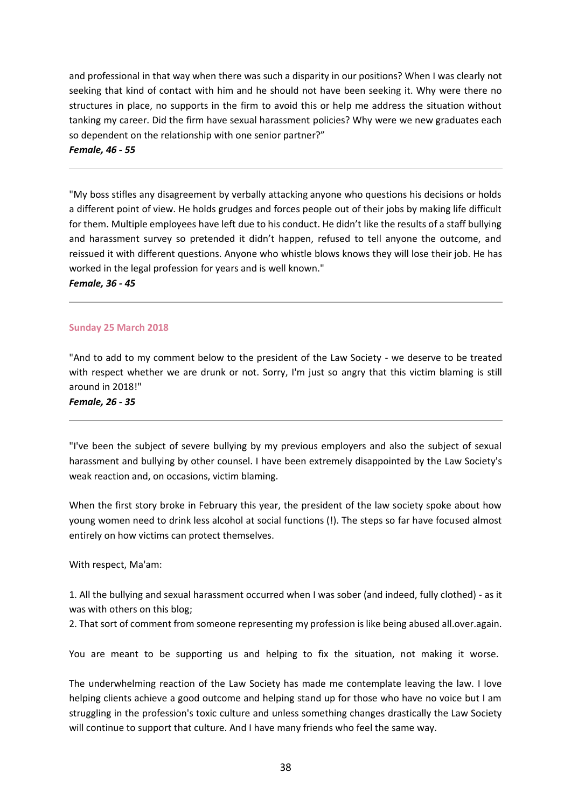and professional in that way when there was such a disparity in our positions? When I was clearly not seeking that kind of contact with him and he should not have been seeking it. Why were there no structures in place, no supports in the firm to avoid this or help me address the situation without tanking my career. Did the firm have sexual harassment policies? Why were we new graduates each so dependent on the relationship with one senior partner?"

*Female, 46 - 55*

"My boss stifles any disagreement by verbally attacking anyone who questions his decisions or holds a different point of view. He holds grudges and forces people out of their jobs by making life difficult for them. Multiple employees have left due to his conduct. He didn't like the results of a staff bullying and harassment survey so pretended it didn't happen, refused to tell anyone the outcome, and reissued it with different questions. Anyone who whistle blows knows they will lose their job. He has worked in the legal profession for years and is well known."

*Female, 36 - 45*

#### **Sunday 25 March 2018**

"And to add to my comment below to the president of the Law Society - we deserve to be treated with respect whether we are drunk or not. Sorry, I'm just so angry that this victim blaming is still around in 2018!"

*Female, 26 - 35*

"I've been the subject of severe bullying by my previous employers and also the subject of sexual harassment and bullying by other counsel. I have been extremely disappointed by the Law Society's weak reaction and, on occasions, victim blaming.

When the first story broke in February this year, the president of the law society spoke about how young women need to drink less alcohol at social functions (!). The steps so far have focused almost entirely on how victims can protect themselves.

With respect, Ma'am:

1. All the bullying and sexual harassment occurred when I was sober (and indeed, fully clothed) - as it was with others on this blog;

2. That sort of comment from someone representing my profession is like being abused all.over.again.

You are meant to be supporting us and helping to fix the situation, not making it worse.

The underwhelming reaction of the Law Society has made me contemplate leaving the law. I love helping clients achieve a good outcome and helping stand up for those who have no voice but I am struggling in the profession's toxic culture and unless something changes drastically the Law Society will continue to support that culture. And I have many friends who feel the same way.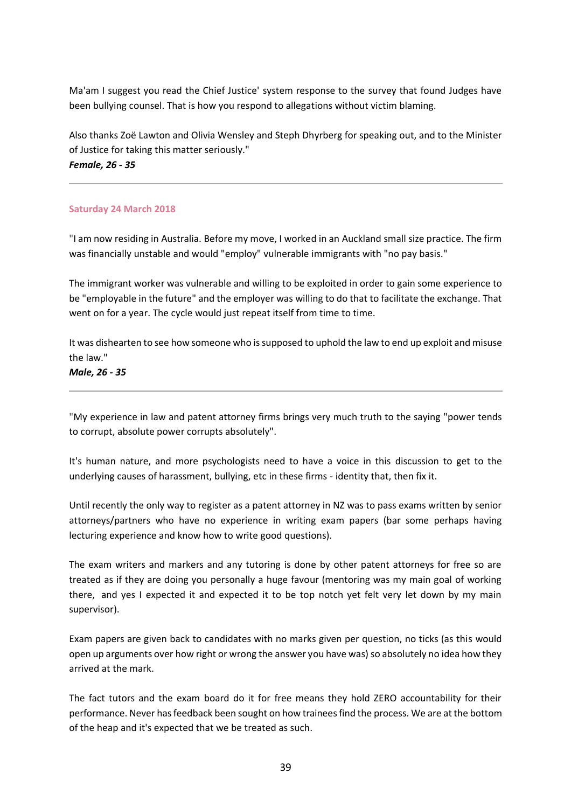Ma'am I suggest you read the Chief Justice' system response to the survey that found Judges have been bullying counsel. That is how you respond to allegations without victim blaming.

Also thanks Zoë Lawton and Olivia Wensley and Steph Dhyrberg for speaking out, and to the Minister of Justice for taking this matter seriously." *Female, 26 - 35*

## **Saturday 24 March 2018**

"I am now residing in Australia. Before my move, I worked in an Auckland small size practice. The firm was financially unstable and would "employ" vulnerable immigrants with "no pay basis."

The immigrant worker was vulnerable and willing to be exploited in order to gain some experience to be "employable in the future" and the employer was willing to do that to facilitate the exchange. That went on for a year. The cycle would just repeat itself from time to time.

It was dishearten to see how someone who is supposed to uphold the law to end up exploit and misuse the law."

*Male, 26 - 35*

"My experience in law and patent attorney firms brings very much truth to the saying "power tends to corrupt, absolute power corrupts absolutely".

It's human nature, and more psychologists need to have a voice in this discussion to get to the underlying causes of harassment, bullying, etc in these firms - identity that, then fix it.

Until recently the only way to register as a patent attorney in NZ was to pass exams written by senior attorneys/partners who have no experience in writing exam papers (bar some perhaps having lecturing experience and know how to write good questions).

The exam writers and markers and any tutoring is done by other patent attorneys for free so are treated as if they are doing you personally a huge favour (mentoring was my main goal of working there, and yes I expected it and expected it to be top notch yet felt very let down by my main supervisor).

Exam papers are given back to candidates with no marks given per question, no ticks (as this would open up arguments over how right or wrong the answer you have was) so absolutely no idea how they arrived at the mark.

The fact tutors and the exam board do it for free means they hold ZERO accountability for their performance. Never has feedback been sought on how trainees find the process. We are at the bottom of the heap and it's expected that we be treated as such.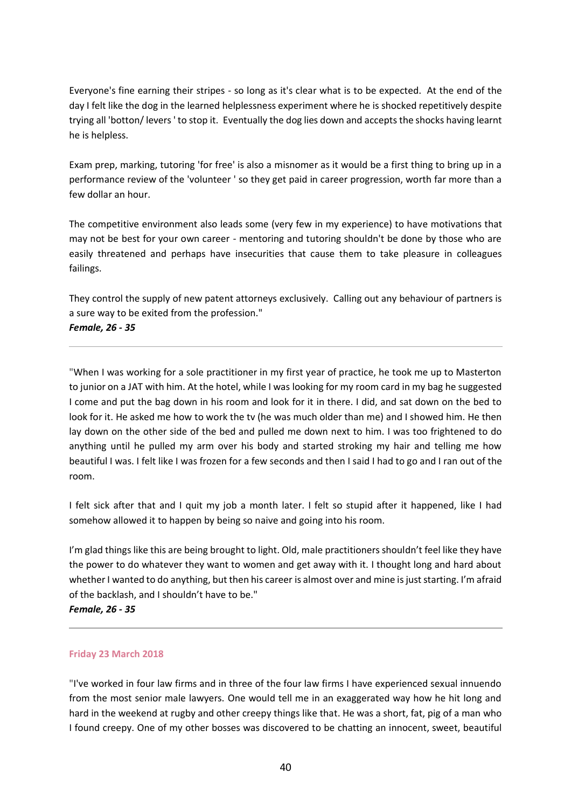Everyone's fine earning their stripes - so long as it's clear what is to be expected. At the end of the day I felt like the dog in the learned helplessness experiment where he is shocked repetitively despite trying all 'botton/ levers ' to stop it. Eventually the dog lies down and accepts the shocks having learnt he is helpless.

Exam prep, marking, tutoring 'for free' is also a misnomer as it would be a first thing to bring up in a performance review of the 'volunteer ' so they get paid in career progression, worth far more than a few dollar an hour.

The competitive environment also leads some (very few in my experience) to have motivations that may not be best for your own career - mentoring and tutoring shouldn't be done by those who are easily threatened and perhaps have insecurities that cause them to take pleasure in colleagues failings.

They control the supply of new patent attorneys exclusively. Calling out any behaviour of partners is a sure way to be exited from the profession." *Female, 26 - 35*

"When I was working for a sole practitioner in my first year of practice, he took me up to Masterton to junior on a JAT with him. At the hotel, while I was looking for my room card in my bag he suggested I come and put the bag down in his room and look for it in there. I did, and sat down on the bed to look for it. He asked me how to work the tv (he was much older than me) and I showed him. He then lay down on the other side of the bed and pulled me down next to him. I was too frightened to do anything until he pulled my arm over his body and started stroking my hair and telling me how beautiful I was. I felt like I was frozen for a few seconds and then I said I had to go and I ran out of the room.

I felt sick after that and I quit my job a month later. I felt so stupid after it happened, like I had somehow allowed it to happen by being so naive and going into his room.

I'm glad things like this are being brought to light. Old, male practitioners shouldn't feel like they have the power to do whatever they want to women and get away with it. I thought long and hard about whether I wanted to do anything, but then his career is almost over and mine is just starting. I'm afraid of the backlash, and I shouldn't have to be."

*Female, 26 - 35*

### **Friday 23 March 2018**

"I've worked in four law firms and in three of the four law firms I have experienced sexual innuendo from the most senior male lawyers. One would tell me in an exaggerated way how he hit long and hard in the weekend at rugby and other creepy things like that. He was a short, fat, pig of a man who I found creepy. One of my other bosses was discovered to be chatting an innocent, sweet, beautiful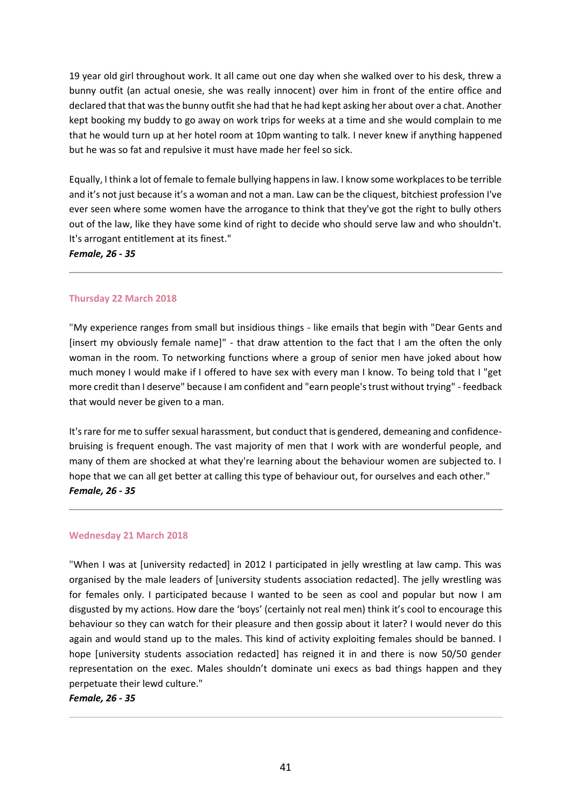19 year old girl throughout work. It all came out one day when she walked over to his desk, threw a bunny outfit (an actual onesie, she was really innocent) over him in front of the entire office and declared that that was the bunny outfit she had that he had kept asking her about over a chat. Another kept booking my buddy to go away on work trips for weeks at a time and she would complain to me that he would turn up at her hotel room at 10pm wanting to talk. I never knew if anything happened but he was so fat and repulsive it must have made her feel so sick.

Equally, I think a lot of female to female bullying happens in law. I know some workplaces to be terrible and it's not just because it's a woman and not a man. Law can be the cliquest, bitchiest profession I've ever seen where some women have the arrogance to think that they've got the right to bully others out of the law, like they have some kind of right to decide who should serve law and who shouldn't. It's arrogant entitlement at its finest."

*Female, 26 - 35*

## **Thursday 22 March 2018**

"My experience ranges from small but insidious things - like emails that begin with "Dear Gents and [insert my obviously female name]" - that draw attention to the fact that I am the often the only woman in the room. To networking functions where a group of senior men have joked about how much money I would make if I offered to have sex with every man I know. To being told that I "get more credit than I deserve" because I am confident and "earn people's trust without trying" - feedback that would never be given to a man.

It's rare for me to suffer sexual harassment, but conduct that is gendered, demeaning and confidencebruising is frequent enough. The vast majority of men that I work with are wonderful people, and many of them are shocked at what they're learning about the behaviour women are subjected to. I hope that we can all get better at calling this type of behaviour out, for ourselves and each other." *Female, 26 - 35*

### **Wednesday 21 March 2018**

"When I was at [university redacted] in 2012 I participated in jelly wrestling at law camp. This was organised by the male leaders of [university students association redacted]. The jelly wrestling was for females only. I participated because I wanted to be seen as cool and popular but now I am disgusted by my actions. How dare the 'boys' (certainly not real men) think it's cool to encourage this behaviour so they can watch for their pleasure and then gossip about it later? I would never do this again and would stand up to the males. This kind of activity exploiting females should be banned. I hope [university students association redacted] has reigned it in and there is now 50/50 gender representation on the exec. Males shouldn't dominate uni execs as bad things happen and they perpetuate their lewd culture."

*Female, 26 - 35*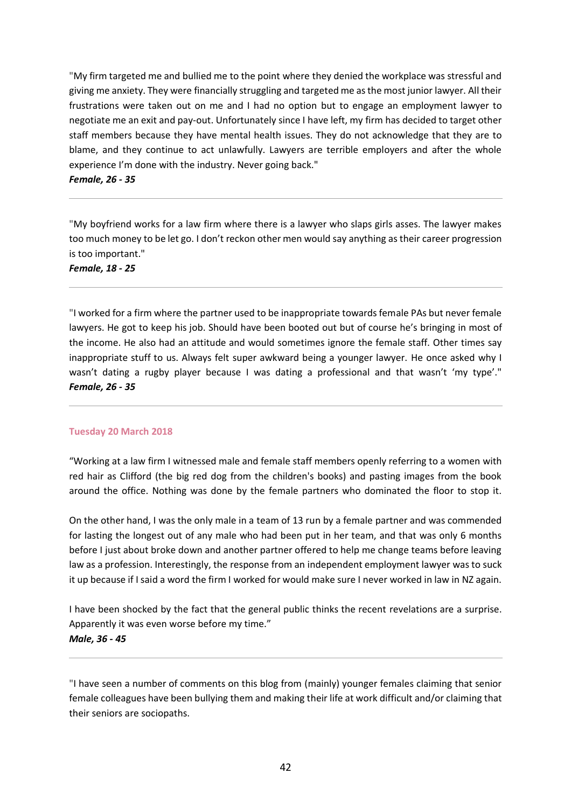"My firm targeted me and bullied me to the point where they denied the workplace was stressful and giving me anxiety. They were financially struggling and targeted me as the most junior lawyer. All their frustrations were taken out on me and I had no option but to engage an employment lawyer to negotiate me an exit and pay-out. Unfortunately since I have left, my firm has decided to target other staff members because they have mental health issues. They do not acknowledge that they are to blame, and they continue to act unlawfully. Lawyers are terrible employers and after the whole experience I'm done with the industry. Never going back."

*Female, 26 - 35*

"My boyfriend works for a law firm where there is a lawyer who slaps girls asses. The lawyer makes too much money to be let go. I don't reckon other men would say anything as their career progression is too important."

*Female, 18 - 25*

"I worked for a firm where the partner used to be inappropriate towards female PAs but never female lawyers. He got to keep his job. Should have been booted out but of course he's bringing in most of the income. He also had an attitude and would sometimes ignore the female staff. Other times say inappropriate stuff to us. Always felt super awkward being a younger lawyer. He once asked why I wasn't dating a rugby player because I was dating a professional and that wasn't 'my type'." *Female, 26 - 35*

### **Tuesday 20 March 2018**

"Working at a law firm I witnessed male and female staff members openly referring to a women with red hair as Clifford (the big red dog from the children's books) and pasting images from the book around the office. Nothing was done by the female partners who dominated the floor to stop it.

On the other hand, I was the only male in a team of 13 run by a female partner and was commended for lasting the longest out of any male who had been put in her team, and that was only 6 months before I just about broke down and another partner offered to help me change teams before leaving law as a profession. Interestingly, the response from an independent employment lawyer was to suck it up because if I said a word the firm I worked for would make sure I never worked in law in NZ again.

I have been shocked by the fact that the general public thinks the recent revelations are a surprise. Apparently it was even worse before my time." *Male, 36 - 45*

"I have seen a number of comments on this blog from (mainly) younger females claiming that senior female colleagues have been bullying them and making their life at work difficult and/or claiming that their seniors are sociopaths.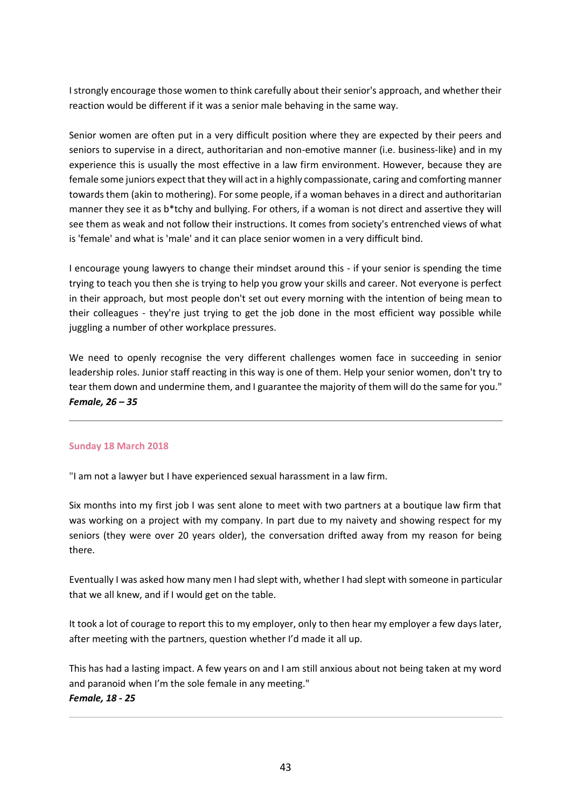I strongly encourage those women to think carefully about their senior's approach, and whether their reaction would be different if it was a senior male behaving in the same way.

Senior women are often put in a very difficult position where they are expected by their peers and seniors to supervise in a direct, authoritarian and non-emotive manner (i.e. business-like) and in my experience this is usually the most effective in a law firm environment. However, because they are female some juniors expect that they will act in a highly compassionate, caring and comforting manner towards them (akin to mothering). For some people, if a woman behaves in a direct and authoritarian manner they see it as b\*tchy and bullying. For others, if a woman is not direct and assertive they will see them as weak and not follow their instructions. It comes from society's entrenched views of what is 'female' and what is 'male' and it can place senior women in a very difficult bind.

I encourage young lawyers to change their mindset around this - if your senior is spending the time trying to teach you then she is trying to help you grow your skills and career. Not everyone is perfect in their approach, but most people don't set out every morning with the intention of being mean to their colleagues - they're just trying to get the job done in the most efficient way possible while juggling a number of other workplace pressures.

We need to openly recognise the very different challenges women face in succeeding in senior leadership roles. Junior staff reacting in this way is one of them. Help your senior women, don't try to tear them down and undermine them, and I guarantee the majority of them will do the same for you." *Female, 26 – 35*

### **Sunday 18 March 2018**

"I am not a lawyer but I have experienced sexual harassment in a law firm.

Six months into my first job I was sent alone to meet with two partners at a boutique law firm that was working on a project with my company. In part due to my naivety and showing respect for my seniors (they were over 20 years older), the conversation drifted away from my reason for being there.

Eventually I was asked how many men I had slept with, whether I had slept with someone in particular that we all knew, and if I would get on the table.

It took a lot of courage to report this to my employer, only to then hear my employer a few days later, after meeting with the partners, question whether I'd made it all up.

This has had a lasting impact. A few years on and I am still anxious about not being taken at my word and paranoid when I'm the sole female in any meeting." *Female, 18 - 25*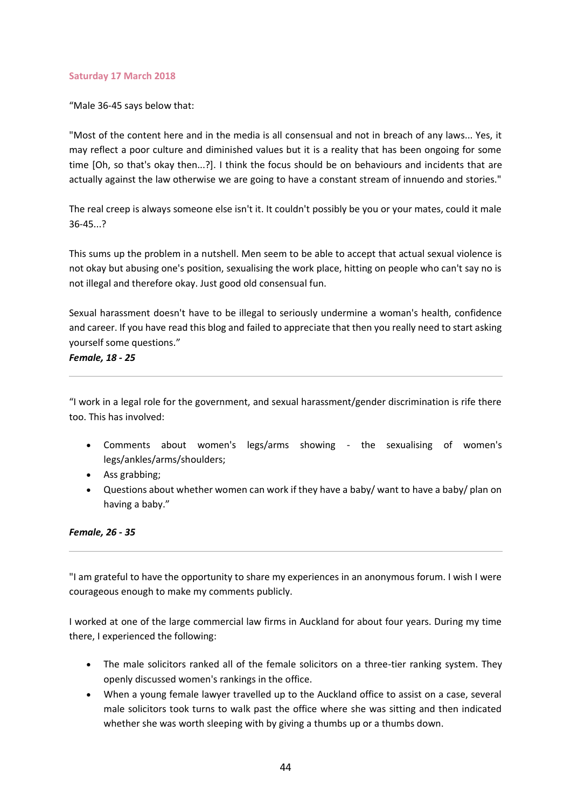#### **Saturday 17 March 2018**

"Male 36-45 says below that:

"Most of the content here and in the media is all consensual and not in breach of any laws... Yes, it may reflect a poor culture and diminished values but it is a reality that has been ongoing for some time [Oh, so that's okay then...?]. I think the focus should be on behaviours and incidents that are actually against the law otherwise we are going to have a constant stream of innuendo and stories."

The real creep is always someone else isn't it. It couldn't possibly be you or your mates, could it male 36-45...?

This sums up the problem in a nutshell. Men seem to be able to accept that actual sexual violence is not okay but abusing one's position, sexualising the work place, hitting on people who can't say no is not illegal and therefore okay. Just good old consensual fun.

Sexual harassment doesn't have to be illegal to seriously undermine a woman's health, confidence and career. If you have read this blog and failed to appreciate that then you really need to start asking yourself some questions."

*Female, 18 - 25*

"I work in a legal role for the government, and sexual harassment/gender discrimination is rife there too. This has involved:

- Comments about women's legs/arms showing the sexualising of women's legs/ankles/arms/shoulders;
- Ass grabbing;
- Questions about whether women can work if they have a baby/ want to have a baby/ plan on having a baby."

# *Female, 26 - 35*

"I am grateful to have the opportunity to share my experiences in an anonymous forum. I wish I were courageous enough to make my comments publicly.

I worked at one of the large commercial law firms in Auckland for about four years. During my time there, I experienced the following:

- The male solicitors ranked all of the female solicitors on a three-tier ranking system. They openly discussed women's rankings in the office.
- When a young female lawyer travelled up to the Auckland office to assist on a case, several male solicitors took turns to walk past the office where she was sitting and then indicated whether she was worth sleeping with by giving a thumbs up or a thumbs down.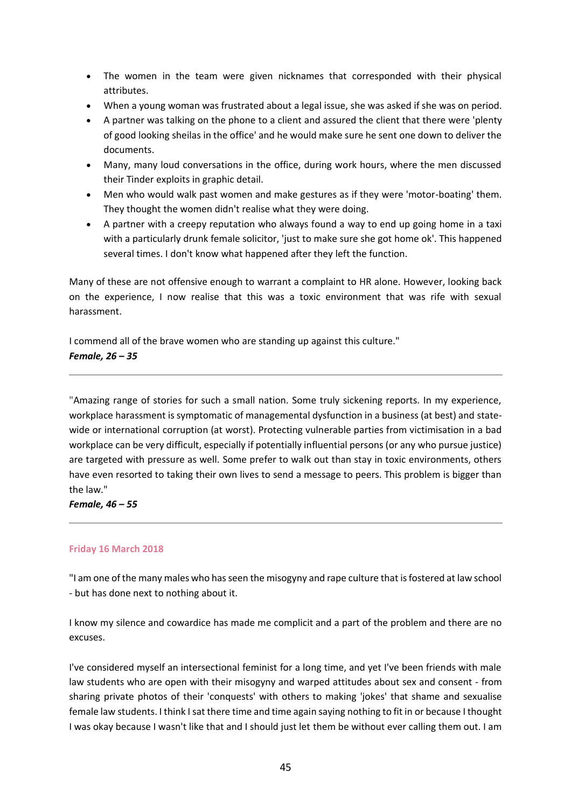- The women in the team were given nicknames that corresponded with their physical attributes.
- When a young woman was frustrated about a legal issue, she was asked if she was on period.
- A partner was talking on the phone to a client and assured the client that there were 'plenty of good looking sheilas in the office' and he would make sure he sent one down to deliver the documents.
- Many, many loud conversations in the office, during work hours, where the men discussed their Tinder exploits in graphic detail.
- Men who would walk past women and make gestures as if they were 'motor-boating' them. They thought the women didn't realise what they were doing.
- A partner with a creepy reputation who always found a way to end up going home in a taxi with a particularly drunk female solicitor, 'just to make sure she got home ok'. This happened several times. I don't know what happened after they left the function.

Many of these are not offensive enough to warrant a complaint to HR alone. However, looking back on the experience, I now realise that this was a toxic environment that was rife with sexual harassment.

I commend all of the brave women who are standing up against this culture." *Female, 26 – 35*

"Amazing range of stories for such a small nation. Some truly sickening reports. In my experience, workplace harassment is symptomatic of managemental dysfunction in a business (at best) and statewide or international corruption (at worst). Protecting vulnerable parties from victimisation in a bad workplace can be very difficult, especially if potentially influential persons (or any who pursue justice) are targeted with pressure as well. Some prefer to walk out than stay in toxic environments, others have even resorted to taking their own lives to send a message to peers. This problem is bigger than the law."

*Female, 46 – 55*

# **Friday 16 March 2018**

"I am one of the many males who has seen the misogyny and rape culture that is fostered at law school - but has done next to nothing about it.

I know my silence and cowardice has made me complicit and a part of the problem and there are no excuses.

I've considered myself an intersectional feminist for a long time, and yet I've been friends with male law students who are open with their misogyny and warped attitudes about sex and consent - from sharing private photos of their 'conquests' with others to making 'jokes' that shame and sexualise female law students. I think I sat there time and time again saying nothing to fit in or because I thought I was okay because I wasn't like that and I should just let them be without ever calling them out. I am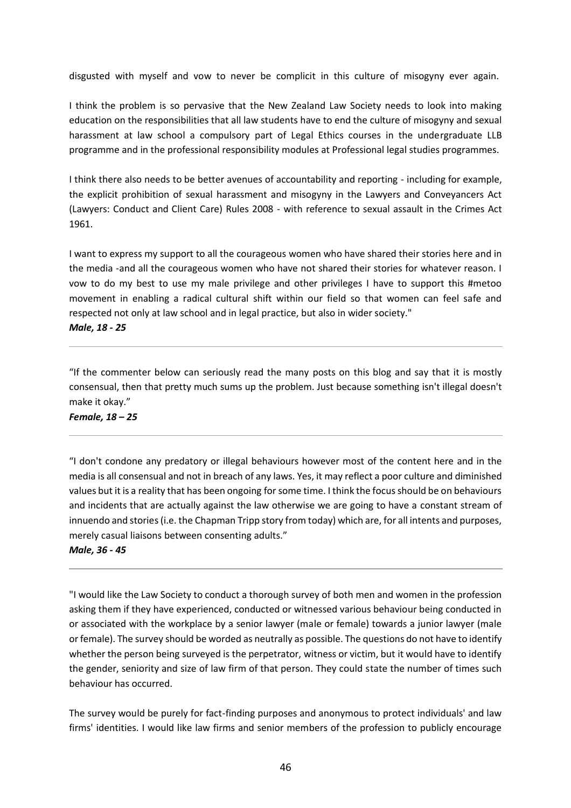disgusted with myself and vow to never be complicit in this culture of misogyny ever again.

I think the problem is so pervasive that the New Zealand Law Society needs to look into making education on the responsibilities that all law students have to end the culture of misogyny and sexual harassment at law school a compulsory part of Legal Ethics courses in the undergraduate LLB programme and in the professional responsibility modules at Professional legal studies programmes.

I think there also needs to be better avenues of accountability and reporting - including for example, the explicit prohibition of sexual harassment and misogyny in the Lawyers and Conveyancers Act (Lawyers: Conduct and Client Care) Rules 2008 - with reference to sexual assault in the Crimes Act 1961.

I want to express my support to all the courageous women who have shared their stories here and in the media -and all the courageous women who have not shared their stories for whatever reason. I vow to do my best to use my male privilege and other privileges I have to support this #metoo movement in enabling a radical cultural shift within our field so that women can feel safe and respected not only at law school and in legal practice, but also in wider society." *Male, 18 - 25*

"If the commenter below can seriously read the many posts on this blog and say that it is mostly consensual, then that pretty much sums up the problem. Just because something isn't illegal doesn't make it okay."

*Female, 18 – 25*

"I don't condone any predatory or illegal behaviours however most of the content here and in the media is all consensual and not in breach of any laws. Yes, it may reflect a poor culture and diminished values but it is a reality that has been ongoing for some time. I think the focus should be on behaviours and incidents that are actually against the law otherwise we are going to have a constant stream of innuendo and stories (i.e. the Chapman Tripp story from today) which are, for all intents and purposes, merely casual liaisons between consenting adults." *Male, 36 - 45*

"I would like the Law Society to conduct a thorough survey of both men and women in the profession asking them if they have experienced, conducted or witnessed various behaviour being conducted in or associated with the workplace by a senior lawyer (male or female) towards a junior lawyer (male or female). The survey should be worded as neutrally as possible. The questions do not have to identify whether the person being surveyed is the perpetrator, witness or victim, but it would have to identify the gender, seniority and size of law firm of that person. They could state the number of times such behaviour has occurred.

The survey would be purely for fact-finding purposes and anonymous to protect individuals' and law firms' identities. I would like law firms and senior members of the profession to publicly encourage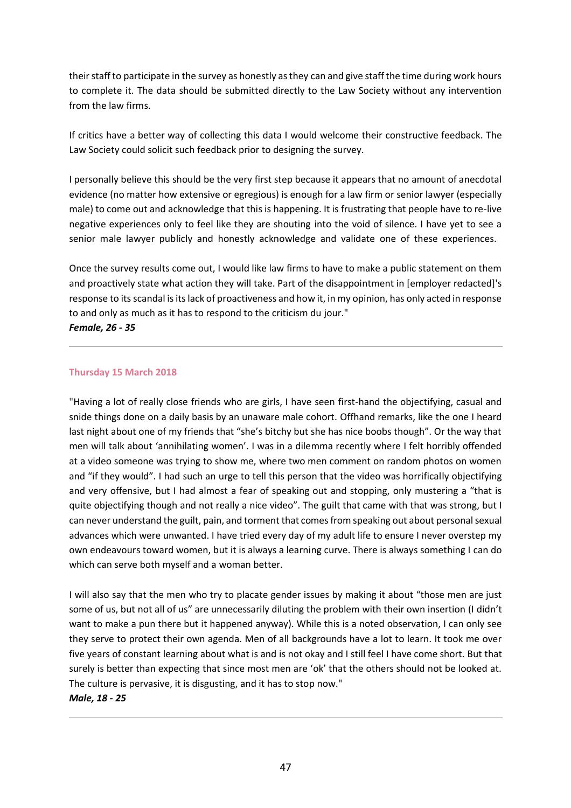their staff to participate in the survey as honestly as they can and give staff the time during work hours to complete it. The data should be submitted directly to the Law Society without any intervention from the law firms.

If critics have a better way of collecting this data I would welcome their constructive feedback. The Law Society could solicit such feedback prior to designing the survey.

I personally believe this should be the very first step because it appears that no amount of anecdotal evidence (no matter how extensive or egregious) is enough for a law firm or senior lawyer (especially male) to come out and acknowledge that this is happening. It is frustrating that people have to re-live negative experiences only to feel like they are shouting into the void of silence. I have yet to see a senior male lawyer publicly and honestly acknowledge and validate one of these experiences.

Once the survey results come out, I would like law firms to have to make a public statement on them and proactively state what action they will take. Part of the disappointment in [employer redacted]'s response to its scandal is its lack of proactiveness and how it, in my opinion, has only acted in response to and only as much as it has to respond to the criticism du jour."

*Female, 26 - 35*

## **Thursday 15 March 2018**

"Having a lot of really close friends who are girls, I have seen first-hand the objectifying, casual and snide things done on a daily basis by an unaware male cohort. Offhand remarks, like the one I heard last night about one of my friends that "she's bitchy but she has nice boobs though". Or the way that men will talk about 'annihilating women'. I was in a dilemma recently where I felt horribly offended at a video someone was trying to show me, where two men comment on random photos on women and "if they would". I had such an urge to tell this person that the video was horrifically objectifying and very offensive, but I had almost a fear of speaking out and stopping, only mustering a "that is quite objectifying though and not really a nice video". The guilt that came with that was strong, but I can never understand the guilt, pain, and torment that comes from speaking out about personal sexual advances which were unwanted. I have tried every day of my adult life to ensure I never overstep my own endeavours toward women, but it is always a learning curve. There is always something I can do which can serve both myself and a woman better.

I will also say that the men who try to placate gender issues by making it about "those men are just some of us, but not all of us" are unnecessarily diluting the problem with their own insertion (I didn't want to make a pun there but it happened anyway). While this is a noted observation, I can only see they serve to protect their own agenda. Men of all backgrounds have a lot to learn. It took me over five years of constant learning about what is and is not okay and I still feel I have come short. But that surely is better than expecting that since most men are 'ok' that the others should not be looked at. The culture is pervasive, it is disgusting, and it has to stop now."

### *Male, 18 - 25*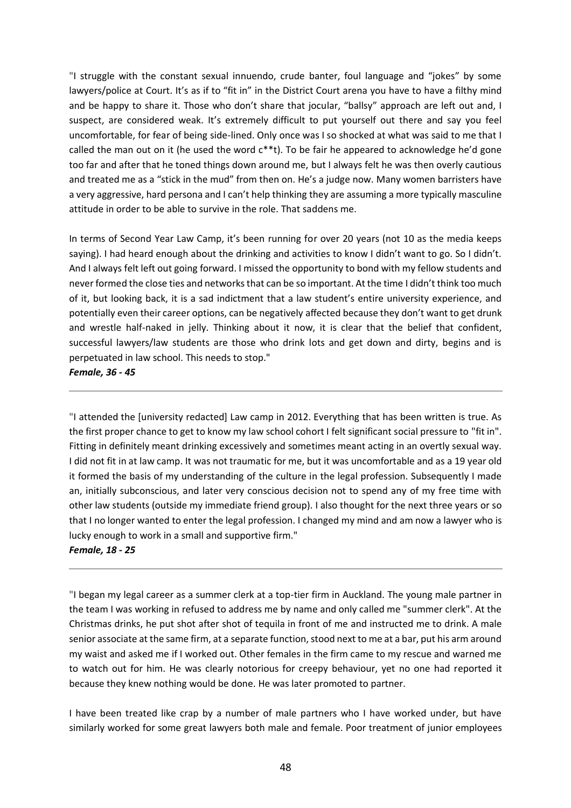"I struggle with the constant sexual innuendo, crude banter, foul language and "jokes" by some lawyers/police at Court. It's as if to "fit in" in the District Court arena you have to have a filthy mind and be happy to share it. Those who don't share that jocular, "ballsy" approach are left out and, I suspect, are considered weak. It's extremely difficult to put yourself out there and say you feel uncomfortable, for fear of being side-lined. Only once was I so shocked at what was said to me that I called the man out on it (he used the word  $c^{***}$ t). To be fair he appeared to acknowledge he'd gone too far and after that he toned things down around me, but I always felt he was then overly cautious and treated me as a "stick in the mud" from then on. He's a judge now. Many women barristers have a very aggressive, hard persona and I can't help thinking they are assuming a more typically masculine attitude in order to be able to survive in the role. That saddens me.

In terms of Second Year Law Camp, it's been running for over 20 years (not 10 as the media keeps saying). I had heard enough about the drinking and activities to know I didn't want to go. So I didn't. And I always felt left out going forward. I missed the opportunity to bond with my fellow students and never formed the close ties and networks that can be so important. At the time I didn't think too much of it, but looking back, it is a sad indictment that a law student's entire university experience, and potentially even their career options, can be negatively affected because they don't want to get drunk and wrestle half-naked in jelly. Thinking about it now, it is clear that the belief that confident, successful lawyers/law students are those who drink lots and get down and dirty, begins and is perpetuated in law school. This needs to stop."

*Female, 36 - 45*

"I attended the [university redacted] Law camp in 2012. Everything that has been written is true. As the first proper chance to get to know my law school cohort I felt significant social pressure to "fit in". Fitting in definitely meant drinking excessively and sometimes meant acting in an overtly sexual way. I did not fit in at law camp. It was not traumatic for me, but it was uncomfortable and as a 19 year old it formed the basis of my understanding of the culture in the legal profession. Subsequently I made an, initially subconscious, and later very conscious decision not to spend any of my free time with other law students (outside my immediate friend group). I also thought for the next three years or so that I no longer wanted to enter the legal profession. I changed my mind and am now a lawyer who is lucky enough to work in a small and supportive firm." *Female, 18 - 25*

"I began my legal career as a summer clerk at a top-tier firm in Auckland. The young male partner in the team I was working in refused to address me by name and only called me "summer clerk". At the Christmas drinks, he put shot after shot of tequila in front of me and instructed me to drink. A male senior associate at the same firm, at a separate function, stood next to me at a bar, put his arm around my waist and asked me if I worked out. Other females in the firm came to my rescue and warned me to watch out for him. He was clearly notorious for creepy behaviour, yet no one had reported it because they knew nothing would be done. He was later promoted to partner.

I have been treated like crap by a number of male partners who I have worked under, but have similarly worked for some great lawyers both male and female. Poor treatment of junior employees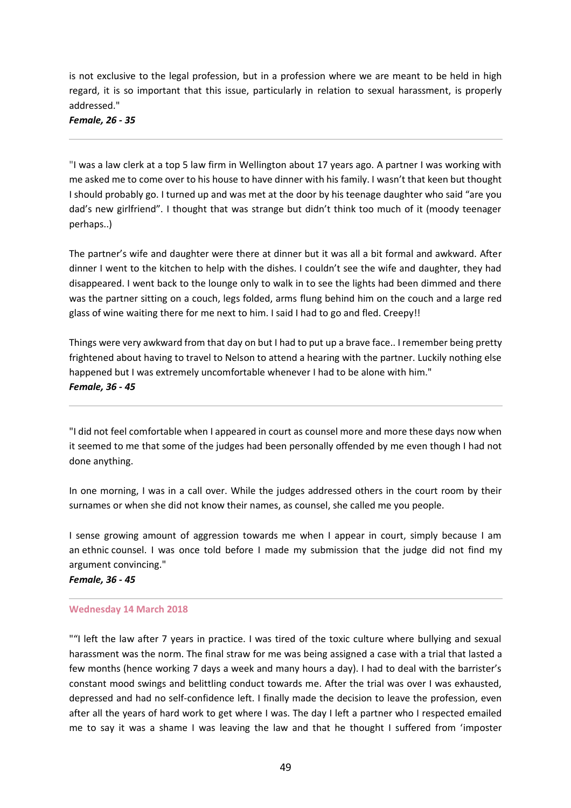is not exclusive to the legal profession, but in a profession where we are meant to be held in high regard, it is so important that this issue, particularly in relation to sexual harassment, is properly addressed."

*Female, 26 - 35*

"I was a law clerk at a top 5 law firm in Wellington about 17 years ago. A partner I was working with me asked me to come over to his house to have dinner with his family. I wasn't that keen but thought I should probably go. I turned up and was met at the door by his teenage daughter who said "are you dad's new girlfriend". I thought that was strange but didn't think too much of it (moody teenager perhaps..)

The partner's wife and daughter were there at dinner but it was all a bit formal and awkward. After dinner I went to the kitchen to help with the dishes. I couldn't see the wife and daughter, they had disappeared. I went back to the lounge only to walk in to see the lights had been dimmed and there was the partner sitting on a couch, legs folded, arms flung behind him on the couch and a large red glass of wine waiting there for me next to him. I said I had to go and fled. Creepy!!

Things were very awkward from that day on but I had to put up a brave face.. I remember being pretty frightened about having to travel to Nelson to attend a hearing with the partner. Luckily nothing else happened but I was extremely uncomfortable whenever I had to be alone with him." *Female, 36 - 45*

"I did not feel comfortable when I appeared in court as counsel more and more these days now when it seemed to me that some of the judges had been personally offended by me even though I had not done anything.

In one morning, I was in a call over. While the judges addressed others in the court room by their surnames or when she did not know their names, as counsel, she called me you people.

I sense growing amount of aggression towards me when I appear in court, simply because I am an ethnic counsel. I was once told before I made my submission that the judge did not find my argument convincing."

*Female, 36 - 45*

# **Wednesday 14 March 2018**

""I left the law after 7 years in practice. I was tired of the toxic culture where bullying and sexual harassment was the norm. The final straw for me was being assigned a case with a trial that lasted a few months (hence working 7 days a week and many hours a day). I had to deal with the barrister's constant mood swings and belittling conduct towards me. After the trial was over I was exhausted, depressed and had no self-confidence left. I finally made the decision to leave the profession, even after all the years of hard work to get where I was. The day I left a partner who I respected emailed me to say it was a shame I was leaving the law and that he thought I suffered from 'imposter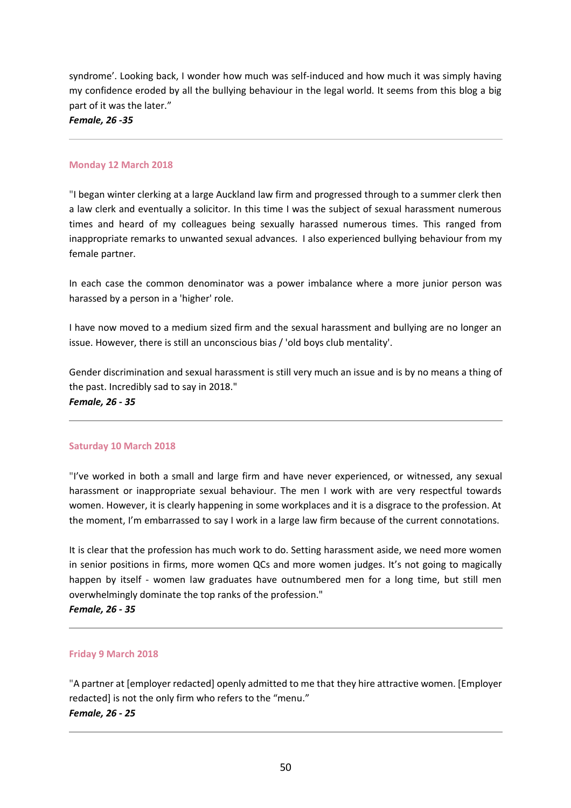syndrome'. Looking back, I wonder how much was self-induced and how much it was simply having my confidence eroded by all the bullying behaviour in the legal world. It seems from this blog a big part of it was the later."

*Female, 26 -35*

#### **Monday 12 March 2018**

"I began winter clerking at a large Auckland law firm and progressed through to a summer clerk then a law clerk and eventually a solicitor. In this time I was the subject of sexual harassment numerous times and heard of my colleagues being sexually harassed numerous times. This ranged from inappropriate remarks to unwanted sexual advances. I also experienced bullying behaviour from my female partner.

In each case the common denominator was a power imbalance where a more junior person was harassed by a person in a 'higher' role.

I have now moved to a medium sized firm and the sexual harassment and bullying are no longer an issue. However, there is still an unconscious bias / 'old boys club mentality'.

Gender discrimination and sexual harassment is still very much an issue and is by no means a thing of the past. Incredibly sad to say in 2018."

*Female, 26 - 35*

### **Saturday 10 March 2018**

"I've worked in both a small and large firm and have never experienced, or witnessed, any sexual harassment or inappropriate sexual behaviour. The men I work with are very respectful towards women. However, it is clearly happening in some workplaces and it is a disgrace to the profession. At the moment, I'm embarrassed to say I work in a large law firm because of the current connotations.

It is clear that the profession has much work to do. Setting harassment aside, we need more women in senior positions in firms, more women QCs and more women judges. It's not going to magically happen by itself - women law graduates have outnumbered men for a long time, but still men overwhelmingly dominate the top ranks of the profession."

*Female, 26 - 35*

### **Friday 9 March 2018**

"A partner at [employer redacted] openly admitted to me that they hire attractive women. [Employer redacted] is not the only firm who refers to the "menu." *Female, 26 - 25*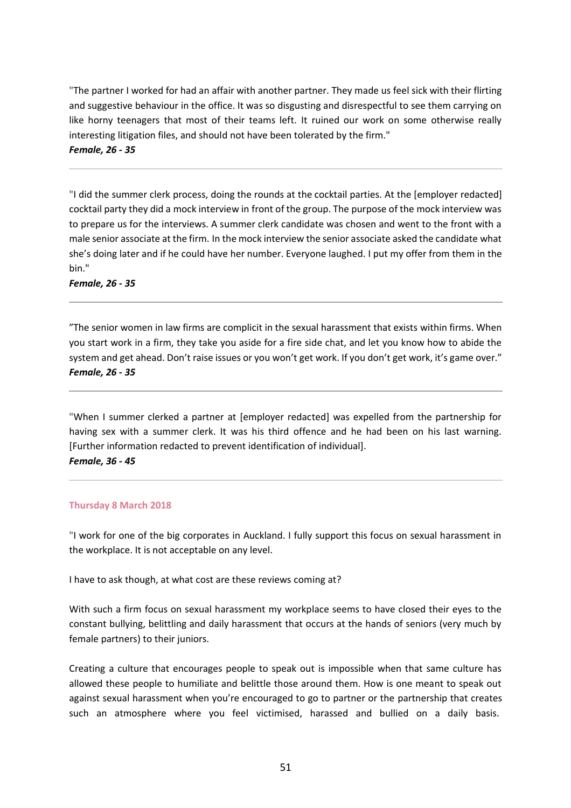"The partner I worked for had an affair with another partner. They made us feel sick with their flirting and suggestive behaviour in the office. It was so disgusting and disrespectful to see them carrying on like horny teenagers that most of their teams left. It ruined our work on some otherwise really interesting litigation files, and should not have been tolerated by the firm."

*Female, 26 - 35*

"I did the summer clerk process, doing the rounds at the cocktail parties. At the [employer redacted] cocktail party they did a mock interview in front of the group. The purpose of the mock interview was to prepare us for the interviews. A summer clerk candidate was chosen and went to the front with a male senior associate at the firm. In the mock interview the senior associate asked the candidate what she's doing later and if he could have her number. Everyone laughed. I put my offer from them in the bin."

*Female, 26 - 35*

"The senior women in law firms are complicit in the sexual harassment that exists within firms. When you start work in a firm, they take you aside for a fire side chat, and let you know how to abide the system and get ahead. Don't raise issues or you won't get work. If you don't get work, it's game over." *Female, 26 - 35*

"When I summer clerked a partner at [employer redacted] was expelled from the partnership for having sex with a summer clerk. It was his third offence and he had been on his last warning. [Further information redacted to prevent identification of individual].

*Female, 36 - 45*

### **Thursday 8 March 2018**

"I work for one of the big corporates in Auckland. I fully support this focus on sexual harassment in the workplace. It is not acceptable on any level.

I have to ask though, at what cost are these reviews coming at?

With such a firm focus on sexual harassment my workplace seems to have closed their eyes to the constant bullying, belittling and daily harassment that occurs at the hands of seniors (very much by female partners) to their juniors.

Creating a culture that encourages people to speak out is impossible when that same culture has allowed these people to humiliate and belittle those around them. How is one meant to speak out against sexual harassment when you're encouraged to go to partner or the partnership that creates such an atmosphere where you feel victimised, harassed and bullied on a daily basis.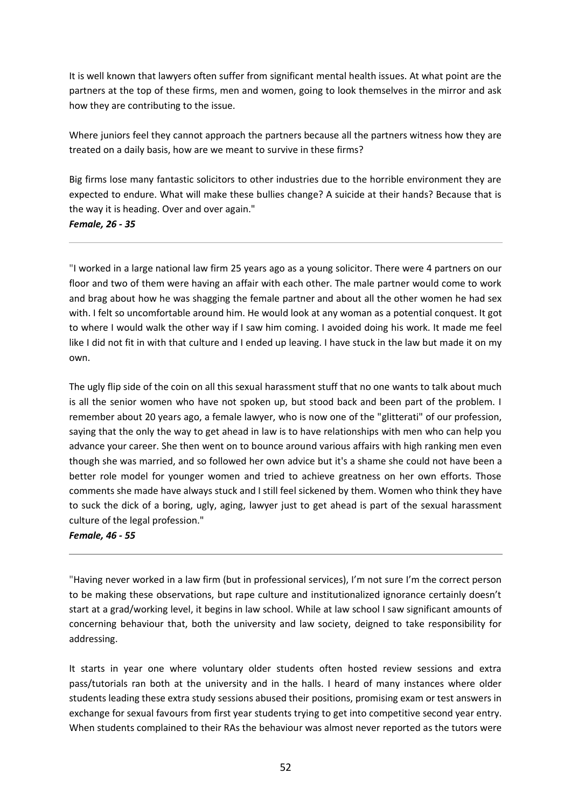It is well known that lawyers often suffer from significant mental health issues. At what point are the partners at the top of these firms, men and women, going to look themselves in the mirror and ask how they are contributing to the issue.

Where juniors feel they cannot approach the partners because all the partners witness how they are treated on a daily basis, how are we meant to survive in these firms?

Big firms lose many fantastic solicitors to other industries due to the horrible environment they are expected to endure. What will make these bullies change? A suicide at their hands? Because that is the way it is heading. Over and over again." *Female, 26 - 35*

"I worked in a large national law firm 25 years ago as a young solicitor. There were 4 partners on our floor and two of them were having an affair with each other. The male partner would come to work and brag about how he was shagging the female partner and about all the other women he had sex with. I felt so uncomfortable around him. He would look at any woman as a potential conquest. It got to where I would walk the other way if I saw him coming. I avoided doing his work. It made me feel like I did not fit in with that culture and I ended up leaving. I have stuck in the law but made it on my

The ugly flip side of the coin on all this sexual harassment stuff that no one wants to talk about much is all the senior women who have not spoken up, but stood back and been part of the problem. I remember about 20 years ago, a female lawyer, who is now one of the "glitterati" of our profession, saying that the only the way to get ahead in law is to have relationships with men who can help you advance your career. She then went on to bounce around various affairs with high ranking men even though she was married, and so followed her own advice but it's a shame she could not have been a better role model for younger women and tried to achieve greatness on her own efforts. Those comments she made have always stuck and I still feel sickened by them. Women who think they have to suck the dick of a boring, ugly, aging, lawyer just to get ahead is part of the sexual harassment culture of the legal profession."

### *Female, 46 - 55*

own.

"Having never worked in a law firm (but in professional services), I'm not sure I'm the correct person to be making these observations, but rape culture and institutionalized ignorance certainly doesn't start at a grad/working level, it begins in law school. While at law school I saw significant amounts of concerning behaviour that, both the university and law society, deigned to take responsibility for addressing.

It starts in year one where voluntary older students often hosted review sessions and extra pass/tutorials ran both at the university and in the halls. I heard of many instances where older students leading these extra study sessions abused their positions, promising exam or test answers in exchange for sexual favours from first year students trying to get into competitive second year entry. When students complained to their RAs the behaviour was almost never reported as the tutors were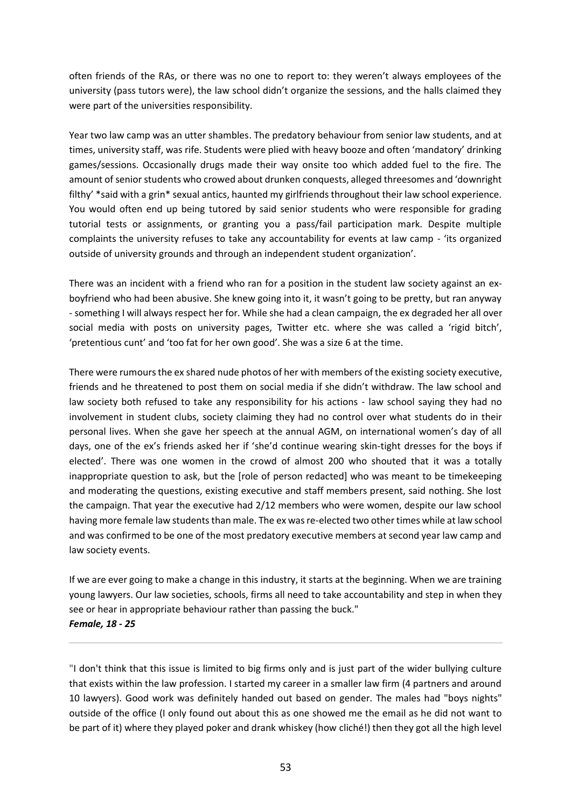often friends of the RAs, or there was no one to report to: they weren't always employees of the university (pass tutors were), the law school didn't organize the sessions, and the halls claimed they were part of the universities responsibility.

Year two law camp was an utter shambles. The predatory behaviour from senior law students, and at times, university staff, was rife. Students were plied with heavy booze and often 'mandatory' drinking games/sessions. Occasionally drugs made their way onsite too which added fuel to the fire. The amount of senior students who crowed about drunken conquests, alleged threesomes and 'downright filthy' \*said with a grin\* sexual antics, haunted my girlfriends throughout their law school experience. You would often end up being tutored by said senior students who were responsible for grading tutorial tests or assignments, or granting you a pass/fail participation mark. Despite multiple complaints the university refuses to take any accountability for events at law camp - 'its organized outside of university grounds and through an independent student organization'.

There was an incident with a friend who ran for a position in the student law society against an exboyfriend who had been abusive. She knew going into it, it wasn't going to be pretty, but ran anyway - something I will always respect her for. While she had a clean campaign, the ex degraded her all over social media with posts on university pages, Twitter etc. where she was called a 'rigid bitch', 'pretentious cunt' and 'too fat for her own good'. She was a size 6 at the time.

There were rumours the ex shared nude photos of her with members of the existing society executive, friends and he threatened to post them on social media if she didn't withdraw. The law school and law society both refused to take any responsibility for his actions - law school saying they had no involvement in student clubs, society claiming they had no control over what students do in their personal lives. When she gave her speech at the annual AGM, on international women's day of all days, one of the ex's friends asked her if 'she'd continue wearing skin-tight dresses for the boys if elected'. There was one women in the crowd of almost 200 who shouted that it was a totally inappropriate question to ask, but the [role of person redacted] who was meant to be timekeeping and moderating the questions, existing executive and staff members present, said nothing. She lost the campaign. That year the executive had 2/12 members who were women, despite our law school having more female law students than male. The ex was re-elected two other times while at law school and was confirmed to be one of the most predatory executive members at second year law camp and law society events.

If we are ever going to make a change in this industry, it starts at the beginning. When we are training young lawyers. Our law societies, schools, firms all need to take accountability and step in when they see or hear in appropriate behaviour rather than passing the buck." *Female, 18 - 25*

"I don't think that this issue is limited to big firms only and is just part of the wider bullying culture that exists within the law profession. I started my career in a smaller law firm (4 partners and around 10 lawyers). Good work was definitely handed out based on gender. The males had "boys nights" outside of the office (I only found out about this as one showed me the email as he did not want to be part of it) where they played poker and drank whiskey (how cliché!) then they got all the high level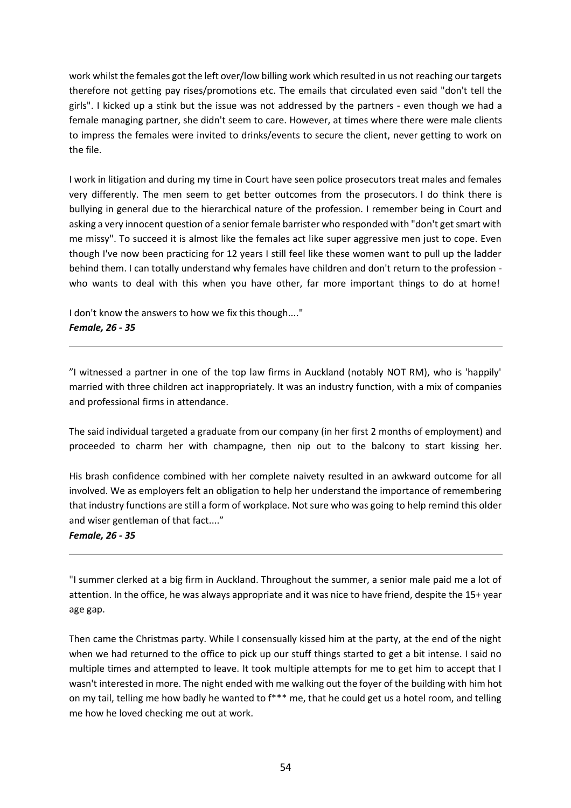work whilst the females got the left over/low billing work which resulted in us not reaching our targets therefore not getting pay rises/promotions etc. The emails that circulated even said "don't tell the girls". I kicked up a stink but the issue was not addressed by the partners - even though we had a female managing partner, she didn't seem to care. However, at times where there were male clients to impress the females were invited to drinks/events to secure the client, never getting to work on the file.

I work in litigation and during my time in Court have seen police prosecutors treat males and females very differently. The men seem to get better outcomes from the prosecutors. I do think there is bullying in general due to the hierarchical nature of the profession. I remember being in Court and asking a very innocent question of a senior female barrister who responded with "don't get smart with me missy". To succeed it is almost like the females act like super aggressive men just to cope. Even though I've now been practicing for 12 years I still feel like these women want to pull up the ladder behind them. I can totally understand why females have children and don't return to the profession who wants to deal with this when you have other, far more important things to do at home!

I don't know the answers to how we fix this though...." *Female, 26 - 35*

"I witnessed a partner in one of the top law firms in Auckland (notably NOT RM), who is 'happily' married with three children act inappropriately. It was an industry function, with a mix of companies and professional firms in attendance.

The said individual targeted a graduate from our company (in her first 2 months of employment) and proceeded to charm her with champagne, then nip out to the balcony to start kissing her.

His brash confidence combined with her complete naivety resulted in an awkward outcome for all involved. We as employers felt an obligation to help her understand the importance of remembering that industry functions are still a form of workplace. Not sure who was going to help remind this older and wiser gentleman of that fact...."

### *Female, 26 - 35*

"I summer clerked at a big firm in Auckland. Throughout the summer, a senior male paid me a lot of attention. In the office, he was always appropriate and it was nice to have friend, despite the 15+ year age gap.

Then came the Christmas party. While I consensually kissed him at the party, at the end of the night when we had returned to the office to pick up our stuff things started to get a bit intense. I said no multiple times and attempted to leave. It took multiple attempts for me to get him to accept that I wasn't interested in more. The night ended with me walking out the foyer of the building with him hot on my tail, telling me how badly he wanted to f\*\*\* me, that he could get us a hotel room, and telling me how he loved checking me out at work.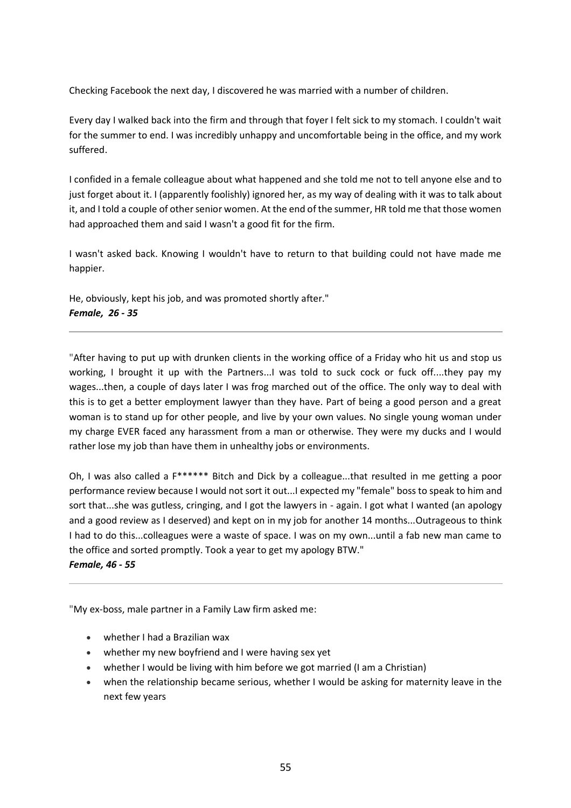Checking Facebook the next day, I discovered he was married with a number of children.

Every day I walked back into the firm and through that foyer I felt sick to my stomach. I couldn't wait for the summer to end. I was incredibly unhappy and uncomfortable being in the office, and my work suffered.

I confided in a female colleague about what happened and she told me not to tell anyone else and to just forget about it. I (apparently foolishly) ignored her, as my way of dealing with it was to talk about it, and I told a couple of other senior women. At the end of the summer, HR told me that those women had approached them and said I wasn't a good fit for the firm.

I wasn't asked back. Knowing I wouldn't have to return to that building could not have made me happier.

He, obviously, kept his job, and was promoted shortly after." *Female, 26 - 35*

"After having to put up with drunken clients in the working office of a Friday who hit us and stop us working, I brought it up with the Partners...I was told to suck cock or fuck off....they pay my wages...then, a couple of days later I was frog marched out of the office. The only way to deal with this is to get a better employment lawyer than they have. Part of being a good person and a great woman is to stand up for other people, and live by your own values. No single young woman under my charge EVER faced any harassment from a man or otherwise. They were my ducks and I would rather lose my job than have them in unhealthy jobs or environments.

Oh, I was also called a F\*\*\*\*\*\* Bitch and Dick by a colleague...that resulted in me getting a poor performance review because I would not sort it out...I expected my "female" boss to speak to him and sort that...she was gutless, cringing, and I got the lawyers in - again. I got what I wanted (an apology and a good review as I deserved) and kept on in my job for another 14 months...Outrageous to think I had to do this...colleagues were a waste of space. I was on my own...until a fab new man came to the office and sorted promptly. Took a year to get my apology BTW."

*Female, 46 - 55*

"My ex-boss, male partner in a Family Law firm asked me:

- whether I had a Brazilian wax
- whether my new boyfriend and I were having sex yet
- whether I would be living with him before we got married (I am a Christian)
- when the relationship became serious, whether I would be asking for maternity leave in the next few years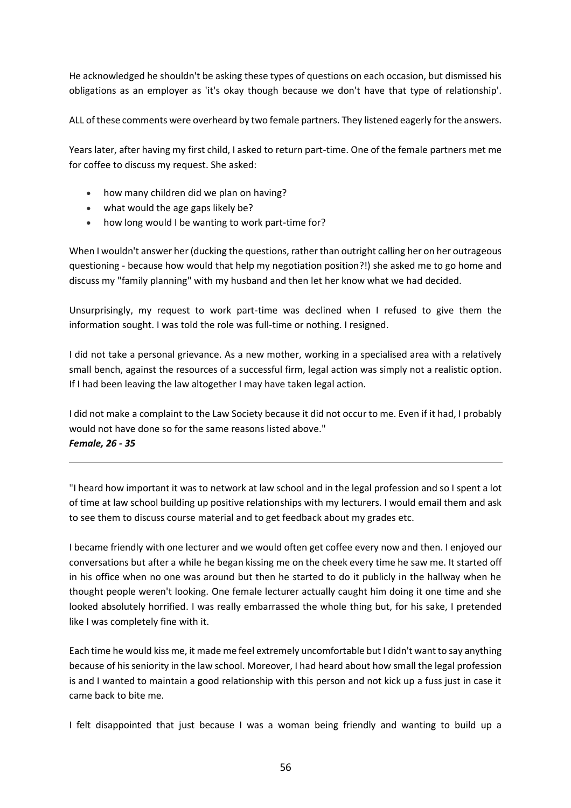He acknowledged he shouldn't be asking these types of questions on each occasion, but dismissed his obligations as an employer as 'it's okay though because we don't have that type of relationship'.

ALL of these comments were overheard by two female partners. They listened eagerly for the answers.

Years later, after having my first child, I asked to return part-time. One of the female partners met me for coffee to discuss my request. She asked:

- how many children did we plan on having?
- what would the age gaps likely be?
- how long would I be wanting to work part-time for?

When I wouldn't answer her (ducking the questions, rather than outright calling her on her outrageous questioning - because how would that help my negotiation position?!) she asked me to go home and discuss my "family planning" with my husband and then let her know what we had decided.

Unsurprisingly, my request to work part-time was declined when I refused to give them the information sought. I was told the role was full-time or nothing. I resigned.

I did not take a personal grievance. As a new mother, working in a specialised area with a relatively small bench, against the resources of a successful firm, legal action was simply not a realistic option. If I had been leaving the law altogether I may have taken legal action.

I did not make a complaint to the Law Society because it did not occur to me. Even if it had, I probably would not have done so for the same reasons listed above." *Female, 26 - 35*

"I heard how important it was to network at law school and in the legal profession and so I spent a lot of time at law school building up positive relationships with my lecturers. I would email them and ask to see them to discuss course material and to get feedback about my grades etc.

I became friendly with one lecturer and we would often get coffee every now and then. I enjoyed our conversations but after a while he began kissing me on the cheek every time he saw me. It started off in his office when no one was around but then he started to do it publicly in the hallway when he thought people weren't looking. One female lecturer actually caught him doing it one time and she looked absolutely horrified. I was really embarrassed the whole thing but, for his sake, I pretended like I was completely fine with it.

Each time he would kiss me, it made me feel extremely uncomfortable but I didn't want to say anything because of his seniority in the law school. Moreover, I had heard about how small the legal profession is and I wanted to maintain a good relationship with this person and not kick up a fuss just in case it came back to bite me.

I felt disappointed that just because I was a woman being friendly and wanting to build up a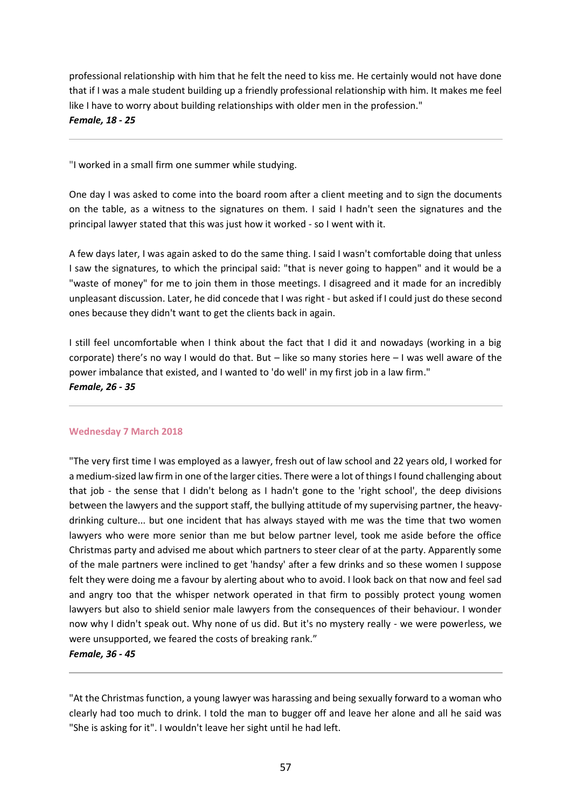professional relationship with him that he felt the need to kiss me. He certainly would not have done that if I was a male student building up a friendly professional relationship with him. It makes me feel like I have to worry about building relationships with older men in the profession." *Female, 18 - 25*

"I worked in a small firm one summer while studying.

One day I was asked to come into the board room after a client meeting and to sign the documents on the table, as a witness to the signatures on them. I said I hadn't seen the signatures and the principal lawyer stated that this was just how it worked - so I went with it.

A few days later, I was again asked to do the same thing. I said I wasn't comfortable doing that unless I saw the signatures, to which the principal said: "that is never going to happen" and it would be a "waste of money" for me to join them in those meetings. I disagreed and it made for an incredibly unpleasant discussion. Later, he did concede that I was right - but asked if I could just do these second ones because they didn't want to get the clients back in again.

I still feel uncomfortable when I think about the fact that I did it and nowadays (working in a big corporate) there's no way I would do that. But – like so many stories here – I was well aware of the power imbalance that existed, and I wanted to 'do well' in my first job in a law firm." *Female, 26 - 35*

### **Wednesday 7 March 2018**

"The very first time I was employed as a lawyer, fresh out of law school and 22 years old, I worked for a medium-sized law firm in one of the larger cities. There were a lot of things I found challenging about that job - the sense that I didn't belong as I hadn't gone to the 'right school', the deep divisions between the lawyers and the support staff, the bullying attitude of my supervising partner, the heavydrinking culture... but one incident that has always stayed with me was the time that two women lawyers who were more senior than me but below partner level, took me aside before the office Christmas party and advised me about which partners to steer clear of at the party. Apparently some of the male partners were inclined to get 'handsy' after a few drinks and so these women I suppose felt they were doing me a favour by alerting about who to avoid. I look back on that now and feel sad and angry too that the whisper network operated in that firm to possibly protect young women lawyers but also to shield senior male lawyers from the consequences of their behaviour. I wonder now why I didn't speak out. Why none of us did. But it's no mystery really - we were powerless, we were unsupported, we feared the costs of breaking rank."

#### *Female, 36 - 45*

"At the Christmas function, a young lawyer was harassing and being sexually forward to a woman who clearly had too much to drink. I told the man to bugger off and leave her alone and all he said was "She is asking for it". I wouldn't leave her sight until he had left.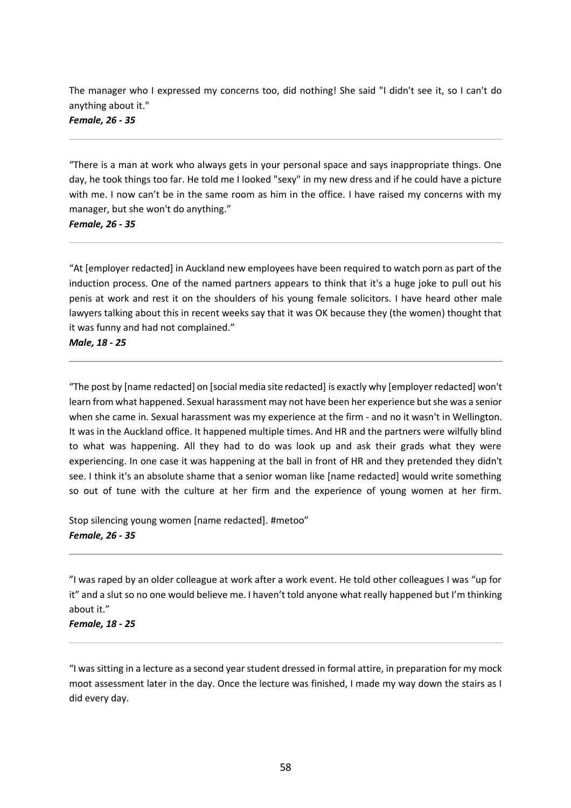The manager who I expressed my concerns too, did nothing! She said "I didn't see it, so I can't do anything about it."

*Female, 26 - 35*

"There is a man at work who always gets in your personal space and says inappropriate things. One day, he took things too far. He told me I looked "sexy" in my new dress and if he could have a picture with me. I now can't be in the same room as him in the office. I have raised my concerns with my manager, but she won't do anything."

*Female, 26 - 35*

"At [employer redacted] in Auckland new employees have been required to watch porn as part of the induction process. One of the named partners appears to think that it's a huge joke to pull out his penis at work and rest it on the shoulders of his young female solicitors. I have heard other male lawyers talking about this in recent weeks say that it was OK because they (the women) thought that it was funny and had not complained."

*Male, 18 - 25*

"The post by [name redacted] on [social media site redacted] is exactly why [employer redacted] won't learn from what happened. Sexual harassment may not have been her experience but she was a senior when she came in. Sexual harassment was my experience at the firm - and no it wasn't in Wellington. It was in the Auckland office. It happened multiple times. And HR and the partners were wilfully blind to what was happening. All they had to do was look up and ask their grads what they were experiencing. In one case it was happening at the ball in front of HR and they pretended they didn't see. I think it's an absolute shame that a senior woman like [name redacted] would write something so out of tune with the culture at her firm and the experience of young women at her firm.

Stop silencing young women [name redacted]. #metoo" *Female, 26 - 35*

"I was raped by an older colleague at work after a work event. He told other colleagues I was "up for it" and a slut so no one would believe me. I haven't told anyone what really happened but I'm thinking about it."

*Female, 18 - 25*

"I was sitting in a lecture as a second year student dressed in formal attire, in preparation for my mock moot assessment later in the day. Once the lecture was finished, I made my way down the stairs as I did every day.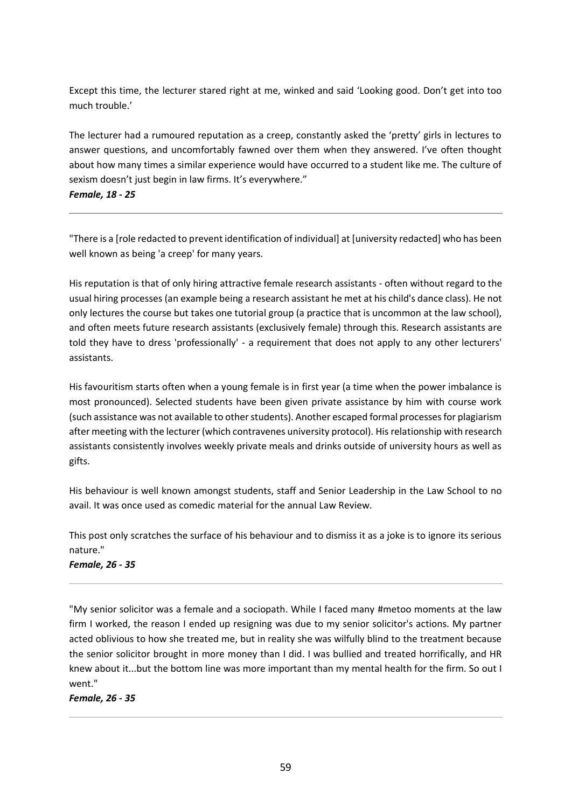Except this time, the lecturer stared right at me, winked and said 'Looking good. Don't get into too much trouble.'

The lecturer had a rumoured reputation as a creep, constantly asked the 'pretty' girls in lectures to answer questions, and uncomfortably fawned over them when they answered. I've often thought about how many times a similar experience would have occurred to a student like me. The culture of sexism doesn't just begin in law firms. It's everywhere."

*Female, 18 - 25*

"There is a [role redacted to prevent identification of individual] at [university redacted] who has been well known as being 'a creep' for many years.

His reputation is that of only hiring attractive female research assistants - often without regard to the usual hiring processes (an example being a research assistant he met at his child's dance class). He not only lectures the course but takes one tutorial group (a practice that is uncommon at the law school), and often meets future research assistants (exclusively female) through this. Research assistants are told they have to dress 'professionally' - a requirement that does not apply to any other lecturers' assistants.

His favouritism starts often when a young female is in first year (a time when the power imbalance is most pronounced). Selected students have been given private assistance by him with course work (such assistance was not available to other students). Another escaped formal processes for plagiarism after meeting with the lecturer (which contravenes university protocol). His relationship with research assistants consistently involves weekly private meals and drinks outside of university hours as well as gifts.

His behaviour is well known amongst students, staff and Senior Leadership in the Law School to no avail. It was once used as comedic material for the annual Law Review.

This post only scratches the surface of his behaviour and to dismiss it as a joke is to ignore its serious nature."

*Female, 26 - 35*

"My senior solicitor was a female and a sociopath. While I faced many #metoo moments at the law firm I worked, the reason I ended up resigning was due to my senior solicitor's actions. My partner acted oblivious to how she treated me, but in reality she was wilfully blind to the treatment because the senior solicitor brought in more money than I did. I was bullied and treated horrifically, and HR knew about it...but the bottom line was more important than my mental health for the firm. So out I went."

*Female, 26 - 35*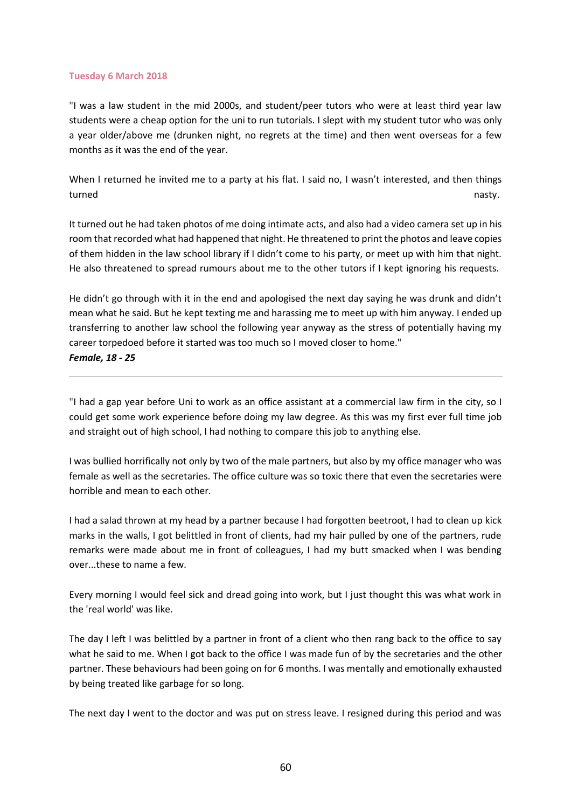#### **Tuesday 6 March 2018**

"I was a law student in the mid 2000s, and student/peer tutors who were at least third year law students were a cheap option for the uni to run tutorials. I slept with my student tutor who was only a year older/above me (drunken night, no regrets at the time) and then went overseas for a few months as it was the end of the year.

When I returned he invited me to a party at his flat. I said no, I wasn't interested, and then things turned **nasty.** The contract of the contract of the contract of the contract of the contract of the contract of the contract of the contract of the contract of the contract of the contract of the contract of the contract o

It turned out he had taken photos of me doing intimate acts, and also had a video camera set up in his room that recorded what had happened that night. He threatened to print the photos and leave copies of them hidden in the law school library if I didn't come to his party, or meet up with him that night. He also threatened to spread rumours about me to the other tutors if I kept ignoring his requests.

He didn't go through with it in the end and apologised the next day saying he was drunk and didn't mean what he said. But he kept texting me and harassing me to meet up with him anyway. I ended up transferring to another law school the following year anyway as the stress of potentially having my career torpedoed before it started was too much so I moved closer to home." *Female, 18 - 25*

"I had a gap year before Uni to work as an office assistant at a commercial law firm in the city, so I could get some work experience before doing my law degree. As this was my first ever full time job and straight out of high school, I had nothing to compare this job to anything else.

I was bullied horrifically not only by two of the male partners, but also by my office manager who was female as well as the secretaries. The office culture was so toxic there that even the secretaries were horrible and mean to each other.

I had a salad thrown at my head by a partner because I had forgotten beetroot, I had to clean up kick marks in the walls, I got belittled in front of clients, had my hair pulled by one of the partners, rude remarks were made about me in front of colleagues, I had my butt smacked when I was bending over...these to name a few.

Every morning I would feel sick and dread going into work, but I just thought this was what work in the 'real world' was like.

The day I left I was belittled by a partner in front of a client who then rang back to the office to say what he said to me. When I got back to the office I was made fun of by the secretaries and the other partner. These behaviours had been going on for 6 months. I was mentally and emotionally exhausted by being treated like garbage for so long.

The next day I went to the doctor and was put on stress leave. I resigned during this period and was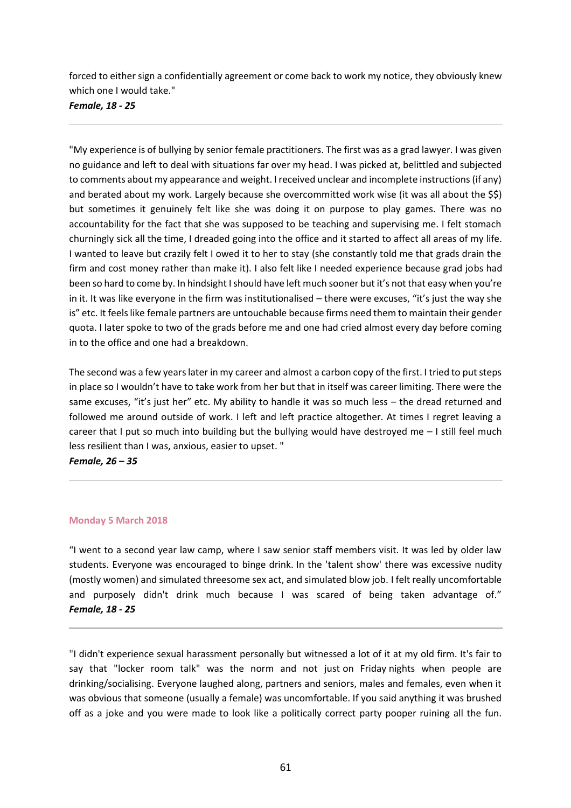forced to either sign a confidentially agreement or come back to work my notice, they obviously knew which one I would take."

*Female, 18 - 25*

"My experience is of bullying by senior female practitioners. The first was as a grad lawyer. I was given no guidance and left to deal with situations far over my head. I was picked at, belittled and subjected to comments about my appearance and weight. I received unclear and incomplete instructions (if any) and berated about my work. Largely because she overcommitted work wise (it was all about the \$\$) but sometimes it genuinely felt like she was doing it on purpose to play games. There was no accountability for the fact that she was supposed to be teaching and supervising me. I felt stomach churningly sick all the time, I dreaded going into the office and it started to affect all areas of my life. I wanted to leave but crazily felt I owed it to her to stay (she constantly told me that grads drain the firm and cost money rather than make it). I also felt like I needed experience because grad jobs had been so hard to come by. In hindsight I should have left much sooner but it's not that easy when you're in it. It was like everyone in the firm was institutionalised – there were excuses, "it's just the way she is" etc. It feels like female partners are untouchable because firms need them to maintain their gender quota. I later spoke to two of the grads before me and one had cried almost every day before coming in to the office and one had a breakdown.

The second was a few years later in my career and almost a carbon copy of the first. I tried to put steps in place so I wouldn't have to take work from her but that in itself was career limiting. There were the same excuses, "it's just her" etc. My ability to handle it was so much less - the dread returned and followed me around outside of work. I left and left practice altogether. At times I regret leaving a career that I put so much into building but the bullying would have destroyed me  $-1$  still feel much less resilient than I was, anxious, easier to upset. "

*Female, 26 – 35*

### **Monday 5 March 2018**

"I went to a second year law camp, where I saw senior staff members visit. It was led by older law students. Everyone was encouraged to binge drink. In the 'talent show' there was excessive nudity (mostly women) and simulated threesome sex act, and simulated blow job. I felt really uncomfortable and purposely didn't drink much because I was scared of being taken advantage of." *Female, 18 - 25*

"I didn't experience sexual harassment personally but witnessed a lot of it at my old firm. It's fair to say that "locker room talk" was the norm and not just on Friday nights when people are drinking/socialising. Everyone laughed along, partners and seniors, males and females, even when it was obvious that someone (usually a female) was uncomfortable. If you said anything it was brushed off as a joke and you were made to look like a politically correct party pooper ruining all the fun.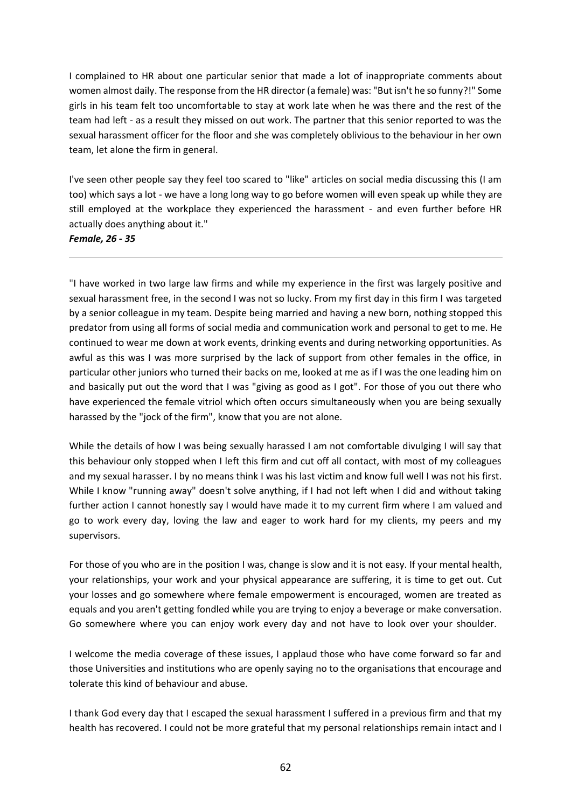I complained to HR about one particular senior that made a lot of inappropriate comments about women almost daily. The response from the HR director (a female) was: "But isn't he so funny?!" Some girls in his team felt too uncomfortable to stay at work late when he was there and the rest of the team had left - as a result they missed on out work. The partner that this senior reported to was the sexual harassment officer for the floor and she was completely oblivious to the behaviour in her own team, let alone the firm in general.

I've seen other people say they feel too scared to "like" articles on social media discussing this (I am too) which says a lot - we have a long long way to go before women will even speak up while they are still employed at the workplace they experienced the harassment - and even further before HR actually does anything about it."

*Female, 26 - 35*

"I have worked in two large law firms and while my experience in the first was largely positive and sexual harassment free, in the second I was not so lucky. From my first day in this firm I was targeted by a senior colleague in my team. Despite being married and having a new born, nothing stopped this predator from using all forms of social media and communication work and personal to get to me. He continued to wear me down at work events, drinking events and during networking opportunities. As awful as this was I was more surprised by the lack of support from other females in the office, in particular other juniors who turned their backs on me, looked at me as if I was the one leading him on and basically put out the word that I was "giving as good as I got". For those of you out there who have experienced the female vitriol which often occurs simultaneously when you are being sexually harassed by the "jock of the firm", know that you are not alone.

While the details of how I was being sexually harassed I am not comfortable divulging I will say that this behaviour only stopped when I left this firm and cut off all contact, with most of my colleagues and my sexual harasser. I by no means think I was his last victim and know full well I was not his first. While I know "running away" doesn't solve anything, if I had not left when I did and without taking further action I cannot honestly say I would have made it to my current firm where I am valued and go to work every day, loving the law and eager to work hard for my clients, my peers and my supervisors.

For those of you who are in the position I was, change is slow and it is not easy. If your mental health, your relationships, your work and your physical appearance are suffering, it is time to get out. Cut your losses and go somewhere where female empowerment is encouraged, women are treated as equals and you aren't getting fondled while you are trying to enjoy a beverage or make conversation. Go somewhere where you can enjoy work every day and not have to look over your shoulder.

I welcome the media coverage of these issues, I applaud those who have come forward so far and those Universities and institutions who are openly saying no to the organisations that encourage and tolerate this kind of behaviour and abuse.

I thank God every day that I escaped the sexual harassment I suffered in a previous firm and that my health has recovered. I could not be more grateful that my personal relationships remain intact and I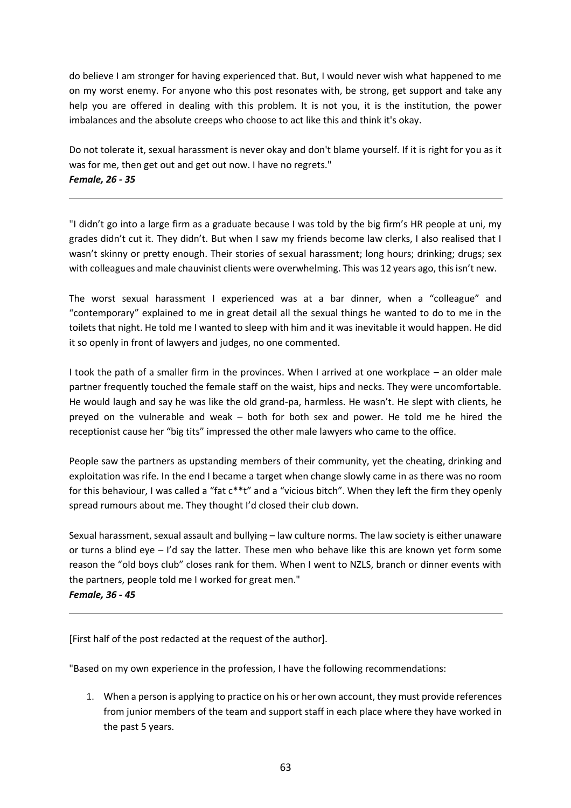do believe I am stronger for having experienced that. But, I would never wish what happened to me on my worst enemy. For anyone who this post resonates with, be strong, get support and take any help you are offered in dealing with this problem. It is not you, it is the institution, the power imbalances and the absolute creeps who choose to act like this and think it's okay.

Do not tolerate it, sexual harassment is never okay and don't blame yourself. If it is right for you as it was for me, then get out and get out now. I have no regrets." *Female, 26 - 35*

"I didn't go into a large firm as a graduate because I was told by the big firm's HR people at uni, my grades didn't cut it. They didn't. But when I saw my friends become law clerks, I also realised that I wasn't skinny or pretty enough. Their stories of sexual harassment; long hours; drinking; drugs; sex with colleagues and male chauvinist clients were overwhelming. This was 12 years ago, this isn't new.

The worst sexual harassment I experienced was at a bar dinner, when a "colleague" and "contemporary" explained to me in great detail all the sexual things he wanted to do to me in the toilets that night. He told me I wanted to sleep with him and it was inevitable it would happen. He did it so openly in front of lawyers and judges, no one commented.

I took the path of a smaller firm in the provinces. When I arrived at one workplace – an older male partner frequently touched the female staff on the waist, hips and necks. They were uncomfortable. He would laugh and say he was like the old grand-pa, harmless. He wasn't. He slept with clients, he preyed on the vulnerable and weak – both for both sex and power. He told me he hired the receptionist cause her "big tits" impressed the other male lawyers who came to the office.

People saw the partners as upstanding members of their community, yet the cheating, drinking and exploitation was rife. In the end I became a target when change slowly came in as there was no room for this behaviour, I was called a "fat c\*\*t" and a "vicious bitch". When they left the firm they openly spread rumours about me. They thought I'd closed their club down.

Sexual harassment, sexual assault and bullying – law culture norms. The law society is either unaware or turns a blind eye – I'd say the latter. These men who behave like this are known yet form some reason the "old boys club" closes rank for them. When I went to NZLS, branch or dinner events with the partners, people told me I worked for great men."

*Female, 36 - 45*

[First half of the post redacted at the request of the author].

"Based on my own experience in the profession, I have the following recommendations:

1. When a person is applying to practice on his or her own account, they must provide references from junior members of the team and support staff in each place where they have worked in the past 5 years.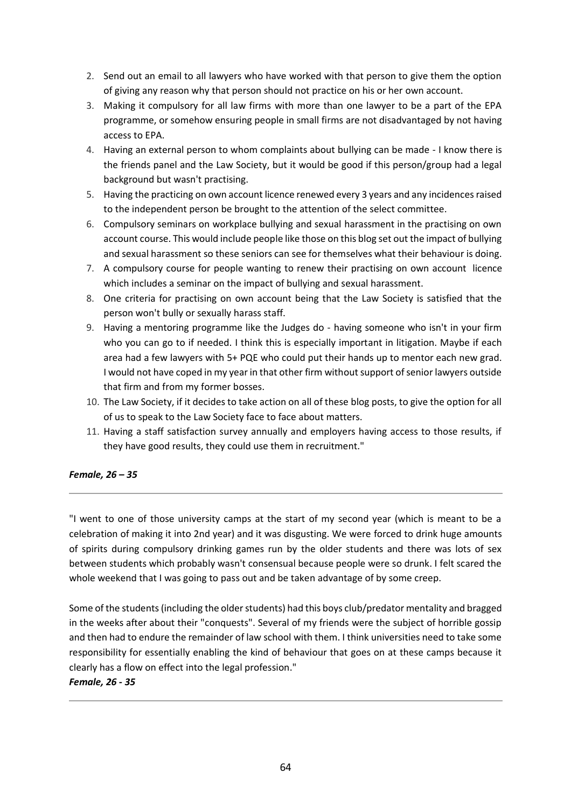- 2. Send out an email to all lawyers who have worked with that person to give them the option of giving any reason why that person should not practice on his or her own account.
- 3. Making it compulsory for all law firms with more than one lawyer to be a part of the EPA programme, or somehow ensuring people in small firms are not disadvantaged by not having access to EPA.
- 4. Having an external person to whom complaints about bullying can be made I know there is the friends panel and the Law Society, but it would be good if this person/group had a legal background but wasn't practising.
- 5. Having the practicing on own account licence renewed every 3 years and any incidences raised to the independent person be brought to the attention of the select committee.
- 6. Compulsory seminars on workplace bullying and sexual harassment in the practising on own account course. This would include people like those on this blog set out the impact of bullying and sexual harassment so these seniors can see for themselves what their behaviour is doing.
- 7. A compulsory course for people wanting to renew their practising on own account licence which includes a seminar on the impact of bullying and sexual harassment.
- 8. One criteria for practising on own account being that the Law Society is satisfied that the person won't bully or sexually harass staff.
- 9. Having a mentoring programme like the Judges do having someone who isn't in your firm who you can go to if needed. I think this is especially important in litigation. Maybe if each area had a few lawyers with 5+ PQE who could put their hands up to mentor each new grad. I would not have coped in my year in that other firm without support of senior lawyers outside that firm and from my former bosses.
- 10. The Law Society, if it decides to take action on all of these blog posts, to give the option for all of us to speak to the Law Society face to face about matters.
- 11. Having a staff satisfaction survey annually and employers having access to those results, if they have good results, they could use them in recruitment."

# *Female, 26 – 35*

"I went to one of those university camps at the start of my second year (which is meant to be a celebration of making it into 2nd year) and it was disgusting. We were forced to drink huge amounts of spirits during compulsory drinking games run by the older students and there was lots of sex between students which probably wasn't consensual because people were so drunk. I felt scared the whole weekend that I was going to pass out and be taken advantage of by some creep.

Some of the students (including the older students) had this boys club/predator mentality and bragged in the weeks after about their "conquests". Several of my friends were the subject of horrible gossip and then had to endure the remainder of law school with them. I think universities need to take some responsibility for essentially enabling the kind of behaviour that goes on at these camps because it clearly has a flow on effect into the legal profession."

# *Female, 26 - 35*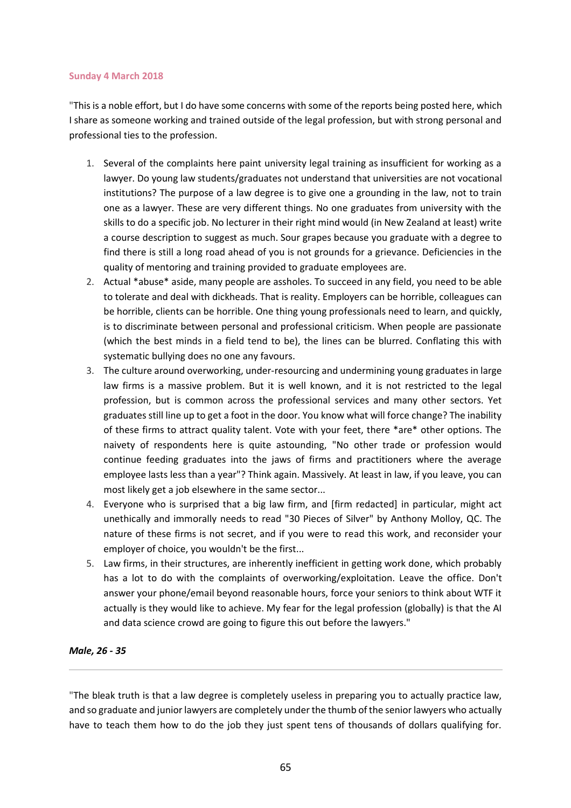#### **Sunday 4 March 2018**

"This is a noble effort, but I do have some concerns with some of the reports being posted here, which I share as someone working and trained outside of the legal profession, but with strong personal and professional ties to the profession.

- 1. Several of the complaints here paint university legal training as insufficient for working as a lawyer. Do young law students/graduates not understand that universities are not vocational institutions? The purpose of a law degree is to give one a grounding in the law, not to train one as a lawyer. These are very different things. No one graduates from university with the skills to do a specific job. No lecturer in their right mind would (in New Zealand at least) write a course description to suggest as much. Sour grapes because you graduate with a degree to find there is still a long road ahead of you is not grounds for a grievance. Deficiencies in the quality of mentoring and training provided to graduate employees are.
- 2. Actual \*abuse\* aside, many people are assholes. To succeed in any field, you need to be able to tolerate and deal with dickheads. That is reality. Employers can be horrible, colleagues can be horrible, clients can be horrible. One thing young professionals need to learn, and quickly, is to discriminate between personal and professional criticism. When people are passionate (which the best minds in a field tend to be), the lines can be blurred. Conflating this with systematic bullying does no one any favours.
- 3. The culture around overworking, under-resourcing and undermining young graduates in large law firms is a massive problem. But it is well known, and it is not restricted to the legal profession, but is common across the professional services and many other sectors. Yet graduates still line up to get a foot in the door. You know what will force change? The inability of these firms to attract quality talent. Vote with your feet, there \*are\* other options. The naivety of respondents here is quite astounding, "No other trade or profession would continue feeding graduates into the jaws of firms and practitioners where the average employee lasts less than a year"? Think again. Massively. At least in law, if you leave, you can most likely get a job elsewhere in the same sector...
- 4. Everyone who is surprised that a big law firm, and [firm redacted] in particular, might act unethically and immorally needs to read "30 Pieces of Silver" by Anthony Molloy, QC. The nature of these firms is not secret, and if you were to read this work, and reconsider your employer of choice, you wouldn't be the first...
- 5. Law firms, in their structures, are inherently inefficient in getting work done, which probably has a lot to do with the complaints of overworking/exploitation. Leave the office. Don't answer your phone/email beyond reasonable hours, force your seniors to think about WTF it actually is they would like to achieve. My fear for the legal profession (globally) is that the AI and data science crowd are going to figure this out before the lawyers."

### *Male, 26 - 35*

"The bleak truth is that a law degree is completely useless in preparing you to actually practice law, and so graduate and junior lawyers are completely under the thumb of the senior lawyers who actually have to teach them how to do the job they just spent tens of thousands of dollars qualifying for.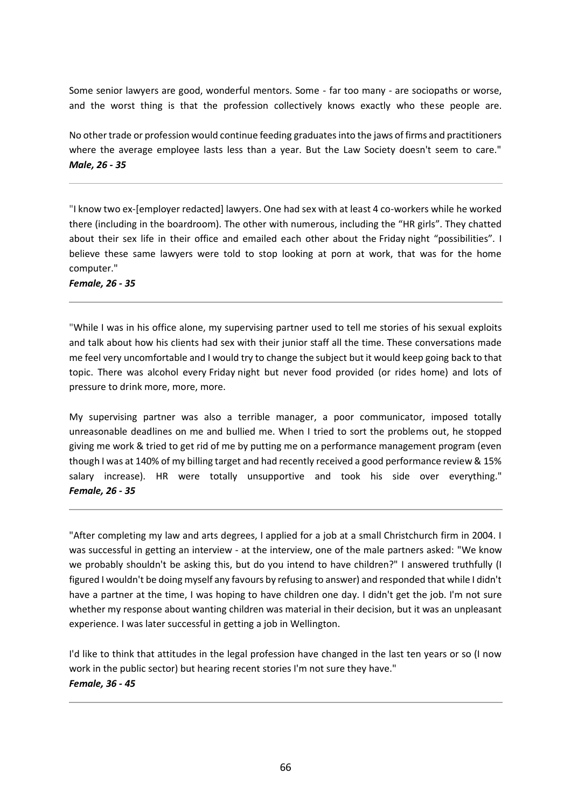Some senior lawyers are good, wonderful mentors. Some - far too many - are sociopaths or worse, and the worst thing is that the profession collectively knows exactly who these people are.

No other trade or profession would continue feeding graduates into the jaws of firms and practitioners where the average employee lasts less than a year. But the Law Society doesn't seem to care." *Male, 26 - 35*

"I know two ex-[employer redacted] lawyers. One had sex with at least 4 co-workers while he worked there (including in the boardroom). The other with numerous, including the "HR girls". They chatted about their sex life in their office and emailed each other about the Friday night "possibilities". I believe these same lawyers were told to stop looking at porn at work, that was for the home computer."

*Female, 26 - 35*

"While I was in his office alone, my supervising partner used to tell me stories of his sexual exploits and talk about how his clients had sex with their junior staff all the time. These conversations made me feel very uncomfortable and I would try to change the subject but it would keep going back to that topic. There was alcohol every Friday night but never food provided (or rides home) and lots of pressure to drink more, more, more.

My supervising partner was also a terrible manager, a poor communicator, imposed totally unreasonable deadlines on me and bullied me. When I tried to sort the problems out, he stopped giving me work & tried to get rid of me by putting me on a performance management program (even though I was at 140% of my billing target and had recently received a good performance review & 15% salary increase). HR were totally unsupportive and took his side over everything." *Female, 26 - 35*

"After completing my law and arts degrees, I applied for a job at a small Christchurch firm in 2004. I was successful in getting an interview - at the interview, one of the male partners asked: "We know we probably shouldn't be asking this, but do you intend to have children?" I answered truthfully (I figured I wouldn't be doing myself any favours by refusing to answer) and responded that while I didn't have a partner at the time, I was hoping to have children one day. I didn't get the job. I'm not sure whether my response about wanting children was material in their decision, but it was an unpleasant experience. I was later successful in getting a job in Wellington.

I'd like to think that attitudes in the legal profession have changed in the last ten years or so (I now work in the public sector) but hearing recent stories I'm not sure they have." *Female, 36 - 45*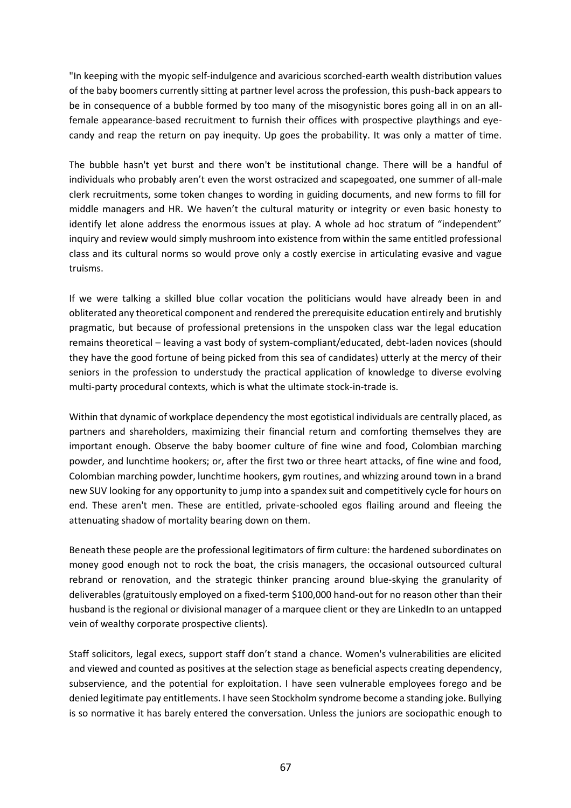"In keeping with the myopic self-indulgence and avaricious scorched-earth wealth distribution values of the baby boomers currently sitting at partner level across the profession, this push-back appears to be in consequence of a bubble formed by too many of the misogynistic bores going all in on an allfemale appearance-based recruitment to furnish their offices with prospective playthings and eyecandy and reap the return on pay inequity. Up goes the probability. It was only a matter of time.

The bubble hasn't yet burst and there won't be institutional change. There will be a handful of individuals who probably aren't even the worst ostracized and scapegoated, one summer of all-male clerk recruitments, some token changes to wording in guiding documents, and new forms to fill for middle managers and HR. We haven't the cultural maturity or integrity or even basic honesty to identify let alone address the enormous issues at play. A whole ad hoc stratum of "independent" inquiry and review would simply mushroom into existence from within the same entitled professional class and its cultural norms so would prove only a costly exercise in articulating evasive and vague truisms.

If we were talking a skilled blue collar vocation the politicians would have already been in and obliterated any theoretical component and rendered the prerequisite education entirely and brutishly pragmatic, but because of professional pretensions in the unspoken class war the legal education remains theoretical – leaving a vast body of system-compliant/educated, debt-laden novices (should they have the good fortune of being picked from this sea of candidates) utterly at the mercy of their seniors in the profession to understudy the practical application of knowledge to diverse evolving multi-party procedural contexts, which is what the ultimate stock-in-trade is.

Within that dynamic of workplace dependency the most egotistical individuals are centrally placed, as partners and shareholders, maximizing their financial return and comforting themselves they are important enough. Observe the baby boomer culture of fine wine and food, Colombian marching powder, and lunchtime hookers; or, after the first two or three heart attacks, of fine wine and food, Colombian marching powder, lunchtime hookers, gym routines, and whizzing around town in a brand new SUV looking for any opportunity to jump into a spandex suit and competitively cycle for hours on end. These aren't men. These are entitled, private-schooled egos flailing around and fleeing the attenuating shadow of mortality bearing down on them.

Beneath these people are the professional legitimators of firm culture: the hardened subordinates on money good enough not to rock the boat, the crisis managers, the occasional outsourced cultural rebrand or renovation, and the strategic thinker prancing around blue-skying the granularity of deliverables (gratuitously employed on a fixed-term \$100,000 hand-out for no reason other than their husband is the regional or divisional manager of a marquee client or they are LinkedIn to an untapped vein of wealthy corporate prospective clients).

Staff solicitors, legal execs, support staff don't stand a chance. Women's vulnerabilities are elicited and viewed and counted as positives at the selection stage as beneficial aspects creating dependency, subservience, and the potential for exploitation. I have seen vulnerable employees forego and be denied legitimate pay entitlements. I have seen Stockholm syndrome become a standing joke. Bullying is so normative it has barely entered the conversation. Unless the juniors are sociopathic enough to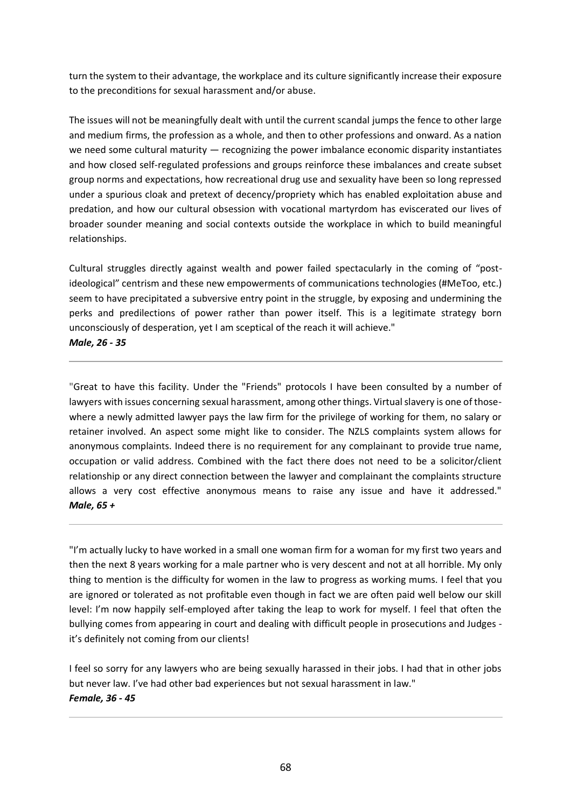turn the system to their advantage, the workplace and its culture significantly increase their exposure to the preconditions for sexual harassment and/or abuse.

The issues will not be meaningfully dealt with until the current scandal jumps the fence to other large and medium firms, the profession as a whole, and then to other professions and onward. As a nation we need some cultural maturity — recognizing the power imbalance economic disparity instantiates and how closed self-regulated professions and groups reinforce these imbalances and create subset group norms and expectations, how recreational drug use and sexuality have been so long repressed under a spurious cloak and pretext of decency/propriety which has enabled exploitation abuse and predation, and how our cultural obsession with vocational martyrdom has eviscerated our lives of broader sounder meaning and social contexts outside the workplace in which to build meaningful relationships.

Cultural struggles directly against wealth and power failed spectacularly in the coming of "postideological" centrism and these new empowerments of communications technologies (#MeToo, etc.) seem to have precipitated a subversive entry point in the struggle, by exposing and undermining the perks and predilections of power rather than power itself. This is a legitimate strategy born unconsciously of desperation, yet I am sceptical of the reach it will achieve."

*Male, 26 - 35*

"Great to have this facility. Under the "Friends" protocols I have been consulted by a number of lawyers with issues concerning sexual harassment, among other things. Virtual slavery is one of thosewhere a newly admitted lawyer pays the law firm for the privilege of working for them, no salary or retainer involved. An aspect some might like to consider. The NZLS complaints system allows for anonymous complaints. Indeed there is no requirement for any complainant to provide true name, occupation or valid address. Combined with the fact there does not need to be a solicitor/client relationship or any direct connection between the lawyer and complainant the complaints structure allows a very cost effective anonymous means to raise any issue and have it addressed." *Male, 65 +*

"I'm actually lucky to have worked in a small one woman firm for a woman for my first two years and then the next 8 years working for a male partner who is very descent and not at all horrible. My only thing to mention is the difficulty for women in the law to progress as working mums. I feel that you are ignored or tolerated as not profitable even though in fact we are often paid well below our skill level: I'm now happily self-employed after taking the leap to work for myself. I feel that often the bullying comes from appearing in court and dealing with difficult people in prosecutions and Judges it's definitely not coming from our clients!

I feel so sorry for any lawyers who are being sexually harassed in their jobs. I had that in other jobs but never law. I've had other bad experiences but not sexual harassment in law." *Female, 36 - 45*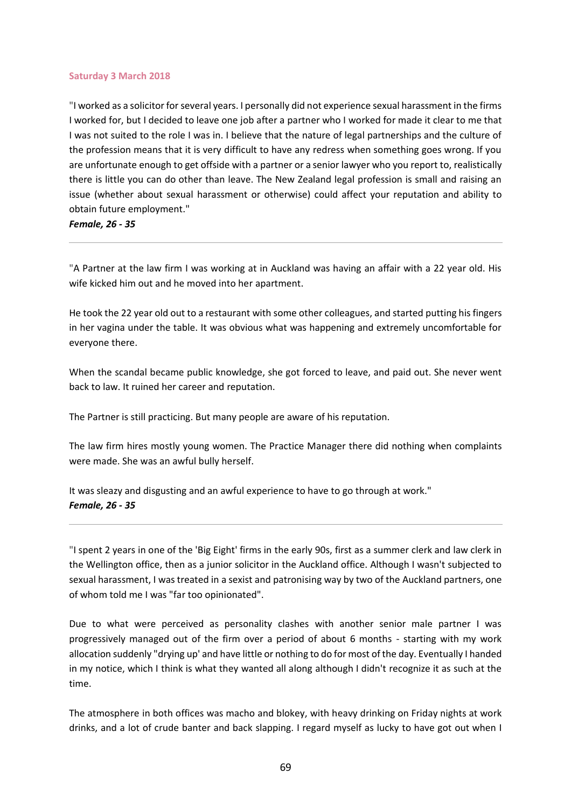#### **Saturday 3 March 2018**

"I worked as a solicitor for several years. I personally did not experience sexual harassment in the firms I worked for, but I decided to leave one job after a partner who I worked for made it clear to me that I was not suited to the role I was in. I believe that the nature of legal partnerships and the culture of the profession means that it is very difficult to have any redress when something goes wrong. If you are unfortunate enough to get offside with a partner or a senior lawyer who you report to, realistically there is little you can do other than leave. The New Zealand legal profession is small and raising an issue (whether about sexual harassment or otherwise) could affect your reputation and ability to obtain future employment."

*Female, 26 - 35*

"A Partner at the law firm I was working at in Auckland was having an affair with a 22 year old. His wife kicked him out and he moved into her apartment.

He took the 22 year old out to a restaurant with some other colleagues, and started putting his fingers in her vagina under the table. It was obvious what was happening and extremely uncomfortable for everyone there.

When the scandal became public knowledge, she got forced to leave, and paid out. She never went back to law. It ruined her career and reputation.

The Partner is still practicing. But many people are aware of his reputation.

The law firm hires mostly young women. The Practice Manager there did nothing when complaints were made. She was an awful bully herself.

It was sleazy and disgusting and an awful experience to have to go through at work." *Female, 26 - 35*

"I spent 2 years in one of the 'Big Eight' firms in the early 90s, first as a summer clerk and law clerk in the Wellington office, then as a junior solicitor in the Auckland office. Although I wasn't subjected to sexual harassment, I was treated in a sexist and patronising way by two of the Auckland partners, one of whom told me I was "far too opinionated".

Due to what were perceived as personality clashes with another senior male partner I was progressively managed out of the firm over a period of about 6 months - starting with my work allocation suddenly "drying up' and have little or nothing to do for most of the day. Eventually I handed in my notice, which I think is what they wanted all along although I didn't recognize it as such at the time.

The atmosphere in both offices was macho and blokey, with heavy drinking on Friday nights at work drinks, and a lot of crude banter and back slapping. I regard myself as lucky to have got out when I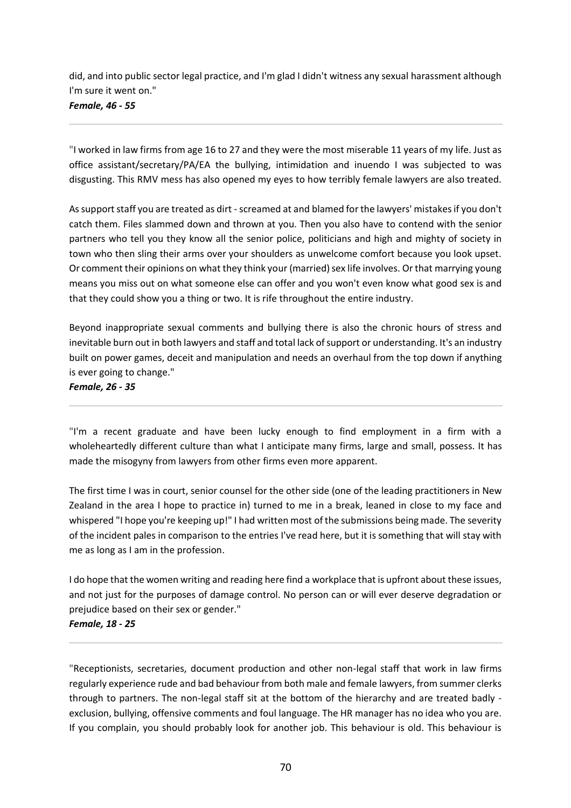did, and into public sector legal practice, and I'm glad I didn't witness any sexual harassment although I'm sure it went on." *Female, 46 - 55*

"I worked in law firms from age 16 to 27 and they were the most miserable 11 years of my life. Just as office assistant/secretary/PA/EA the bullying, intimidation and inuendo I was subjected to was disgusting. This RMV mess has also opened my eyes to how terribly female lawyers are also treated.

As support staff you are treated as dirt - screamed at and blamed for the lawyers' mistakes if you don't catch them. Files slammed down and thrown at you. Then you also have to contend with the senior partners who tell you they know all the senior police, politicians and high and mighty of society in town who then sling their arms over your shoulders as unwelcome comfort because you look upset. Or comment their opinions on what they think your (married) sex life involves. Or that marrying young means you miss out on what someone else can offer and you won't even know what good sex is and that they could show you a thing or two. It is rife throughout the entire industry.

Beyond inappropriate sexual comments and bullying there is also the chronic hours of stress and inevitable burn out in both lawyers and staff and total lack of support or understanding. It's an industry built on power games, deceit and manipulation and needs an overhaul from the top down if anything is ever going to change."

*Female, 26 - 35*

"I'm a recent graduate and have been lucky enough to find employment in a firm with a wholeheartedly different culture than what I anticipate many firms, large and small, possess. It has made the misogyny from lawyers from other firms even more apparent.

The first time I was in court, senior counsel for the other side (one of the leading practitioners in New Zealand in the area I hope to practice in) turned to me in a break, leaned in close to my face and whispered "I hope you're keeping up!" I had written most of the submissions being made. The severity of the incident pales in comparison to the entries I've read here, but it is something that will stay with me as long as I am in the profession.

I do hope that the women writing and reading here find a workplace that is upfront about these issues, and not just for the purposes of damage control. No person can or will ever deserve degradation or prejudice based on their sex or gender." *Female, 18 - 25*

"Receptionists, secretaries, document production and other non-legal staff that work in law firms regularly experience rude and bad behaviour from both male and female lawyers, from summer clerks through to partners. The non-legal staff sit at the bottom of the hierarchy and are treated badly exclusion, bullying, offensive comments and foul language. The HR manager has no idea who you are. If you complain, you should probably look for another job. This behaviour is old. This behaviour is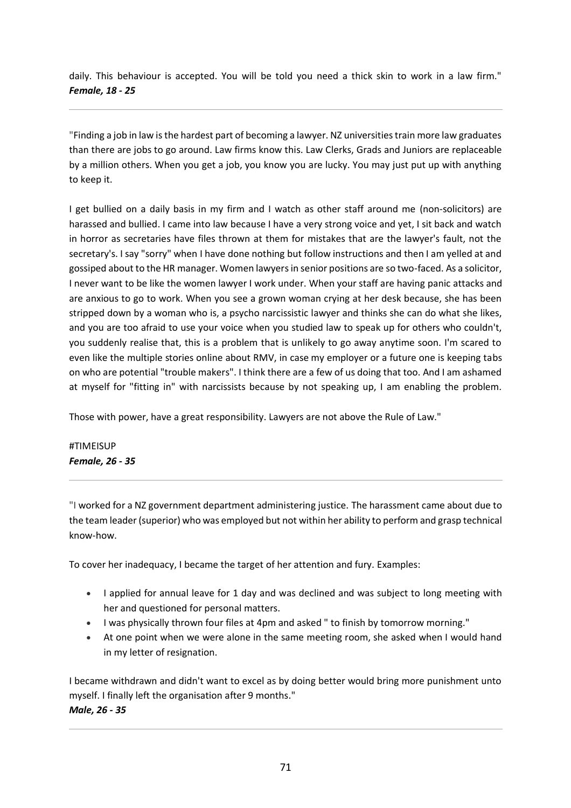daily. This behaviour is accepted. You will be told you need a thick skin to work in a law firm." *Female, 18 - 25*

"Finding a job in law is the hardest part of becoming a lawyer. NZ universities train more law graduates than there are jobs to go around. Law firms know this. Law Clerks, Grads and Juniors are replaceable by a million others. When you get a job, you know you are lucky. You may just put up with anything to keep it.

I get bullied on a daily basis in my firm and I watch as other staff around me (non-solicitors) are harassed and bullied. I came into law because I have a very strong voice and yet, I sit back and watch in horror as secretaries have files thrown at them for mistakes that are the lawyer's fault, not the secretary's. I say "sorry" when I have done nothing but follow instructions and then I am yelled at and gossiped about to the HR manager. Women lawyers in senior positions are so two-faced. As a solicitor, I never want to be like the women lawyer I work under. When your staff are having panic attacks and are anxious to go to work. When you see a grown woman crying at her desk because, she has been stripped down by a woman who is, a psycho narcissistic lawyer and thinks she can do what she likes, and you are too afraid to use your voice when you studied law to speak up for others who couldn't, you suddenly realise that, this is a problem that is unlikely to go away anytime soon. I'm scared to even like the multiple stories online about RMV, in case my employer or a future one is keeping tabs on who are potential "trouble makers". I think there are a few of us doing that too. And I am ashamed at myself for "fitting in" with narcissists because by not speaking up, I am enabling the problem.

Those with power, have a great responsibility. Lawyers are not above the Rule of Law."

#TIMEISUP *Female, 26 - 35*

"I worked for a NZ government department administering justice. The harassment came about due to the team leader (superior) who was employed but not within her ability to perform and grasp technical know-how.

To cover her inadequacy, I became the target of her attention and fury. Examples:

- I applied for annual leave for 1 day and was declined and was subject to long meeting with her and questioned for personal matters.
- I was physically thrown four files at 4pm and asked " to finish by tomorrow morning."
- At one point when we were alone in the same meeting room, she asked when I would hand in my letter of resignation.

I became withdrawn and didn't want to excel as by doing better would bring more punishment unto myself. I finally left the organisation after 9 months." *Male, 26 - 35*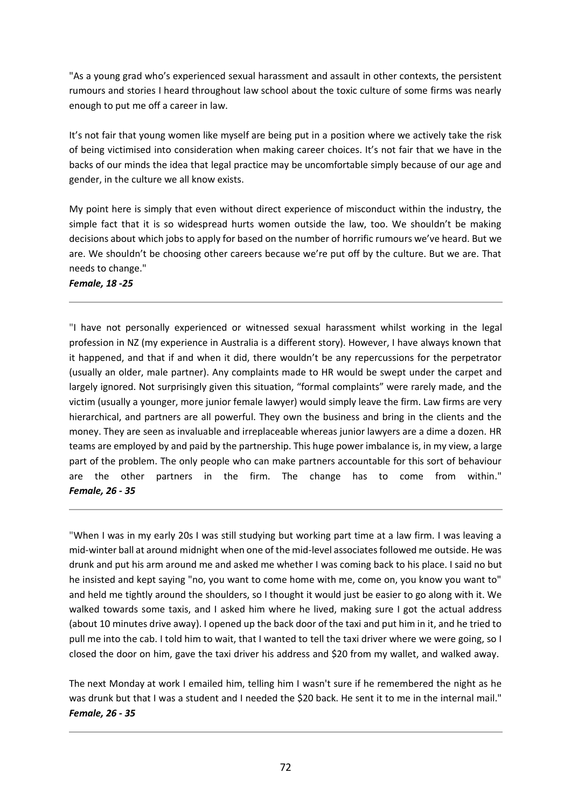"As a young grad who's experienced sexual harassment and assault in other contexts, the persistent rumours and stories I heard throughout law school about the toxic culture of some firms was nearly enough to put me off a career in law.

It's not fair that young women like myself are being put in a position where we actively take the risk of being victimised into consideration when making career choices. It's not fair that we have in the backs of our minds the idea that legal practice may be uncomfortable simply because of our age and gender, in the culture we all know exists.

My point here is simply that even without direct experience of misconduct within the industry, the simple fact that it is so widespread hurts women outside the law, too. We shouldn't be making decisions about which jobs to apply for based on the number of horrific rumours we've heard. But we are. We shouldn't be choosing other careers because we're put off by the culture. But we are. That needs to change."

*Female, 18 -25*

"I have not personally experienced or witnessed sexual harassment whilst working in the legal profession in NZ (my experience in Australia is a different story). However, I have always known that it happened, and that if and when it did, there wouldn't be any repercussions for the perpetrator (usually an older, male partner). Any complaints made to HR would be swept under the carpet and largely ignored. Not surprisingly given this situation, "formal complaints" were rarely made, and the victim (usually a younger, more junior female lawyer) would simply leave the firm. Law firms are very hierarchical, and partners are all powerful. They own the business and bring in the clients and the money. They are seen as invaluable and irreplaceable whereas junior lawyers are a dime a dozen. HR teams are employed by and paid by the partnership. This huge power imbalance is, in my view, a large part of the problem. The only people who can make partners accountable for this sort of behaviour are the other partners in the firm. The change has to come from within." *Female, 26 - 35*

"When I was in my early 20s I was still studying but working part time at a law firm. I was leaving a mid-winter ball at around midnight when one of the mid-level associates followed me outside. He was drunk and put his arm around me and asked me whether I was coming back to his place. I said no but he insisted and kept saying "no, you want to come home with me, come on, you know you want to" and held me tightly around the shoulders, so I thought it would just be easier to go along with it. We walked towards some taxis, and I asked him where he lived, making sure I got the actual address (about 10 minutes drive away). I opened up the back door of the taxi and put him in it, and he tried to pull me into the cab. I told him to wait, that I wanted to tell the taxi driver where we were going, so I closed the door on him, gave the taxi driver his address and \$20 from my wallet, and walked away.

The next Monday at work I emailed him, telling him I wasn't sure if he remembered the night as he was drunk but that I was a student and I needed the \$20 back. He sent it to me in the internal mail." *Female, 26 - 35*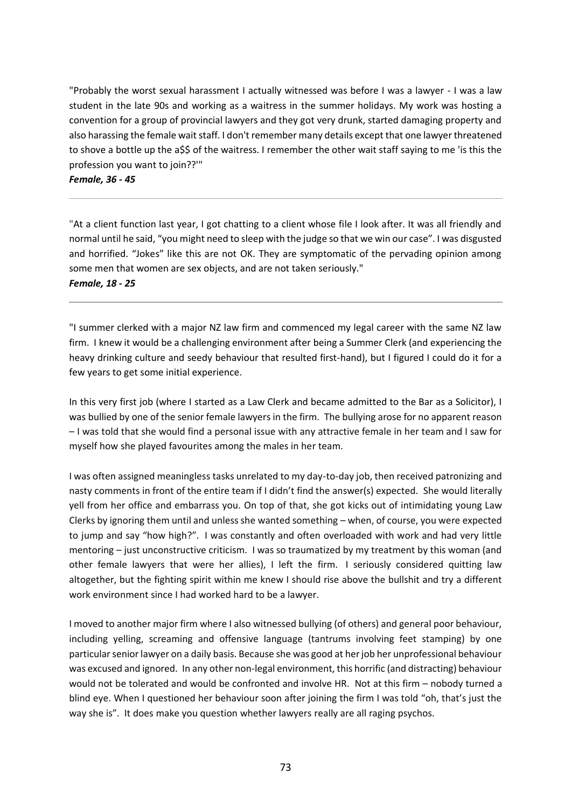"Probably the worst sexual harassment I actually witnessed was before I was a lawyer - I was a law student in the late 90s and working as a waitress in the summer holidays. My work was hosting a convention for a group of provincial lawyers and they got very drunk, started damaging property and also harassing the female wait staff. I don't remember many details except that one lawyer threatened to shove a bottle up the a\$\$ of the waitress. I remember the other wait staff saying to me 'is this the profession you want to join??'"

*Female, 36 - 45*

"At a client function last year, I got chatting to a client whose file I look after. It was all friendly and normal until he said, "you might need to sleep with the judge so that we win our case". I was disgusted and horrified. "Jokes" like this are not OK. They are symptomatic of the pervading opinion among some men that women are sex objects, and are not taken seriously." *Female, 18 - 25*

"I summer clerked with a major NZ law firm and commenced my legal career with the same NZ law firm. I knew it would be a challenging environment after being a Summer Clerk (and experiencing the heavy drinking culture and seedy behaviour that resulted first-hand), but I figured I could do it for a few years to get some initial experience.

In this very first job (where I started as a Law Clerk and became admitted to the Bar as a Solicitor), I was bullied by one of the senior female lawyers in the firm. The bullying arose for no apparent reason – I was told that she would find a personal issue with any attractive female in her team and I saw for myself how she played favourites among the males in her team.

I was often assigned meaningless tasks unrelated to my day-to-day job, then received patronizing and nasty comments in front of the entire team if I didn't find the answer(s) expected. She would literally yell from her office and embarrass you. On top of that, she got kicks out of intimidating young Law Clerks by ignoring them until and unless she wanted something – when, of course, you were expected to jump and say "how high?". I was constantly and often overloaded with work and had very little mentoring – just unconstructive criticism. I was so traumatized by my treatment by this woman (and other female lawyers that were her allies), I left the firm. I seriously considered quitting law altogether, but the fighting spirit within me knew I should rise above the bullshit and try a different work environment since I had worked hard to be a lawyer.

I moved to another major firm where I also witnessed bullying (of others) and general poor behaviour, including yelling, screaming and offensive language (tantrums involving feet stamping) by one particular senior lawyer on a daily basis. Because she was good at her job her unprofessional behaviour was excused and ignored. In any other non-legal environment, this horrific (and distracting) behaviour would not be tolerated and would be confronted and involve HR. Not at this firm – nobody turned a blind eye. When I questioned her behaviour soon after joining the firm I was told "oh, that's just the way she is". It does make you question whether lawyers really are all raging psychos.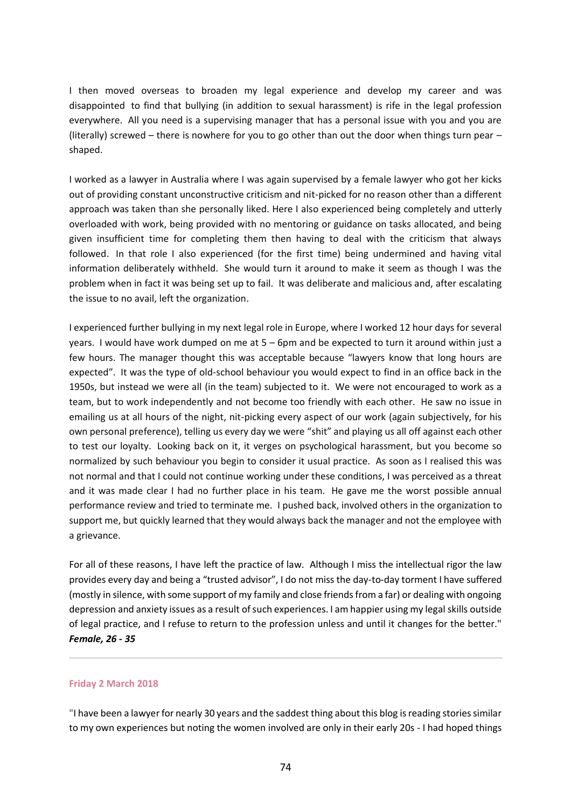I then moved overseas to broaden my legal experience and develop my career and was disappointed to find that bullying (in addition to sexual harassment) is rife in the legal profession everywhere. All you need is a supervising manager that has a personal issue with you and you are (literally) screwed – there is nowhere for you to go other than out the door when things turn pear – shaped.

I worked as a lawyer in Australia where I was again supervised by a female lawyer who got her kicks out of providing constant unconstructive criticism and nit-picked for no reason other than a different approach was taken than she personally liked. Here I also experienced being completely and utterly overloaded with work, being provided with no mentoring or guidance on tasks allocated, and being given insufficient time for completing them then having to deal with the criticism that always followed. In that role I also experienced (for the first time) being undermined and having vital information deliberately withheld. She would turn it around to make it seem as though I was the problem when in fact it was being set up to fail. It was deliberate and malicious and, after escalating the issue to no avail, left the organization.

I experienced further bullying in my next legal role in Europe, where I worked 12 hour days for several years. I would have work dumped on me at 5 – 6pm and be expected to turn it around within just a few hours. The manager thought this was acceptable because "lawyers know that long hours are expected". It was the type of old-school behaviour you would expect to find in an office back in the 1950s, but instead we were all (in the team) subjected to it. We were not encouraged to work as a team, but to work independently and not become too friendly with each other. He saw no issue in emailing us at all hours of the night, nit-picking every aspect of our work (again subjectively, for his own personal preference), telling us every day we were "shit" and playing us all off against each other to test our loyalty. Looking back on it, it verges on psychological harassment, but you become so normalized by such behaviour you begin to consider it usual practice. As soon as I realised this was not normal and that I could not continue working under these conditions, I was perceived as a threat and it was made clear I had no further place in his team. He gave me the worst possible annual performance review and tried to terminate me. I pushed back, involved others in the organization to support me, but quickly learned that they would always back the manager and not the employee with a grievance.

For all of these reasons, I have left the practice of law. Although I miss the intellectual rigor the law provides every day and being a "trusted advisor", I do not miss the day-to-day torment I have suffered (mostly in silence, with some support of my family and close friends from a far) or dealing with ongoing depression and anxiety issues as a result of such experiences. I am happier using my legal skills outside of legal practice, and I refuse to return to the profession unless and until it changes for the better." *Female, 26 - 35*

#### **Friday 2 March 2018**

"I have been a lawyer for nearly 30 years and the saddest thing about this blog is reading stories similar to my own experiences but noting the women involved are only in their early 20s - I had hoped things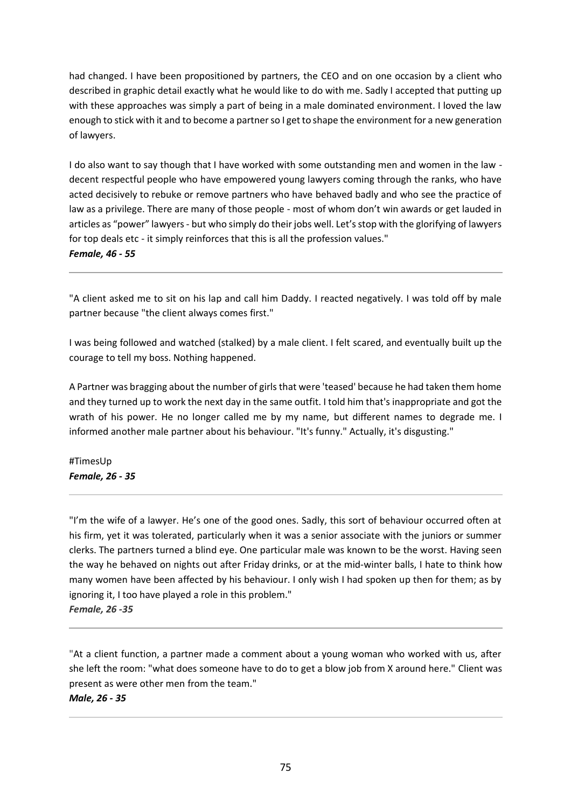had changed. I have been propositioned by partners, the CEO and on one occasion by a client who described in graphic detail exactly what he would like to do with me. Sadly I accepted that putting up with these approaches was simply a part of being in a male dominated environment. I loved the law enough to stick with it and to become a partner so I get to shape the environment for a new generation of lawyers.

I do also want to say though that I have worked with some outstanding men and women in the law decent respectful people who have empowered young lawyers coming through the ranks, who have acted decisively to rebuke or remove partners who have behaved badly and who see the practice of law as a privilege. There are many of those people - most of whom don't win awards or get lauded in articles as "power" lawyers - but who simply do their jobs well. Let's stop with the glorifying of lawyers for top deals etc - it simply reinforces that this is all the profession values." *Female, 46 - 55*

"A client asked me to sit on his lap and call him Daddy. I reacted negatively. I was told off by male partner because "the client always comes first."

I was being followed and watched (stalked) by a male client. I felt scared, and eventually built up the courage to tell my boss. Nothing happened.

A Partner was bragging about the number of girls that were 'teased' because he had taken them home and they turned up to work the next day in the same outfit. I told him that's inappropriate and got the wrath of his power. He no longer called me by my name, but different names to degrade me. I informed another male partner about his behaviour. "It's funny." Actually, it's disgusting."

#TimesUp *Female, 26 - 35*

"I'm the wife of a lawyer. He's one of the good ones. Sadly, this sort of behaviour occurred often at his firm, yet it was tolerated, particularly when it was a senior associate with the juniors or summer clerks. The partners turned a blind eye. One particular male was known to be the worst. Having seen the way he behaved on nights out after Friday drinks, or at the mid-winter balls, I hate to think how many women have been affected by his behaviour. I only wish I had spoken up then for them; as by ignoring it, I too have played a role in this problem."

*Female, 26 -35*

"At a client function, a partner made a comment about a young woman who worked with us, after she left the room: "what does someone have to do to get a blow job from X around here." Client was present as were other men from the team."

*Male, 26 - 35*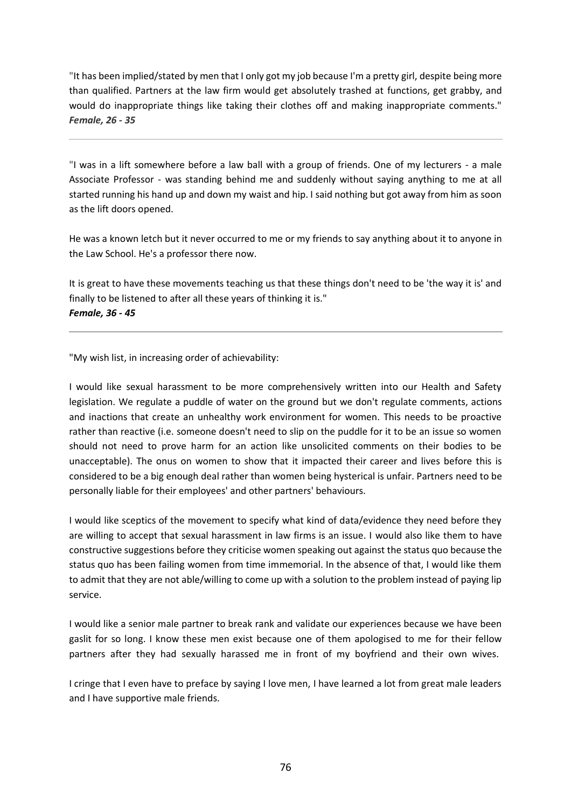"It has been implied/stated by men that I only got my job because I'm a pretty girl, despite being more than qualified. Partners at the law firm would get absolutely trashed at functions, get grabby, and would do inappropriate things like taking their clothes off and making inappropriate comments." *Female, 26 - 35*

"I was in a lift somewhere before a law ball with a group of friends. One of my lecturers - a male Associate Professor - was standing behind me and suddenly without saying anything to me at all started running his hand up and down my waist and hip. I said nothing but got away from him as soon as the lift doors opened.

He was a known letch but it never occurred to me or my friends to say anything about it to anyone in the Law School. He's a professor there now.

It is great to have these movements teaching us that these things don't need to be 'the way it is' and finally to be listened to after all these years of thinking it is." *Female, 36 - 45*

"My wish list, in increasing order of achievability:

I would like sexual harassment to be more comprehensively written into our Health and Safety legislation. We regulate a puddle of water on the ground but we don't regulate comments, actions and inactions that create an unhealthy work environment for women. This needs to be proactive rather than reactive (i.e. someone doesn't need to slip on the puddle for it to be an issue so women should not need to prove harm for an action like unsolicited comments on their bodies to be unacceptable). The onus on women to show that it impacted their career and lives before this is considered to be a big enough deal rather than women being hysterical is unfair. Partners need to be personally liable for their employees' and other partners' behaviours.

I would like sceptics of the movement to specify what kind of data/evidence they need before they are willing to accept that sexual harassment in law firms is an issue. I would also like them to have constructive suggestions before they criticise women speaking out against the status quo because the status quo has been failing women from time immemorial. In the absence of that, I would like them to admit that they are not able/willing to come up with a solution to the problem instead of paying lip service.

I would like a senior male partner to break rank and validate our experiences because we have been gaslit for so long. I know these men exist because one of them apologised to me for their fellow partners after they had sexually harassed me in front of my boyfriend and their own wives.

I cringe that I even have to preface by saying I love men, I have learned a lot from great male leaders and I have supportive male friends.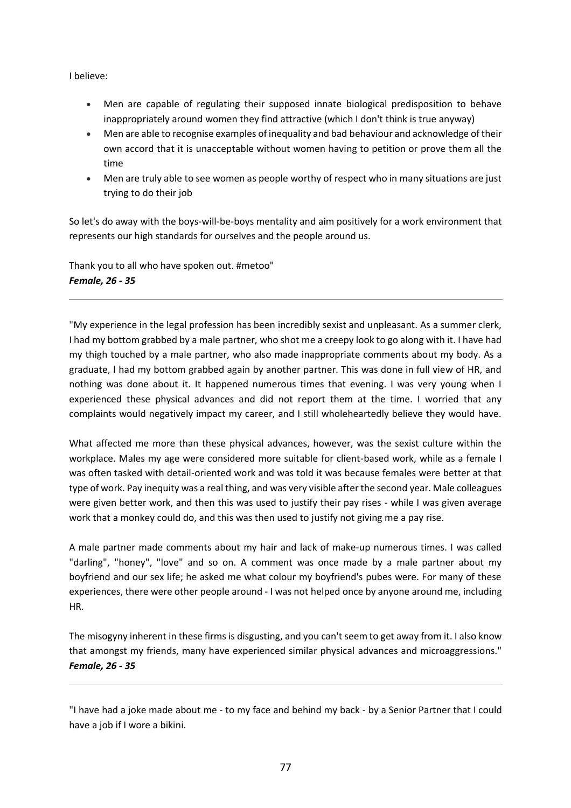I believe:

- Men are capable of regulating their supposed innate biological predisposition to behave inappropriately around women they find attractive (which I don't think is true anyway)
- Men are able to recognise examples of inequality and bad behaviour and acknowledge of their own accord that it is unacceptable without women having to petition or prove them all the time
- Men are truly able to see women as people worthy of respect who in many situations are just trying to do their job

So let's do away with the boys-will-be-boys mentality and aim positively for a work environment that represents our high standards for ourselves and the people around us.

Thank you to all who have spoken out. #metoo" *Female, 26 - 35*

"My experience in the legal profession has been incredibly sexist and unpleasant. As a summer clerk, I had my bottom grabbed by a male partner, who shot me a creepy look to go along with it. I have had my thigh touched by a male partner, who also made inappropriate comments about my body. As a graduate, I had my bottom grabbed again by another partner. This was done in full view of HR, and nothing was done about it. It happened numerous times that evening. I was very young when I experienced these physical advances and did not report them at the time. I worried that any complaints would negatively impact my career, and I still wholeheartedly believe they would have.

What affected me more than these physical advances, however, was the sexist culture within the workplace. Males my age were considered more suitable for client-based work, while as a female I was often tasked with detail-oriented work and was told it was because females were better at that type of work. Pay inequity was a real thing, and was very visible after the second year. Male colleagues were given better work, and then this was used to justify their pay rises - while I was given average work that a monkey could do, and this was then used to justify not giving me a pay rise.

A male partner made comments about my hair and lack of make-up numerous times. I was called "darling", "honey", "love" and so on. A comment was once made by a male partner about my boyfriend and our sex life; he asked me what colour my boyfriend's pubes were. For many of these experiences, there were other people around - I was not helped once by anyone around me, including HR.

The misogyny inherent in these firms is disgusting, and you can't seem to get away from it. I also know that amongst my friends, many have experienced similar physical advances and microaggressions." *Female, 26 - 35*

<sup>&</sup>quot;I have had a joke made about me - to my face and behind my back - by a Senior Partner that I could have a job if I wore a bikini.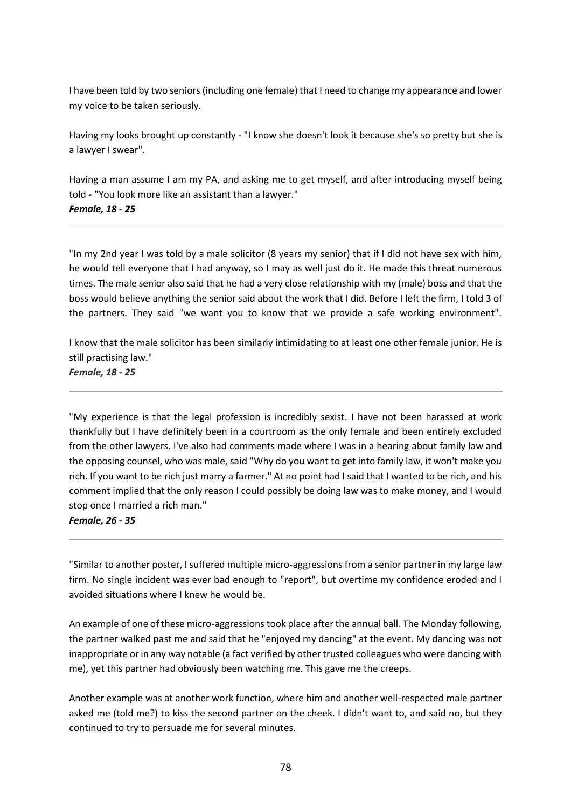I have been told by two seniors (including one female) that I need to change my appearance and lower my voice to be taken seriously.

Having my looks brought up constantly - "I know she doesn't look it because she's so pretty but she is a lawyer I swear".

Having a man assume I am my PA, and asking me to get myself, and after introducing myself being told - "You look more like an assistant than a lawyer."

# *Female, 18 - 25*

"In my 2nd year I was told by a male solicitor (8 years my senior) that if I did not have sex with him, he would tell everyone that I had anyway, so I may as well just do it. He made this threat numerous times. The male senior also said that he had a very close relationship with my (male) boss and that the boss would believe anything the senior said about the work that I did. Before I left the firm, I told 3 of the partners. They said "we want you to know that we provide a safe working environment".

I know that the male solicitor has been similarly intimidating to at least one other female junior. He is still practising law."

*Female, 18 - 25*

"My experience is that the legal profession is incredibly sexist. I have not been harassed at work thankfully but I have definitely been in a courtroom as the only female and been entirely excluded from the other lawyers. I've also had comments made where I was in a hearing about family law and the opposing counsel, who was male, said "Why do you want to get into family law, it won't make you rich. If you want to be rich just marry a farmer." At no point had I said that I wanted to be rich, and his comment implied that the only reason I could possibly be doing law was to make money, and I would stop once I married a rich man."

### *Female, 26 - 35*

"Similar to another poster, I suffered multiple micro-aggressions from a senior partner in my large law firm. No single incident was ever bad enough to "report", but overtime my confidence eroded and I avoided situations where I knew he would be.

An example of one of these micro-aggressions took place after the annual ball. The Monday following, the partner walked past me and said that he "enjoyed my dancing" at the event. My dancing was not inappropriate or in any way notable (a fact verified by other trusted colleagues who were dancing with me), yet this partner had obviously been watching me. This gave me the creeps.

Another example was at another work function, where him and another well-respected male partner asked me (told me?) to kiss the second partner on the cheek. I didn't want to, and said no, but they continued to try to persuade me for several minutes.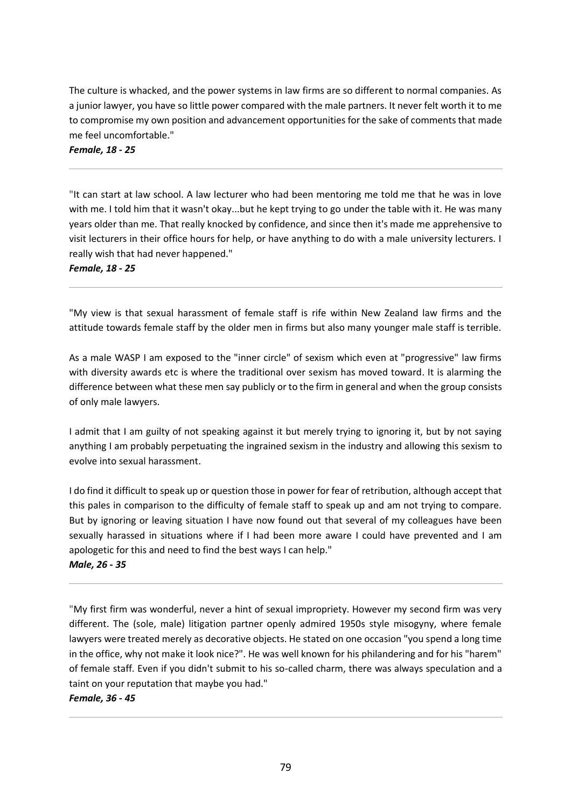The culture is whacked, and the power systems in law firms are so different to normal companies. As a junior lawyer, you have so little power compared with the male partners. It never felt worth it to me to compromise my own position and advancement opportunities for the sake of comments that made me feel uncomfortable."

# *Female, 18 - 25*

"It can start at law school. A law lecturer who had been mentoring me told me that he was in love with me. I told him that it wasn't okay...but he kept trying to go under the table with it. He was many years older than me. That really knocked by confidence, and since then it's made me apprehensive to visit lecturers in their office hours for help, or have anything to do with a male university lecturers. I really wish that had never happened."

*Female, 18 - 25*

"My view is that sexual harassment of female staff is rife within New Zealand law firms and the attitude towards female staff by the older men in firms but also many younger male staff is terrible.

As a male WASP I am exposed to the "inner circle" of sexism which even at "progressive" law firms with diversity awards etc is where the traditional over sexism has moved toward. It is alarming the difference between what these men say publicly or to the firm in general and when the group consists of only male lawyers.

I admit that I am guilty of not speaking against it but merely trying to ignoring it, but by not saying anything I am probably perpetuating the ingrained sexism in the industry and allowing this sexism to evolve into sexual harassment.

I do find it difficult to speak up or question those in power for fear of retribution, although accept that this pales in comparison to the difficulty of female staff to speak up and am not trying to compare. But by ignoring or leaving situation I have now found out that several of my colleagues have been sexually harassed in situations where if I had been more aware I could have prevented and I am apologetic for this and need to find the best ways I can help."

*Male, 26 - 35*

"My first firm was wonderful, never a hint of sexual impropriety. However my second firm was very different. The (sole, male) litigation partner openly admired 1950s style misogyny, where female lawyers were treated merely as decorative objects. He stated on one occasion "you spend a long time in the office, why not make it look nice?". He was well known for his philandering and for his "harem" of female staff. Even if you didn't submit to his so-called charm, there was always speculation and a taint on your reputation that maybe you had."

### *Female, 36 - 45*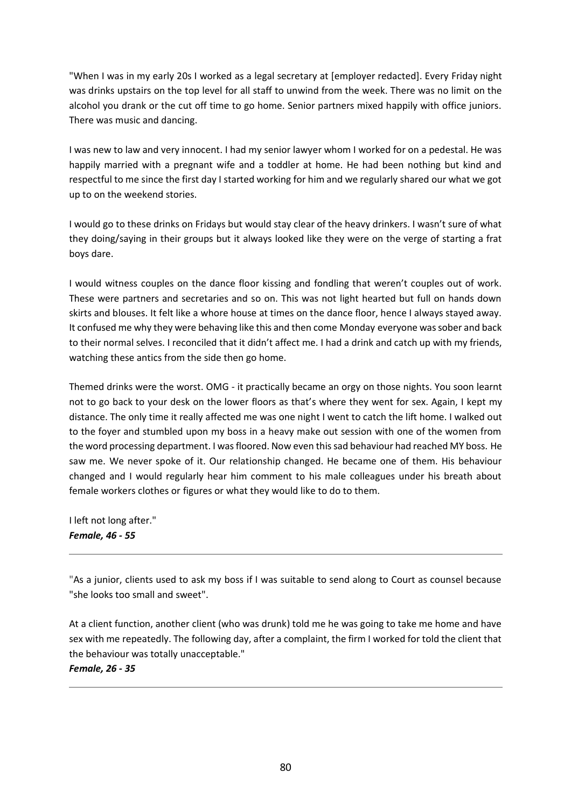"When I was in my early 20s I worked as a legal secretary at [employer redacted]. Every Friday night was drinks upstairs on the top level for all staff to unwind from the week. There was no limit on the alcohol you drank or the cut off time to go home. Senior partners mixed happily with office juniors. There was music and dancing.

I was new to law and very innocent. I had my senior lawyer whom I worked for on a pedestal. He was happily married with a pregnant wife and a toddler at home. He had been nothing but kind and respectful to me since the first day I started working for him and we regularly shared our what we got up to on the weekend stories.

I would go to these drinks on Fridays but would stay clear of the heavy drinkers. I wasn't sure of what they doing/saying in their groups but it always looked like they were on the verge of starting a frat boys dare.

I would witness couples on the dance floor kissing and fondling that weren't couples out of work. These were partners and secretaries and so on. This was not light hearted but full on hands down skirts and blouses. It felt like a whore house at times on the dance floor, hence I always stayed away. It confused me why they were behaving like this and then come Monday everyone was sober and back to their normal selves. I reconciled that it didn't affect me. I had a drink and catch up with my friends, watching these antics from the side then go home.

Themed drinks were the worst. OMG - it practically became an orgy on those nights. You soon learnt not to go back to your desk on the lower floors as that's where they went for sex. Again, I kept my distance. The only time it really affected me was one night I went to catch the lift home. I walked out to the foyer and stumbled upon my boss in a heavy make out session with one of the women from the word processing department. I was floored. Now even this sad behaviour had reached MY boss. He saw me. We never spoke of it. Our relationship changed. He became one of them. His behaviour changed and I would regularly hear him comment to his male colleagues under his breath about female workers clothes or figures or what they would like to do to them.

I left not long after." *Female, 46 - 55*

"As a junior, clients used to ask my boss if I was suitable to send along to Court as counsel because "she looks too small and sweet".

At a client function, another client (who was drunk) told me he was going to take me home and have sex with me repeatedly. The following day, after a complaint, the firm I worked for told the client that the behaviour was totally unacceptable." *Female, 26 - 35*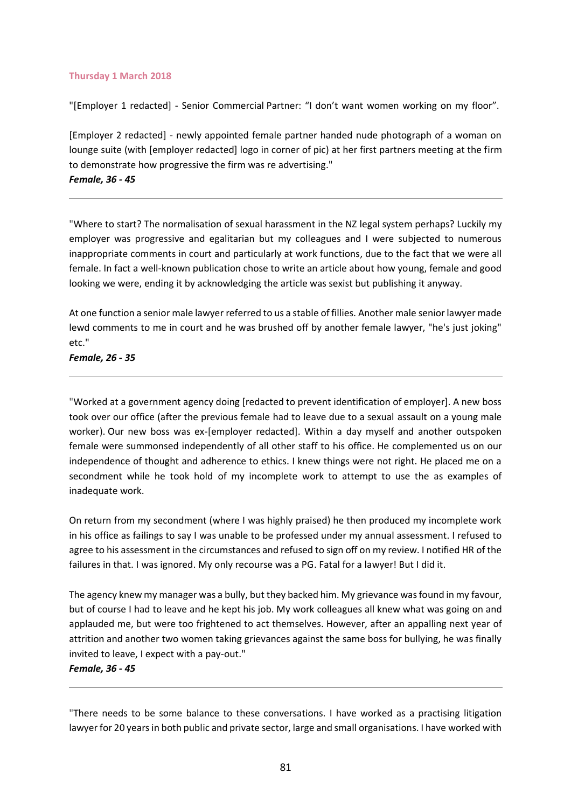#### **Thursday 1 March 2018**

"[Employer 1 redacted] - Senior Commercial Partner: "I don't want women working on my floor".

[Employer 2 redacted] - newly appointed female partner handed nude photograph of a woman on lounge suite (with [employer redacted] logo in corner of pic) at her first partners meeting at the firm to demonstrate how progressive the firm was re advertising." *Female, 36 - 45*

"Where to start? The normalisation of sexual harassment in the NZ legal system perhaps? Luckily my employer was progressive and egalitarian but my colleagues and I were subjected to numerous inappropriate comments in court and particularly at work functions, due to the fact that we were all female. In fact a well-known publication chose to write an article about how young, female and good looking we were, ending it by acknowledging the article was sexist but publishing it anyway.

At one function a senior male lawyer referred to us a stable of fillies. Another male senior lawyer made lewd comments to me in court and he was brushed off by another female lawyer, "he's just joking" etc."

*Female, 26 - 35*

"Worked at a government agency doing [redacted to prevent identification of employer]. A new boss took over our office (after the previous female had to leave due to a sexual assault on a young male worker). Our new boss was ex-[employer redacted]. Within a day myself and another outspoken female were summonsed independently of all other staff to his office. He complemented us on our independence of thought and adherence to ethics. I knew things were not right. He placed me on a secondment while he took hold of my incomplete work to attempt to use the as examples of inadequate work.

On return from my secondment (where I was highly praised) he then produced my incomplete work in his office as failings to say I was unable to be professed under my annual assessment. I refused to agree to his assessment in the circumstances and refused to sign off on my review. I notified HR of the failures in that. I was ignored. My only recourse was a PG. Fatal for a lawyer! But I did it.

The agency knew my manager was a bully, but they backed him. My grievance was found in my favour, but of course I had to leave and he kept his job. My work colleagues all knew what was going on and applauded me, but were too frightened to act themselves. However, after an appalling next year of attrition and another two women taking grievances against the same boss for bullying, he was finally invited to leave, I expect with a pay-out."

### *Female, 36 - 45*

"There needs to be some balance to these conversations. I have worked as a practising litigation lawyer for 20 years in both public and private sector, large and small organisations. I have worked with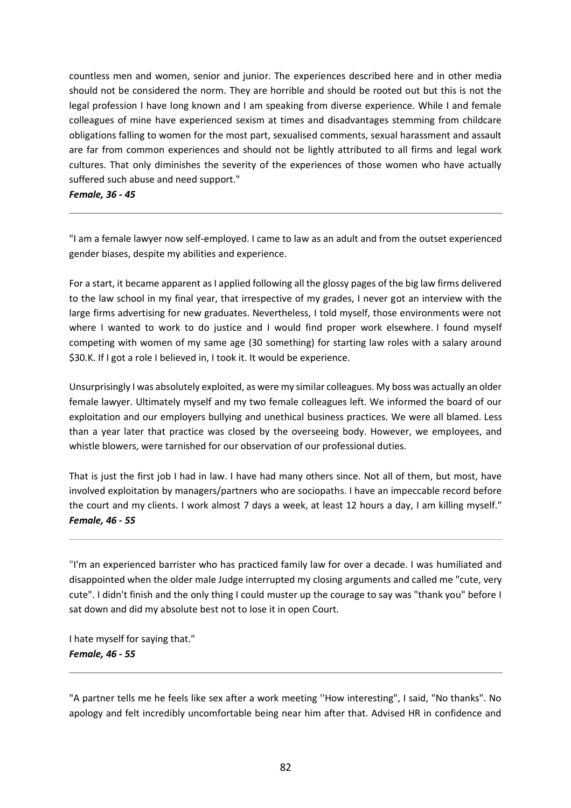countless men and women, senior and junior. The experiences described here and in other media should not be considered the norm. They are horrible and should be rooted out but this is not the legal profession I have long known and I am speaking from diverse experience. While I and female colleagues of mine have experienced sexism at times and disadvantages stemming from childcare obligations falling to women for the most part, sexualised comments, sexual harassment and assault are far from common experiences and should not be lightly attributed to all firms and legal work cultures. That only diminishes the severity of the experiences of those women who have actually suffered such abuse and need support."

*Female, 36 - 45*

"I am a female lawyer now self-employed. I came to law as an adult and from the outset experienced gender biases, despite my abilities and experience.

For a start, it became apparent as I applied following all the glossy pages of the big law firms delivered to the law school in my final year, that irrespective of my grades, I never got an interview with the large firms advertising for new graduates. Nevertheless, I told myself, those environments were not where I wanted to work to do justice and I would find proper work elsewhere. I found myself competing with women of my same age (30 something) for starting law roles with a salary around \$30.K. If I got a role I believed in, I took it. It would be experience.

Unsurprisingly I was absolutely exploited, as were my similar colleagues. My boss was actually an older female lawyer. Ultimately myself and my two female colleagues left. We informed the board of our exploitation and our employers bullying and unethical business practices. We were all blamed. Less than a year later that practice was closed by the overseeing body. However, we employees, and whistle blowers, were tarnished for our observation of our professional duties.

That is just the first job I had in law. I have had many others since. Not all of them, but most, have involved exploitation by managers/partners who are sociopaths. I have an impeccable record before the court and my clients. I work almost 7 days a week, at least 12 hours a day, I am killing myself." *Female, 46 - 55*

"I'm an experienced barrister who has practiced family law for over a decade. I was humiliated and disappointed when the older male Judge interrupted my closing arguments and called me "cute, very cute". I didn't finish and the only thing I could muster up the courage to say was "thank you" before I sat down and did my absolute best not to lose it in open Court.

I hate myself for saying that." *Female, 46 - 55*

"A partner tells me he feels like sex after a work meeting ''How interesting", I said, "No thanks". No apology and felt incredibly uncomfortable being near him after that. Advised HR in confidence and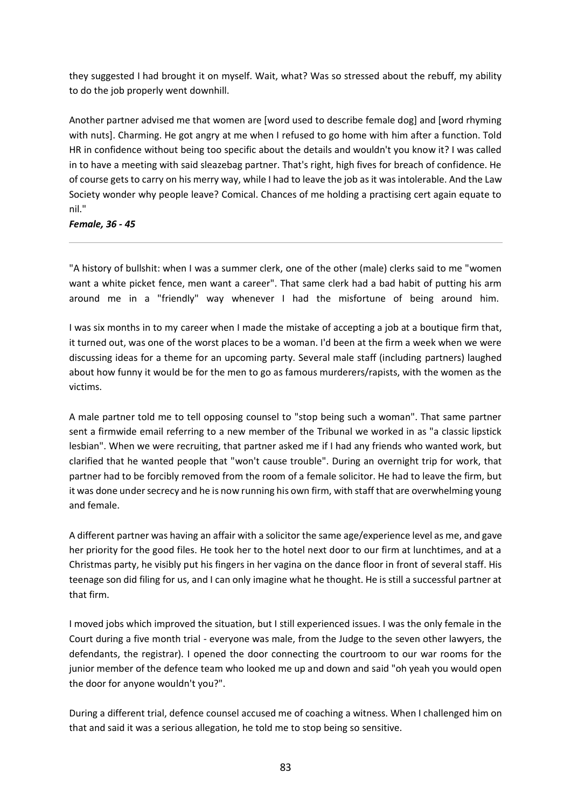they suggested I had brought it on myself. Wait, what? Was so stressed about the rebuff, my ability to do the job properly went downhill.

Another partner advised me that women are [word used to describe female dog] and [word rhyming with nuts]. Charming. He got angry at me when I refused to go home with him after a function. Told HR in confidence without being too specific about the details and wouldn't you know it? I was called in to have a meeting with said sleazebag partner. That's right, high fives for breach of confidence. He of course gets to carry on his merry way, while I had to leave the job as it was intolerable. And the Law Society wonder why people leave? Comical. Chances of me holding a practising cert again equate to nil."

*Female, 36 - 45*

"A history of bullshit: when I was a summer clerk, one of the other (male) clerks said to me "women want a white picket fence, men want a career". That same clerk had a bad habit of putting his arm around me in a "friendly" way whenever I had the misfortune of being around him.

I was six months in to my career when I made the mistake of accepting a job at a boutique firm that, it turned out, was one of the worst places to be a woman. I'd been at the firm a week when we were discussing ideas for a theme for an upcoming party. Several male staff (including partners) laughed about how funny it would be for the men to go as famous murderers/rapists, with the women as the victims.

A male partner told me to tell opposing counsel to "stop being such a woman". That same partner sent a firmwide email referring to a new member of the Tribunal we worked in as "a classic lipstick lesbian". When we were recruiting, that partner asked me if I had any friends who wanted work, but clarified that he wanted people that "won't cause trouble". During an overnight trip for work, that partner had to be forcibly removed from the room of a female solicitor. He had to leave the firm, but it was done under secrecy and he is now running his own firm, with staff that are overwhelming young and female.

A different partner was having an affair with a solicitor the same age/experience level as me, and gave her priority for the good files. He took her to the hotel next door to our firm at lunchtimes, and at a Christmas party, he visibly put his fingers in her vagina on the dance floor in front of several staff. His teenage son did filing for us, and I can only imagine what he thought. He is still a successful partner at that firm.

I moved jobs which improved the situation, but I still experienced issues. I was the only female in the Court during a five month trial - everyone was male, from the Judge to the seven other lawyers, the defendants, the registrar). I opened the door connecting the courtroom to our war rooms for the junior member of the defence team who looked me up and down and said "oh yeah you would open the door for anyone wouldn't you?".

During a different trial, defence counsel accused me of coaching a witness. When I challenged him on that and said it was a serious allegation, he told me to stop being so sensitive.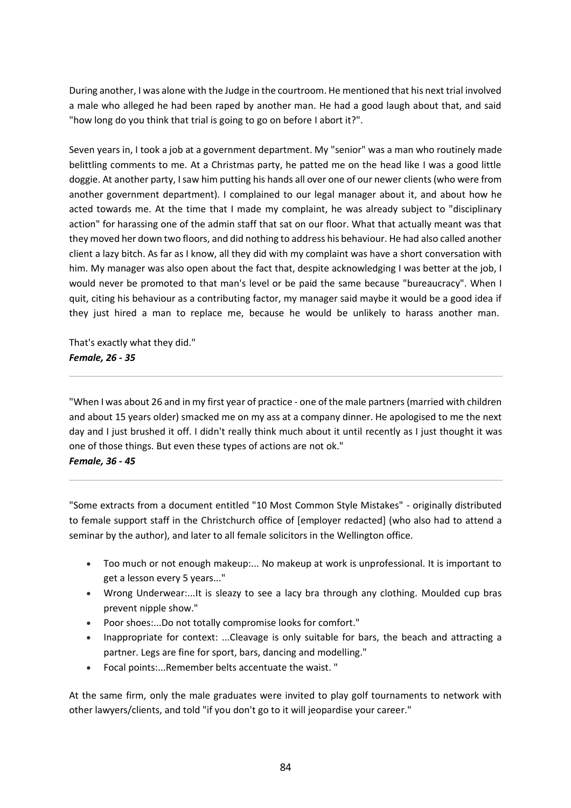During another, I was alone with the Judge in the courtroom. He mentioned that his next trial involved a male who alleged he had been raped by another man. He had a good laugh about that, and said "how long do you think that trial is going to go on before I abort it?".

Seven years in, I took a job at a government department. My "senior" was a man who routinely made belittling comments to me. At a Christmas party, he patted me on the head like I was a good little doggie. At another party, I saw him putting his hands all over one of our newer clients (who were from another government department). I complained to our legal manager about it, and about how he acted towards me. At the time that I made my complaint, he was already subject to "disciplinary action" for harassing one of the admin staff that sat on our floor. What that actually meant was that they moved her down two floors, and did nothing to address his behaviour. He had also called another client a lazy bitch. As far as I know, all they did with my complaint was have a short conversation with him. My manager was also open about the fact that, despite acknowledging I was better at the job, I would never be promoted to that man's level or be paid the same because "bureaucracy". When I quit, citing his behaviour as a contributing factor, my manager said maybe it would be a good idea if they just hired a man to replace me, because he would be unlikely to harass another man.

That's exactly what they did." *Female, 26 - 35*

"When I was about 26 and in my first year of practice - one of the male partners (married with children and about 15 years older) smacked me on my ass at a company dinner. He apologised to me the next day and I just brushed it off. I didn't really think much about it until recently as I just thought it was one of those things. But even these types of actions are not ok."

### *Female, 36 - 45*

"Some extracts from a document entitled "10 Most Common Style Mistakes" - originally distributed to female support staff in the Christchurch office of [employer redacted] (who also had to attend a seminar by the author), and later to all female solicitors in the Wellington office.

- Too much or not enough makeup:... No makeup at work is unprofessional. It is important to get a lesson every 5 years..."
- Wrong Underwear:...It is sleazy to see a lacy bra through any clothing. Moulded cup bras prevent nipple show."
- Poor shoes:...Do not totally compromise looks for comfort."
- Inappropriate for context: ...Cleavage is only suitable for bars, the beach and attracting a partner. Legs are fine for sport, bars, dancing and modelling."
- Focal points:...Remember belts accentuate the waist. "

At the same firm, only the male graduates were invited to play golf tournaments to network with other lawyers/clients, and told "if you don't go to it will jeopardise your career."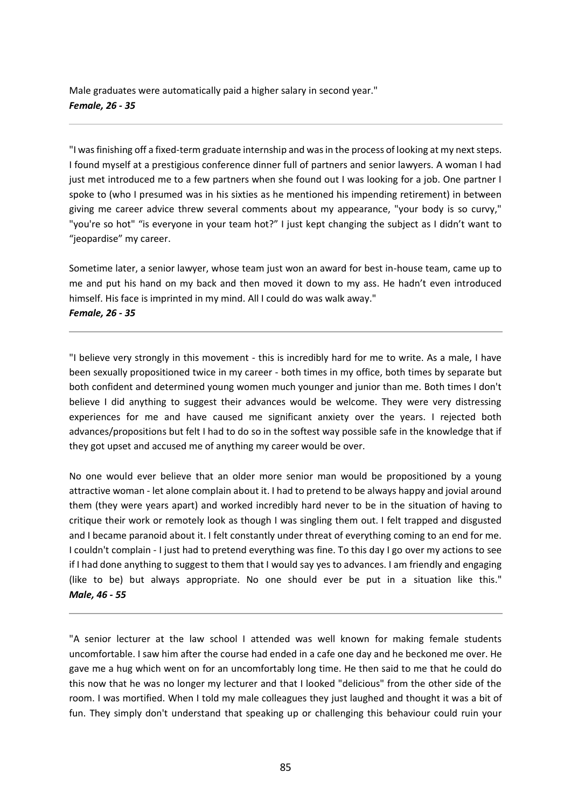Male graduates were automatically paid a higher salary in second year." *Female, 26 - 35*

"I was finishing off a fixed-term graduate internship and was in the process of looking at my next steps. I found myself at a prestigious conference dinner full of partners and senior lawyers. A woman I had just met introduced me to a few partners when she found out I was looking for a job. One partner I spoke to (who I presumed was in his sixties as he mentioned his impending retirement) in between giving me career advice threw several comments about my appearance, "your body is so curvy," "you're so hot" "is everyone in your team hot?" I just kept changing the subject as I didn't want to "jeopardise" my career.

Sometime later, a senior lawyer, whose team just won an award for best in-house team, came up to me and put his hand on my back and then moved it down to my ass. He hadn't even introduced himself. His face is imprinted in my mind. All I could do was walk away." *Female, 26 - 35*

"I believe very strongly in this movement - this is incredibly hard for me to write. As a male, I have been sexually propositioned twice in my career - both times in my office, both times by separate but both confident and determined young women much younger and junior than me. Both times I don't believe I did anything to suggest their advances would be welcome. They were very distressing experiences for me and have caused me significant anxiety over the years. I rejected both advances/propositions but felt I had to do so in the softest way possible safe in the knowledge that if they got upset and accused me of anything my career would be over.

No one would ever believe that an older more senior man would be propositioned by a young attractive woman - let alone complain about it. I had to pretend to be always happy and jovial around them (they were years apart) and worked incredibly hard never to be in the situation of having to critique their work or remotely look as though I was singling them out. I felt trapped and disgusted and I became paranoid about it. I felt constantly under threat of everything coming to an end for me. I couldn't complain - I just had to pretend everything was fine. To this day I go over my actions to see if I had done anything to suggest to them that I would say yes to advances. I am friendly and engaging (like to be) but always appropriate. No one should ever be put in a situation like this." *Male, 46 - 55*

"A senior lecturer at the law school I attended was well known for making female students uncomfortable. I saw him after the course had ended in a cafe one day and he beckoned me over. He gave me a hug which went on for an uncomfortably long time. He then said to me that he could do this now that he was no longer my lecturer and that I looked "delicious" from the other side of the room. I was mortified. When I told my male colleagues they just laughed and thought it was a bit of fun. They simply don't understand that speaking up or challenging this behaviour could ruin your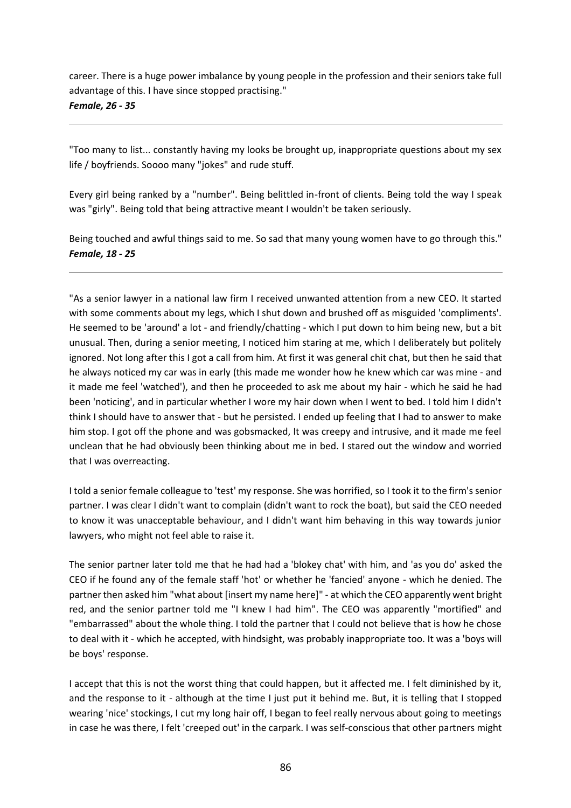career. There is a huge power imbalance by young people in the profession and their seniors take full advantage of this. I have since stopped practising." *Female, 26 - 35*

"Too many to list... constantly having my looks be brought up, inappropriate questions about my sex life / boyfriends. Soooo many "jokes" and rude stuff.

Every girl being ranked by a "number". Being belittled in-front of clients. Being told the way I speak was "girly". Being told that being attractive meant I wouldn't be taken seriously.

Being touched and awful things said to me. So sad that many young women have to go through this." *Female, 18 - 25*

"As a senior lawyer in a national law firm I received unwanted attention from a new CEO. It started with some comments about my legs, which I shut down and brushed off as misguided 'compliments'. He seemed to be 'around' a lot - and friendly/chatting - which I put down to him being new, but a bit unusual. Then, during a senior meeting, I noticed him staring at me, which I deliberately but politely ignored. Not long after this I got a call from him. At first it was general chit chat, but then he said that he always noticed my car was in early (this made me wonder how he knew which car was mine - and it made me feel 'watched'), and then he proceeded to ask me about my hair - which he said he had been 'noticing', and in particular whether I wore my hair down when I went to bed. I told him I didn't think I should have to answer that - but he persisted. I ended up feeling that I had to answer to make him stop. I got off the phone and was gobsmacked, It was creepy and intrusive, and it made me feel unclean that he had obviously been thinking about me in bed. I stared out the window and worried that I was overreacting.

I told a senior female colleague to 'test' my response. She was horrified, so I took it to the firm's senior partner. I was clear I didn't want to complain (didn't want to rock the boat), but said the CEO needed to know it was unacceptable behaviour, and I didn't want him behaving in this way towards junior lawyers, who might not feel able to raise it.

The senior partner later told me that he had had a 'blokey chat' with him, and 'as you do' asked the CEO if he found any of the female staff 'hot' or whether he 'fancied' anyone - which he denied. The partner then asked him "what about [insert my name here]" - at which the CEO apparently went bright red, and the senior partner told me "I knew I had him". The CEO was apparently "mortified" and "embarrassed" about the whole thing. I told the partner that I could not believe that is how he chose to deal with it - which he accepted, with hindsight, was probably inappropriate too. It was a 'boys will be boys' response.

I accept that this is not the worst thing that could happen, but it affected me. I felt diminished by it, and the response to it - although at the time I just put it behind me. But, it is telling that I stopped wearing 'nice' stockings, I cut my long hair off, I began to feel really nervous about going to meetings in case he was there, I felt 'creeped out' in the carpark. I was self-conscious that other partners might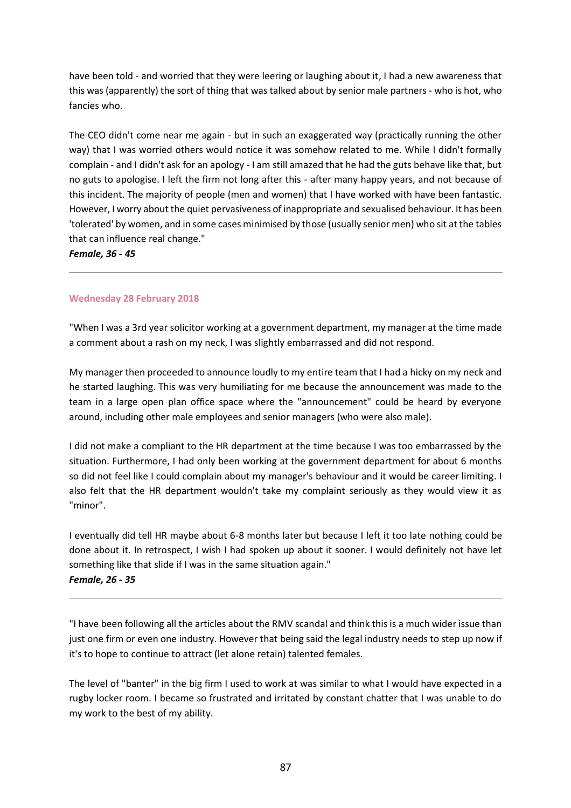have been told - and worried that they were leering or laughing about it, I had a new awareness that this was (apparently) the sort of thing that was talked about by senior male partners - who is hot, who fancies who.

The CEO didn't come near me again - but in such an exaggerated way (practically running the other way) that I was worried others would notice it was somehow related to me. While I didn't formally complain - and I didn't ask for an apology - I am still amazed that he had the guts behave like that, but no guts to apologise. I left the firm not long after this - after many happy years, and not because of this incident. The majority of people (men and women) that I have worked with have been fantastic. However, I worry about the quiet pervasiveness of inappropriate and sexualised behaviour. It has been 'tolerated' by women, and in some cases minimised by those (usually senior men) who sit at the tables that can influence real change."

*Female, 36 - 45*

# **Wednesday 28 February 2018**

"When I was a 3rd year solicitor working at a government department, my manager at the time made a comment about a rash on my neck, I was slightly embarrassed and did not respond.

My manager then proceeded to announce loudly to my entire team that I had a hicky on my neck and he started laughing. This was very humiliating for me because the announcement was made to the team in a large open plan office space where the "announcement" could be heard by everyone around, including other male employees and senior managers (who were also male).

I did not make a compliant to the HR department at the time because I was too embarrassed by the situation. Furthermore, I had only been working at the government department for about 6 months so did not feel like I could complain about my manager's behaviour and it would be career limiting. I also felt that the HR department wouldn't take my complaint seriously as they would view it as "minor".

I eventually did tell HR maybe about 6-8 months later but because I left it too late nothing could be done about it. In retrospect, I wish I had spoken up about it sooner. I would definitely not have let something like that slide if I was in the same situation again." *Female, 26 - 35*

"I have been following all the articles about the RMV scandal and think this is a much wider issue than just one firm or even one industry. However that being said the legal industry needs to step up now if it's to hope to continue to attract (let alone retain) talented females.

The level of "banter" in the big firm I used to work at was similar to what I would have expected in a rugby locker room. I became so frustrated and irritated by constant chatter that I was unable to do my work to the best of my ability.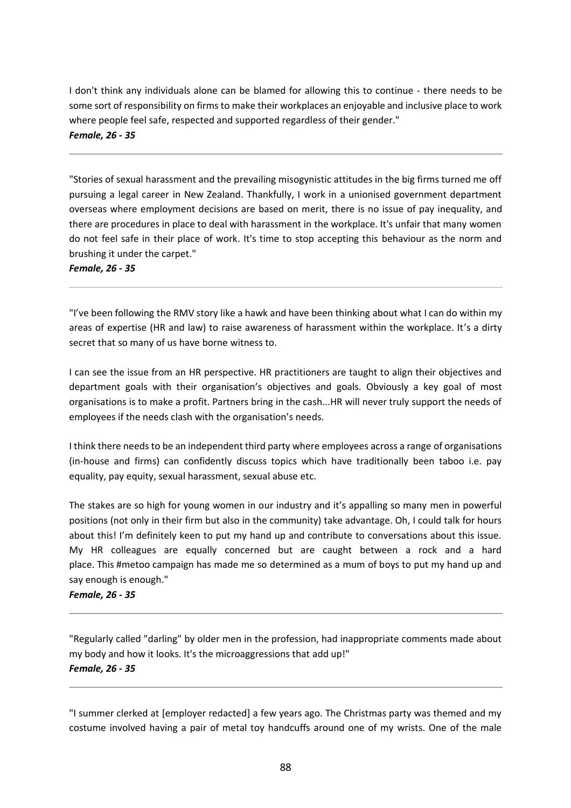I don't think any individuals alone can be blamed for allowing this to continue - there needs to be some sort of responsibility on firms to make their workplaces an enjoyable and inclusive place to work where people feel safe, respected and supported regardless of their gender." *Female, 26 - 35*

"Stories of sexual harassment and the prevailing misogynistic attitudes in the big firms turned me off pursuing a legal career in New Zealand. Thankfully, I work in a unionised government department overseas where employment decisions are based on merit, there is no issue of pay inequality, and there are procedures in place to deal with harassment in the workplace. It's unfair that many women do not feel safe in their place of work. It's time to stop accepting this behaviour as the norm and brushing it under the carpet."

*Female, 26 - 35*

"I've been following the RMV story like a hawk and have been thinking about what I can do within my areas of expertise (HR and law) to raise awareness of harassment within the workplace. It's a dirty secret that so many of us have borne witness to.

I can see the issue from an HR perspective. HR practitioners are taught to align their objectives and department goals with their organisation's objectives and goals. Obviously a key goal of most organisations is to make a profit. Partners bring in the cash...HR will never truly support the needs of employees if the needs clash with the organisation's needs.

I think there needs to be an independent third party where employees across a range of organisations (in-house and firms) can confidently discuss topics which have traditionally been taboo i.e. pay equality, pay equity, sexual harassment, sexual abuse etc.

The stakes are so high for young women in our industry and it's appalling so many men in powerful positions (not only in their firm but also in the community) take advantage. Oh, I could talk for hours about this! I'm definitely keen to put my hand up and contribute to conversations about this issue. My HR colleagues are equally concerned but are caught between a rock and a hard place. This [#metoo](https://www.linkedin.com/search/results/content/?keywords=%23metoo&origin=HASH_TAG_FROM_MESSAGING) campaign has made me so determined as a mum of boys to put my hand up and say enough is enough."

*Female, 26 - 35*

"Regularly called "darling" by older men in the profession, had inappropriate comments made about my body and how it looks. It's the microaggressions that add up!" *Female, 26 - 35*

"I summer clerked at [employer redacted] a few years ago. The Christmas party was themed and my costume involved having a pair of metal toy handcuffs around one of my wrists. One of the male